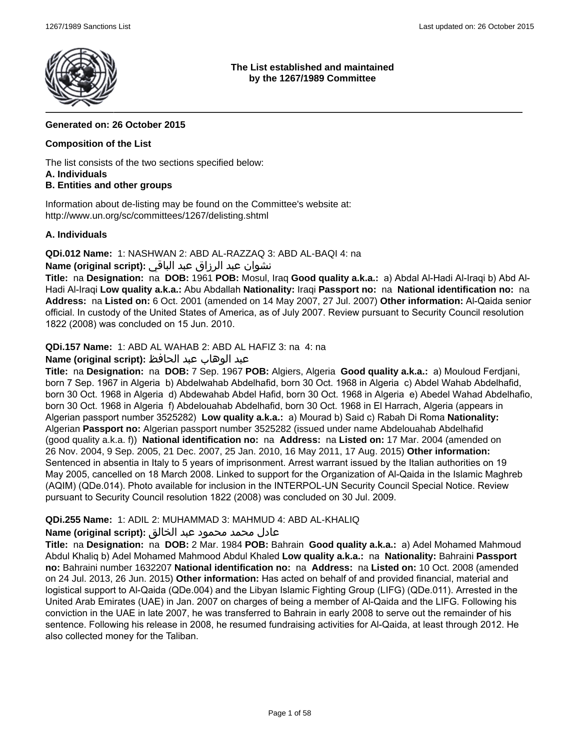

### **The List established and maintained by the 1267/1989 Committee**

# **Generated on: 26 October 2015**

# **Composition of the List**

The list consists of the two sections specified below:

# **A. Individuals**

# **B. Entities and other groups**

Information about de-listing may be found on the Committee's website at: http://www.un.org/sc/committees/1267/delisting.shtml

### **A. Individuals**

**QDi.012 Name:** 1: NASHWAN 2: ABD AL-RAZZAQ 3: ABD AL-BAQI 4: na

# نشوان عبد الرزاق عبد الباقي **:(script original (Name**

**Title:** na **Designation:** na **DOB:** 1961 **POB:** Mosul, Iraq **Good quality a.k.a.:** a) Abdal Al-Hadi Al-Iraqi b) Abd Al-Hadi Al-Iraqi **Low quality a.k.a.:** Abu Abdallah **Nationality:** Iraqi **Passport no:** na **National identification no:** na **Address:** na **Listed on:** 6 Oct. 2001 (amended on 14 May 2007, 27 Jul. 2007) **Other information:** Al-Qaida senior official. In custody of the United States of America, as of July 2007. Review pursuant to Security Council resolution 1822 (2008) was concluded on 15 Jun. 2010.

**QDi.157 Name:** 1: ABD AL WAHAB 2: ABD AL HAFIZ 3: na 4: na

# عبد الوهاب عبد الحافظ **:(script original (Name**

**Title:** na **Designation:** na **DOB:** 7 Sep. 1967 **POB:** Algiers, Algeria **Good quality a.k.a.:** a) Mouloud Ferdjani, born 7 Sep. 1967 in Algeria b) Abdelwahab Abdelhafid, born 30 Oct. 1968 in Algeria c) Abdel Wahab Abdelhafid, born 30 Oct. 1968 in Algeria d) Abdewahab Abdel Hafid, born 30 Oct. 1968 in Algeria e) Abedel Wahad Abdelhafio, born 30 Oct. 1968 in Algeria f) Abdelouahab Abdelhafid, born 30 Oct. 1968 in El Harrach, Algeria (appears in Algerian passport number 3525282) **Low quality a.k.a.:** a) Mourad b) Said c) Rabah Di Roma **Nationality:** Algerian **Passport no:** Algerian passport number 3525282 (issued under name Abdelouahab Abdelhafid (good quality a.k.a. f)) **National identification no:** na **Address:** na **Listed on:** 17 Mar. 2004 (amended on 26 Nov. 2004, 9 Sep. 2005, 21 Dec. 2007, 25 Jan. 2010, 16 May 2011, 17 Aug. 2015) **Other information:** Sentenced in absentia in Italy to 5 years of imprisonment. Arrest warrant issued by the Italian authorities on 19 May 2005, cancelled on 18 March 2008. Linked to support for the Organization of Al-Qaida in the Islamic Maghreb (AQIM) (QDe.014). Photo available for inclusion in the INTERPOL-UN Security Council Special Notice. Review pursuant to Security Council resolution 1822 (2008) was concluded on 30 Jul. 2009.

# **QDi.255 Name:** 1: ADIL 2: MUHAMMAD 3: MAHMUD 4: ABD AL-KHALIQ

# عادل محمد محمود عبد الخالق **:(script original (Name**

**Title:** na **Designation:** na **DOB:** 2 Mar. 1984 **POB:** Bahrain **Good quality a.k.a.:** a) Adel Mohamed Mahmoud Abdul Khaliq b) Adel Mohamed Mahmood Abdul Khaled **Low quality a.k.a.:** na **Nationality:** Bahraini **Passport no:** Bahraini number 1632207 **National identification no:** na **Address:** na **Listed on:** 10 Oct. 2008 (amended on 24 Jul. 2013, 26 Jun. 2015) **Other information:** Has acted on behalf of and provided financial, material and logistical support to Al-Qaida (QDe.004) and the Libyan Islamic Fighting Group (LIFG) (QDe.011). Arrested in the United Arab Emirates (UAE) in Jan. 2007 on charges of being a member of Al-Qaida and the LIFG. Following his conviction in the UAE in late 2007, he was transferred to Bahrain in early 2008 to serve out the remainder of his sentence. Following his release in 2008, he resumed fundraising activities for Al-Qaida, at least through 2012. He also collected money for the Taliban.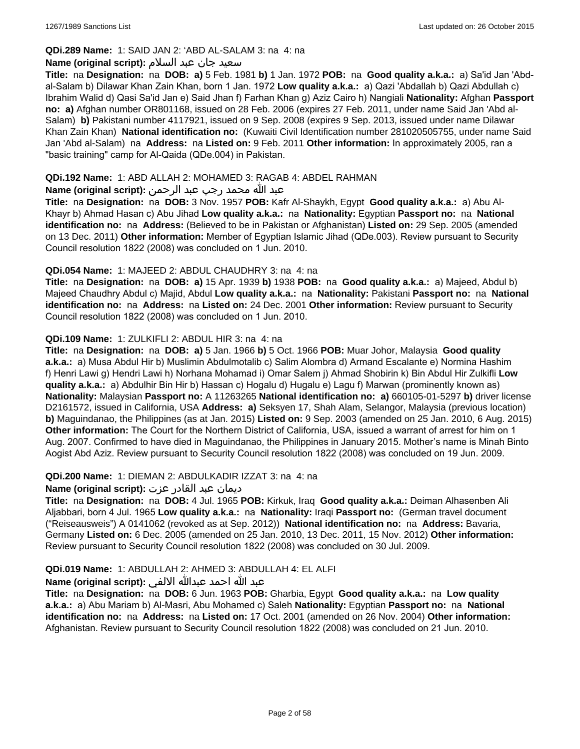# **QDi.289 Name:** 1: SAID JAN 2: 'ABD AL-SALAM 3: na 4: na

### سعید جان عبد السلام **:(script original (Name**

**Title:** na **Designation:** na **DOB: a)** 5 Feb. 1981 **b)** 1 Jan. 1972 **POB:** na **Good quality a.k.a.:** a) Sa'id Jan 'Abdal-Salam b) Dilawar Khan Zain Khan, born 1 Jan. 1972 **Low quality a.k.a.:** a) Qazi 'Abdallah b) Qazi Abdullah c) Ibrahim Walid d) Qasi Sa'id Jan e) Said Jhan f) Farhan Khan g) Aziz Cairo h) Nangiali **Nationality:** Afghan **Passport no: a)** Afghan number OR801168, issued on 28 Feb. 2006 (expires 27 Feb. 2011, under name Said Jan 'Abd al-Salam) **b)** Pakistani number 4117921, issued on 9 Sep. 2008 (expires 9 Sep. 2013, issued under name Dilawar Khan Zain Khan) **National identification no:** (Kuwaiti Civil Identification number 281020505755, under name Said Jan 'Abd al-Salam) na **Address:** na **Listed on:** 9 Feb. 2011 **Other information:** In approximately 2005, ran a "basic training" camp for Al-Qaida (QDe.004) in Pakistan.

### **QDi.192 Name:** 1: ABD ALLAH 2: MOHAMED 3: RAGAB 4: ABDEL RAHMAN

# عبد الله محمد رجب عبد الرحمن **:(script original (Name**

**Title:** na **Designation:** na **DOB:** 3 Nov. 1957 **POB:** Kafr Al-Shaykh, Egypt **Good quality a.k.a.:** a) Abu Al-Khayr b) Ahmad Hasan c) Abu Jihad **Low quality a.k.a.:** na **Nationality:** Egyptian **Passport no:** na **National identification no:** na **Address:** (Believed to be in Pakistan or Afghanistan) **Listed on:** 29 Sep. 2005 (amended on 13 Dec. 2011) **Other information:** Member of Egyptian Islamic Jihad (QDe.003). Review pursuant to Security Council resolution 1822 (2008) was concluded on 1 Jun. 2010.

### **QDi.054 Name:** 1: MAJEED 2: ABDUL CHAUDHRY 3: na 4: na

**Title:** na **Designation:** na **DOB: a)** 15 Apr. 1939 **b)** 1938 **POB:** na **Good quality a.k.a.:** a) Majeed, Abdul b) Majeed Chaudhry Abdul c) Majid, Abdul **Low quality a.k.a.:** na **Nationality:** Pakistani **Passport no:** na **National identification no:** na **Address:** na **Listed on:** 24 Dec. 2001 **Other information:** Review pursuant to Security Council resolution 1822 (2008) was concluded on 1 Jun. 2010.

### **QDi.109 Name:** 1: ZULKIFLI 2: ABDUL HIR 3: na 4: na

**Title:** na **Designation:** na **DOB: a)** 5 Jan. 1966 **b)** 5 Oct. 1966 **POB:** Muar Johor, Malaysia **Good quality a.k.a.:** a) Musa Abdul Hir b) Muslimin Abdulmotalib c) Salim Alombra d) Armand Escalante e) Normina Hashim f) Henri Lawi g) Hendri Lawi h) Norhana Mohamad i) Omar Salem j) Ahmad Shobirin k) Bin Abdul Hir Zulkifli **Low quality a.k.a.:** a) Abdulhir Bin Hir b) Hassan c) Hogalu d) Hugalu e) Lagu f) Marwan (prominently known as) **Nationality:** Malaysian **Passport no:** A 11263265 **National identification no: a)** 660105-01-5297 **b)** driver license D2161572, issued in California, USA **Address: a)** Seksyen 17, Shah Alam, Selangor, Malaysia (previous location) **b)** Maguindanao, the Philippines (as at Jan. 2015) **Listed on:** 9 Sep. 2003 (amended on 25 Jan. 2010, 6 Aug. 2015) **Other information:** The Court for the Northern District of California, USA, issued a warrant of arrest for him on 1 Aug. 2007. Confirmed to have died in Maguindanao, the Philippines in January 2015. Mother's name is Minah Binto Aogist Abd Aziz. Review pursuant to Security Council resolution 1822 (2008) was concluded on 19 Jun. 2009.

#### **QDi.200 Name:** 1: DIEMAN 2: ABDULKADIR IZZAT 3: na 4: na

# ديمان عبد القادر عزت **:(script original (Name**

**Title:** na **Designation:** na **DOB:** 4 Jul. 1965 **POB:** Kirkuk, Iraq **Good quality a.k.a.:** Deiman Alhasenben Ali Aljabbari, born 4 Jul. 1965 **Low quality a.k.a.:** na **Nationality:** Iraqi **Passport no:** (German travel document ("Reiseausweis") A 0141062 (revoked as at Sep. 2012)) **National identification no:** na **Address:** Bavaria, Germany **Listed on:** 6 Dec. 2005 (amended on 25 Jan. 2010, 13 Dec. 2011, 15 Nov. 2012) **Other information:** Review pursuant to Security Council resolution 1822 (2008) was concluded on 30 Jul. 2009.

# **QDi.019 Name:** 1: ABDULLAH 2: AHMED 3: ABDULLAH 4: EL ALFI

# عبد الله احمد عبدالله الالفي **:(script original (Name**

**Title:** na **Designation:** na **DOB:** 6 Jun. 1963 **POB:** Gharbia, Egypt **Good quality a.k.a.:** na **Low quality a.k.a.:** a) Abu Mariam b) Al-Masri, Abu Mohamed c) Saleh **Nationality:** Egyptian **Passport no:** na **National identification no:** na **Address:** na **Listed on:** 17 Oct. 2001 (amended on 26 Nov. 2004) **Other information:** Afghanistan. Review pursuant to Security Council resolution 1822 (2008) was concluded on 21 Jun. 2010.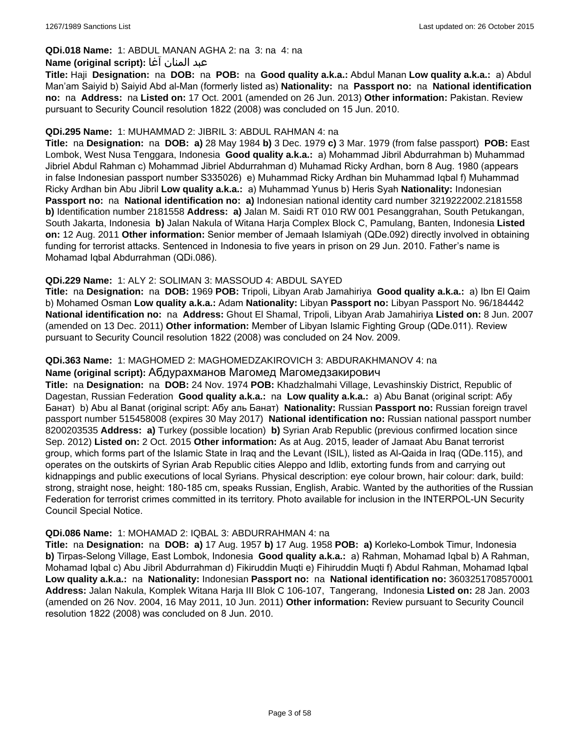# **QDi.018 Name:** 1: ABDUL MANAN AGHA 2: na 3: na 4: na

#### عبد المنان آغا **:(script original (Name**

**Title:** Haji **Designation:** na **DOB:** na **POB:** na **Good quality a.k.a.:** Abdul Manan **Low quality a.k.a.:** a) Abdul Man'am Saiyid b) Saiyid Abd al-Man (formerly listed as) **Nationality:** na **Passport no:** na **National identification no:** na **Address:** na **Listed on:** 17 Oct. 2001 (amended on 26 Jun. 2013) **Other information:** Pakistan. Review pursuant to Security Council resolution 1822 (2008) was concluded on 15 Jun. 2010.

#### **QDi.295 Name:** 1: MUHAMMAD 2: JIBRIL 3: ABDUL RAHMAN 4: na

**Title:** na **Designation:** na **DOB: a)** 28 May 1984 **b)** 3 Dec. 1979 **c)** 3 Mar. 1979 (from false passport) **POB:** East Lombok, West Nusa Tenggara, Indonesia **Good quality a.k.a.:** a) Mohammad Jibril Abdurrahman b) Muhammad Jibriel Abdul Rahman c) Mohammad Jibriel Abdurrahman d) Muhamad Ricky Ardhan, born 8 Aug. 1980 (appears in false Indonesian passport number S335026) e) Muhammad Ricky Ardhan bin Muhammad Iqbal f) Muhammad Ricky Ardhan bin Abu Jibril **Low quality a.k.a.:** a) Muhammad Yunus b) Heris Syah **Nationality:** Indonesian **Passport no:** na **National identification no: a)** Indonesian national identity card number 3219222002.2181558 **b)** Identification number 2181558 **Address: a)** Jalan M. Saidi RT 010 RW 001 Pesanggrahan, South Petukangan, South Jakarta, Indonesia **b)** Jalan Nakula of Witana Harja Complex Block C, Pamulang, Banten, Indonesia **Listed on:** 12 Aug. 2011 **Other information:** Senior member of Jemaah Islamiyah (QDe.092) directly involved in obtaining funding for terrorist attacks. Sentenced in Indonesia to five years in prison on 29 Jun. 2010. Father's name is Mohamad Iqbal Abdurrahman (QDi.086).

### **QDi.229 Name:** 1: ALY 2: SOLIMAN 3: MASSOUD 4: ABDUL SAYED

**Title:** na **Designation:** na **DOB:** 1969 **POB:** Tripoli, Libyan Arab Jamahiriya **Good quality a.k.a.:** a) Ibn El Qaim b) Mohamed Osman **Low quality a.k.a.:** Adam **Nationality:** Libyan **Passport no:** Libyan Passport No. 96/184442 **National identification no:** na **Address:** Ghout El Shamal, Tripoli, Libyan Arab Jamahiriya **Listed on:** 8 Jun. 2007 (amended on 13 Dec. 2011) **Other information:** Member of Libyan Islamic Fighting Group (QDe.011). Review pursuant to Security Council resolution 1822 (2008) was concluded on 24 Nov. 2009.

### **QDi.363 Name:** 1: MAGHOMED 2: MAGHOMEDZAKIROVICH 3: ABDURAKHMANOV 4: na

#### **Name (original script):** Абдурахманов Магомед Магомедзакирович

**Title:** na **Designation:** na **DOB:** 24 Nov. 1974 **POB:** Khadzhalmahi Village, Levashinskiy District, Republic of Dagestan, Russian Federation **Good quality a.k.a.:** na **Low quality a.k.a.:** a) Abu Banat (original script: Абу Банат) b) Abu al Banat (original script: Абу аль Банат) **Nationality:** Russian **Passport no:** Russian foreign travel passport number 515458008 (expires 30 May 2017) **National identification no:** Russian national passport number 8200203535 **Address: a)** Turkey (possible location) **b)** Syrian Arab Republic (previous confirmed location since Sep. 2012) **Listed on:** 2 Oct. 2015 **Other information:** As at Aug. 2015, leader of Jamaat Abu Banat terrorist group, which forms part of the Islamic State in Iraq and the Levant (ISIL), listed as Al-Qaida in Iraq (QDe.115), and operates on the outskirts of Syrian Arab Republic cities Aleppo and Idlib, extorting funds from and carrying out kidnappings and public executions of local Syrians. Physical description: eye colour brown, hair colour: dark, build: strong, straight nose, height: 180-185 cm, speaks Russian, English, Arabic. Wanted by the authorities of the Russian Federation for terrorist crimes committed in its territory. Photo available for inclusion in the INTERPOL-UN Security Council Special Notice.

#### **QDi.086 Name:** 1: MOHAMAD 2: IQBAL 3: ABDURRAHMAN 4: na

**Title:** na **Designation:** na **DOB: a)** 17 Aug. 1957 **b)** 17 Aug. 1958 **POB: a)** Korleko-Lombok Timur, Indonesia **b)** Tirpas-Selong Village, East Lombok, Indonesia **Good quality a.k.a.:** a) Rahman, Mohamad Iqbal b) A Rahman, Mohamad Iqbal c) Abu Jibril Abdurrahman d) Fikiruddin Muqti e) Fihiruddin Muqti f) Abdul Rahman, Mohamad Iqbal **Low quality a.k.a.:** na **Nationality:** Indonesian **Passport no:** na **National identification no:** 3603251708570001 **Address:** Jalan Nakula, Komplek Witana Harja III Blok C 106-107, Tangerang, Indonesia **Listed on:** 28 Jan. 2003 (amended on 26 Nov. 2004, 16 May 2011, 10 Jun. 2011) **Other information:** Review pursuant to Security Council resolution 1822 (2008) was concluded on 8 Jun. 2010.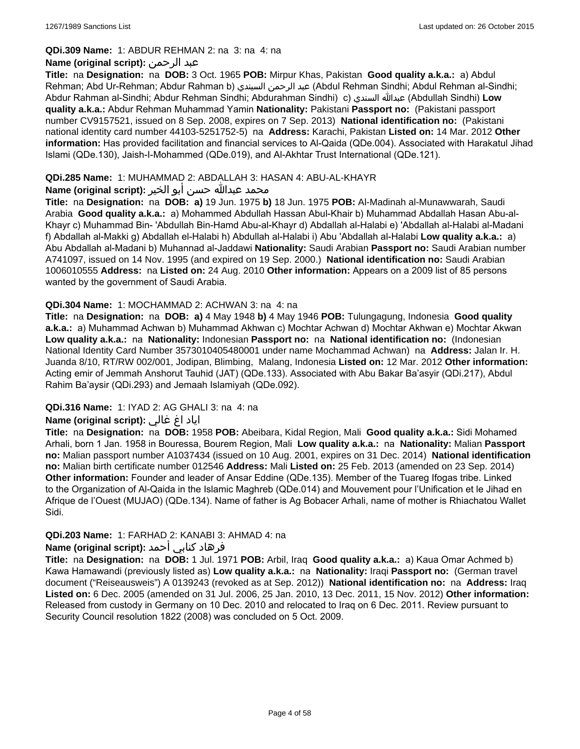### **QDi.309 Name:** 1: ABDUR REHMAN 2: na 3: na 4: na

# **Name (original script):** الرحمن عبد

**Title:** na **Designation:** na **DOB:** 3 Oct. 1965 **POB:** Mirpur Khas, Pakistan **Good quality a.k.a.:** a) Abdul Rehman; Abd Ur-Rehman; Abdur Rahman b) السيندي الرحمن عبد) Abdul Rehman Sindhi; Abdul Rehman al-Sindhi; Abdur Rahman al-Sindhi; Abdur Rehman Sindhi; Abdurahman Sindhi) c) السندي عبدالله) Abdullah Sindhi) **Low quality a.k.a.:** Abdur Rehman Muhammad Yamin **Nationality:** Pakistani **Passport no:** (Pakistani passport number CV9157521, issued on 8 Sep. 2008, expires on 7 Sep. 2013) **National identification no:** (Pakistani national identity card number 44103-5251752-5) na **Address:** Karachi, Pakistan **Listed on:** 14 Mar. 2012 **Other information:** Has provided facilitation and financial services to Al-Qaida (QDe.004). Associated with Harakatul Jihad Islami (QDe.130), Jaish-I-Mohammed (QDe.019), and Al-Akhtar Trust International (QDe.121).

### **QDi.285 Name:** 1: MUHAMMAD 2: ABDALLAH 3: HASAN 4: ABU-AL-KHAYR

# محمد عبدالله حسن أبو الخير **:Name (original script**)

**Title:** na **Designation:** na **DOB: a)** 19 Jun. 1975 **b)** 18 Jun. 1975 **POB:** Al-Madinah al-Munawwarah, Saudi Arabia **Good quality a.k.a.:** a) Mohammed Abdullah Hassan Abul-Khair b) Muhammad Abdallah Hasan Abu-al-Khayr c) Muhammad Bin- 'Abdullah Bin-Hamd Abu-al-Khayr d) Abdallah al-Halabi e) 'Abdallah al-Halabi al-Madani f) Abdallah al-Makki g) Abdallah el-Halabi h) Abdullah al-Halabi i) Abu 'Abdallah al-Halabi **Low quality a.k.a.:** a) Abu Abdallah al-Madani b) Muhannad al-Jaddawi **Nationality:** Saudi Arabian **Passport no:** Saudi Arabian number A741097, issued on 14 Nov. 1995 (and expired on 19 Sep. 2000.) **National identification no:** Saudi Arabian 1006010555 **Address:** na **Listed on:** 24 Aug. 2010 **Other information:** Appears on a 2009 list of 85 persons wanted by the government of Saudi Arabia.

### **QDi.304 Name:** 1: MOCHAMMAD 2: ACHWAN 3: na 4: na

**Title:** na **Designation:** na **DOB: a)** 4 May 1948 **b)** 4 May 1946 **POB:** Tulungagung, Indonesia **Good quality a.k.a.:** a) Muhammad Achwan b) Muhammad Akhwan c) Mochtar Achwan d) Mochtar Akhwan e) Mochtar Akwan **Low quality a.k.a.:** na **Nationality:** Indonesian **Passport no:** na **National identification no:** (Indonesian National Identity Card Number 3573010405480001 under name Mochammad Achwan) na **Address:** Jalan Ir. H. Juanda 8/10, RT/RW 002/001, Jodipan, Blimbing, Malang, Indonesia **Listed on:** 12 Mar. 2012 **Other information:** Acting emir of Jemmah Anshorut Tauhid (JAT) (QDe.133). Associated with Abu Bakar Ba'asyir (QDi.217), Abdul Rahim Ba'aysir (QDi.293) and Jemaah Islamiyah (QDe.092).

# **QDi.316 Name:** 1: IYAD 2: AG GHALI 3: na 4: na

# اياد اغ غالي **:(script original (Name**

**Title:** na **Designation:** na **DOB:** 1958 **POB:** Abeibara, Kidal Region, Mali **Good quality a.k.a.:** Sidi Mohamed Arhali, born 1 Jan. 1958 in Bouressa, Bourem Region, Mali **Low quality a.k.a.:** na **Nationality:** Malian **Passport no:** Malian passport number A1037434 (issued on 10 Aug. 2001, expires on 31 Dec. 2014) **National identification no:** Malian birth certificate number 012546 **Address:** Mali **Listed on:** 25 Feb. 2013 (amended on 23 Sep. 2014) **Other information:** Founder and leader of Ansar Eddine (QDe.135). Member of the Tuareg Ifogas tribe. Linked to the Organization of Al-Qaida in the Islamic Maghreb (QDe.014) and Mouvement pour l'Unification et le Jihad en Afrique de l'Ouest (MUJAO) (QDe.134). Name of father is Ag Bobacer Arhali, name of mother is Rhiachatou Wallet Sidi.

# **QDi.203 Name:** 1: FARHAD 2: KANABI 3: AHMAD 4: na

# فرهاد كنابي أحمد **:Name (original script)**

**Title:** na **Designation:** na **DOB:** 1 Jul. 1971 **POB:** Arbil, Iraq **Good quality a.k.a.:** a) Kaua Omar Achmed b) Kawa Hamawandi (previously listed as) **Low quality a.k.a.:** na **Nationality:** Iraqi **Passport no:** (German travel document ("Reiseausweis") A 0139243 (revoked as at Sep. 2012)) **National identification no:** na **Address:** Iraq **Listed on:** 6 Dec. 2005 (amended on 31 Jul. 2006, 25 Jan. 2010, 13 Dec. 2011, 15 Nov. 2012) **Other information:** Released from custody in Germany on 10 Dec. 2010 and relocated to Iraq on 6 Dec. 2011. Review pursuant to Security Council resolution 1822 (2008) was concluded on 5 Oct. 2009.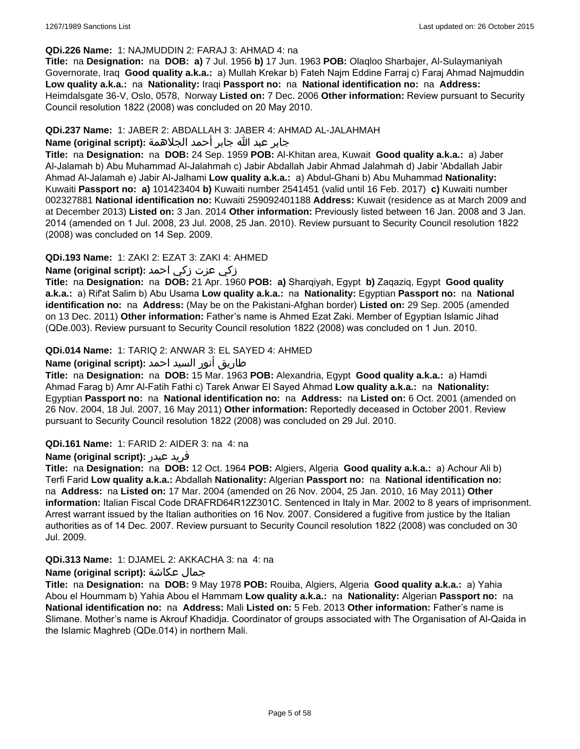#### **QDi.226 Name:** 1: NAJMUDDIN 2: FARAJ 3: AHMAD 4: na

**Title:** na **Designation:** na **DOB: a)** 7 Jul. 1956 **b)** 17 Jun. 1963 **POB:** Olaqloo Sharbajer, Al-Sulaymaniyah Governorate, Iraq **Good quality a.k.a.:** a) Mullah Krekar b) Fateh Najm Eddine Farraj c) Faraj Ahmad Najmuddin **Low quality a.k.a.:** na **Nationality:** Iraqi **Passport no:** na **National identification no:** na **Address:** Heimdalsgate 36-V, Oslo, 0578, Norway **Listed on:** 7 Dec. 2006 **Other information:** Review pursuant to Security Council resolution 1822 (2008) was concluded on 20 May 2010.

### **QDi.237 Name:** 1: JABER 2: ABDALLAH 3: JABER 4: AHMAD AL-JALAHMAH

### جابر عبد الله جابر أحمد الجلاهمة **:(script original (Name**

**Title:** na **Designation:** na **DOB:** 24 Sep. 1959 **POB:** Al-Khitan area, Kuwait **Good quality a.k.a.:** a) Jaber Al-Jalamah b) Abu Muhammad Al-Jalahmah c) Jabir Abdallah Jabir Ahmad Jalahmah d) Jabir 'Abdallah Jabir Ahmad Al-Jalamah e) Jabir Al-Jalhami **Low quality a.k.a.:** a) Abdul-Ghani b) Abu Muhammad **Nationality:** Kuwaiti **Passport no: a)** 101423404 **b)** Kuwaiti number 2541451 (valid until 16 Feb. 2017) **c)** Kuwaiti number 002327881 **National identification no:** Kuwaiti 259092401188 **Address:** Kuwait (residence as at March 2009 and at December 2013) **Listed on:** 3 Jan. 2014 **Other information:** Previously listed between 16 Jan. 2008 and 3 Jan. 2014 (amended on 1 Jul. 2008, 23 Jul. 2008, 25 Jan. 2010). Review pursuant to Security Council resolution 1822 (2008) was concluded on 14 Sep. 2009.

# **QDi.193 Name:** 1: ZAKI 2: EZAT 3: ZAKI 4: AHMED

# زكي عزت زكي احمد **:(script original (Name**

**Title:** na **Designation:** na **DOB:** 21 Apr. 1960 **POB: a)** Sharqiyah, Egypt **b)** Zaqaziq, Egypt **Good quality a.k.a.:** a) Rif'at Salim b) Abu Usama **Low quality a.k.a.:** na **Nationality:** Egyptian **Passport no:** na **National identification no:** na **Address:** (May be on the Pakistani-Afghan border) **Listed on:** 29 Sep. 2005 (amended on 13 Dec. 2011) **Other information:** Father's name is Ahmed Ezat Zaki. Member of Egyptian Islamic Jihad (QDe.003). Review pursuant to Security Council resolution 1822 (2008) was concluded on 1 Jun. 2010.

# **QDi.014 Name:** 1: TARIQ 2: ANWAR 3: EL SAYED 4: AHMED

# طاريق أنور السيد احمد **:(script original (Name**

**Title:** na **Designation:** na **DOB:** 15 Mar. 1963 **POB:** Alexandria, Egypt **Good quality a.k.a.:** a) Hamdi Ahmad Farag b) Amr Al-Fatih Fathi c) Tarek Anwar El Sayed Ahmad **Low quality a.k.a.:** na **Nationality:** Egyptian **Passport no:** na **National identification no:** na **Address:** na **Listed on:** 6 Oct. 2001 (amended on 26 Nov. 2004, 18 Jul. 2007, 16 May 2011) **Other information:** Reportedly deceased in October 2001. Review pursuant to Security Council resolution 1822 (2008) was concluded on 29 Jul. 2010.

#### **QDi.161 Name:** 1: FARID 2: AIDER 3: na 4: na

#### **Name (original script):** عيدر فريد

**Title:** na **Designation:** na **DOB:** 12 Oct. 1964 **POB:** Algiers, Algeria **Good quality a.k.a.:** a) Achour Ali b) Terfi Farid **Low quality a.k.a.:** Abdallah **Nationality:** Algerian **Passport no:** na **National identification no:**  na **Address:** na **Listed on:** 17 Mar. 2004 (amended on 26 Nov. 2004, 25 Jan. 2010, 16 May 2011) **Other information:** Italian Fiscal Code DRAFRD64R12Z301C. Sentenced in Italy in Mar. 2002 to 8 years of imprisonment. Arrest warrant issued by the Italian authorities on 16 Nov. 2007. Considered a fugitive from justice by the Italian authorities as of 14 Dec. 2007. Review pursuant to Security Council resolution 1822 (2008) was concluded on 30 Jul. 2009.

# **QDi.313 Name:** 1: DJAMEL 2: AKKACHA 3: na 4: na

#### **Name (original script):** عكاشة جمال

**Title:** na **Designation:** na **DOB:** 9 May 1978 **POB:** Rouiba, Algiers, Algeria **Good quality a.k.a.:** a) Yahia Abou el Hoummam b) Yahia Abou el Hammam **Low quality a.k.a.:** na **Nationality:** Algerian **Passport no:** na **National identification no:** na **Address:** Mali **Listed on:** 5 Feb. 2013 **Other information:** Father's name is Slimane. Mother's name is Akrouf Khadidja. Coordinator of groups associated with The Organisation of Al-Qaida in the Islamic Maghreb (QDe.014) in northern Mali.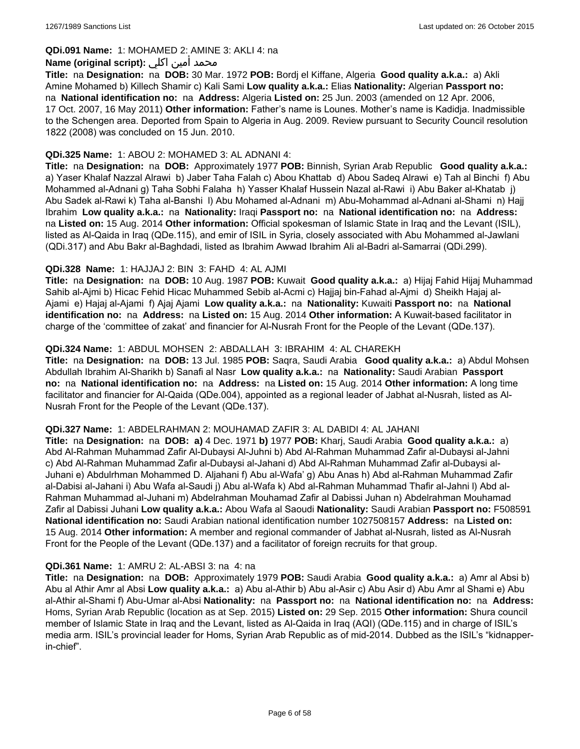### **QDi.091 Name:** 1: MOHAMED 2: AMINE 3: AKLI 4: na

### محمد أمين اكلي :**Name (original script)**

**Title:** na **Designation:** na **DOB:** 30 Mar. 1972 **POB:** Bordj el Kiffane, Algeria **Good quality a.k.a.:** a) Akli Amine Mohamed b) Killech Shamir c) Kali Sami **Low quality a.k.a.:** Elias **Nationality:** Algerian **Passport no:**  na **National identification no:** na **Address:** Algeria **Listed on:** 25 Jun. 2003 (amended on 12 Apr. 2006, 17 Oct. 2007, 16 May 2011) **Other information:** Father's name is Lounes. Mother's name is Kadidja. Inadmissible to the Schengen area. Deported from Spain to Algeria in Aug. 2009. Review pursuant to Security Council resolution 1822 (2008) was concluded on 15 Jun. 2010.

#### **QDi.325 Name:** 1: ABOU 2: MOHAMED 3: AL ADNANI 4:

**Title:** na **Designation:** na **DOB:** Approximately 1977 **POB:** Binnish, Syrian Arab Republic **Good quality a.k.a.:**  a) Yaser Khalaf Nazzal Alrawi b) Jaber Taha Falah c) Abou Khattab d) Abou Sadeq Alrawi e) Tah al Binchi f) Abu Mohammed al-Adnani g) Taha Sobhi Falaha h) Yasser Khalaf Hussein Nazal al-Rawi i) Abu Baker al-Khatab j) Abu Sadek al-Rawi k) Taha al-Banshi l) Abu Mohamed al-Adnani m) Abu-Mohammad al-Adnani al-Shami n) Hajj Ibrahim **Low quality a.k.a.:** na **Nationality:** Iraqi **Passport no:** na **National identification no:** na **Address:**  na **Listed on:** 15 Aug. 2014 **Other information:** Official spokesman of Islamic State in Iraq and the Levant (ISIL), listed as Al-Qaida in Iraq (QDe.115), and emir of ISIL in Syria, closely associated with Abu Mohammed al-Jawlani (QDi.317) and Abu Bakr al-Baghdadi, listed as Ibrahim Awwad Ibrahim Ali al-Badri al-Samarrai (QDi.299).

### **QDi.328 Name:** 1: HAJJAJ 2: BIN 3: FAHD 4: AL AJMI

**Title:** na **Designation:** na **DOB:** 10 Aug. 1987 **POB:** Kuwait **Good quality a.k.a.:** a) Hijaj Fahid Hijaj Muhammad Sahib al-Ajmi b) Hicac Fehid Hicac Muhammed Sebib al-Acmi c) Hajjaj bin-Fahad al-Ajmi d) Sheikh Hajaj al-Ajami e) Hajaj al-Ajami f) Ajaj Ajami **Low quality a.k.a.:** na **Nationality:** Kuwaiti **Passport no:** na **National identification no:** na **Address:** na **Listed on:** 15 Aug. 2014 **Other information:** A Kuwait-based facilitator in charge of the 'committee of zakat' and financier for Al-Nusrah Front for the People of the Levant (QDe.137).

### **QDi.324 Name:** 1: ABDUL MOHSEN 2: ABDALLAH 3: IBRAHIM 4: AL CHAREKH

**Title:** na **Designation:** na **DOB:** 13 Jul. 1985 **POB:** Saqra, Saudi Arabia **Good quality a.k.a.:** a) Abdul Mohsen Abdullah Ibrahim Al-Sharikh b) Sanafi al Nasr **Low quality a.k.a.:** na **Nationality:** Saudi Arabian **Passport no:** na **National identification no:** na **Address:** na **Listed on:** 15 Aug. 2014 **Other information:** A long time facilitator and financier for Al-Qaida (QDe.004), appointed as a regional leader of Jabhat al-Nusrah, listed as Al-Nusrah Front for the People of the Levant (QDe.137).

#### **QDi.327 Name:** 1: ABDELRAHMAN 2: MOUHAMAD ZAFIR 3: AL DABIDI 4: AL JAHANI

**Title:** na **Designation:** na **DOB: a)** 4 Dec. 1971 **b)** 1977 **POB:** Kharj, Saudi Arabia **Good quality a.k.a.:** a) Abd Al-Rahman Muhammad Zafir Al-Dubaysi Al-Juhni b) Abd Al-Rahman Muhammad Zafir al-Dubaysi al-Jahni c) Abd Al-Rahman Muhammad Zafir al-Dubaysi al-Jahani d) Abd Al-Rahman Muhammad Zafir al-Dubaysi al-Juhani e) Abdulrhman Mohammed D. Aljahani f) Abu al-Wafa' g) Abu Anas h) Abd al-Rahman Muhammad Zafir al-Dabisi al-Jahani i) Abu Wafa al-Saudi j) Abu al-Wafa k) Abd al-Rahman Muhammad Thafir al-Jahni l) Abd al-Rahman Muhammad al-Juhani m) Abdelrahman Mouhamad Zafir al Dabissi Juhan n) Abdelrahman Mouhamad Zafir al Dabissi Juhani **Low quality a.k.a.:** Abou Wafa al Saoudi **Nationality:** Saudi Arabian **Passport no:** F508591 **National identification no:** Saudi Arabian national identification number 1027508157 **Address:** na **Listed on:** 15 Aug. 2014 **Other information:** A member and regional commander of Jabhat al-Nusrah, listed as Al-Nusrah Front for the People of the Levant (QDe.137) and a facilitator of foreign recruits for that group.

#### **QDi.361 Name:** 1: AMRU 2: AL-ABSI 3: na 4: na

**Title:** na **Designation:** na **DOB:** Approximately 1979 **POB:** Saudi Arabia **Good quality a.k.a.:** a) Amr al Absi b) Abu al Athir Amr al Absi **Low quality a.k.a.:** a) Abu al-Athir b) Abu al-Asir c) Abu Asir d) Abu Amr al Shami e) Abu al-Athir al-Shami f) Abu-Umar al-Absi **Nationality:** na **Passport no:** na **National identification no:** na **Address:** Homs, Syrian Arab Republic (location as at Sep. 2015) **Listed on:** 29 Sep. 2015 **Other information:** Shura council member of Islamic State in Iraq and the Levant, listed as Al-Qaida in Iraq (AQI) (QDe.115) and in charge of ISIL's media arm. ISIL's provincial leader for Homs, Syrian Arab Republic as of mid-2014. Dubbed as the ISIL's "kidnapperin-chief".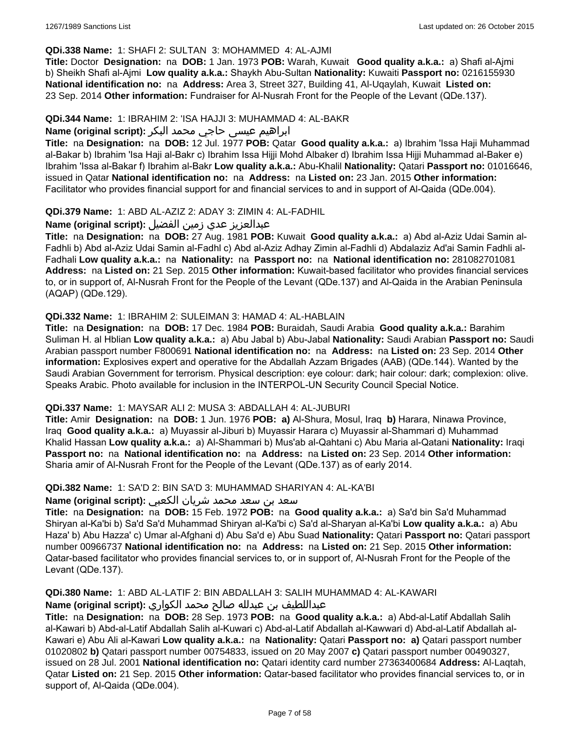### **QDi.338 Name:** 1: SHAFI 2: SULTAN 3: MOHAMMED 4: AL-AJMI

**Title:** Doctor **Designation:** na **DOB:** 1 Jan. 1973 **POB:** Warah, Kuwait **Good quality a.k.a.:** a) Shafi al-Ajmi b) Sheikh Shafi al-Ajmi **Low quality a.k.a.:** Shaykh Abu-Sultan **Nationality:** Kuwaiti **Passport no:** 0216155930 **National identification no:** na **Address:** Area 3, Street 327, Building 41, Al-Uqaylah, Kuwait **Listed on:** 23 Sep. 2014 **Other information:** Fundraiser for Al-Nusrah Front for the People of the Levant (QDe.137).

#### **QDi.344 Name:** 1: IBRAHIM 2: 'ISA HAJJI 3: MUHAMMAD 4: AL-BAKR

# ابراهیم عیسی حاجي محمد البکر **:(script original (Name**

**Title:** na **Designation:** na **DOB:** 12 Jul. 1977 **POB:** Qatar **Good quality a.k.a.:** a) Ibrahim 'Issa Haji Muhammad al-Bakar b) Ibrahim 'Isa Haji al-Bakr c) Ibrahim Issa Hijji Mohd Albaker d) Ibrahim Issa Hijji Muhammad al-Baker e) Ibrahim 'Issa al-Bakar f) Ibrahim al-Bakr **Low quality a.k.a.:** Abu-Khalil **Nationality:** Qatari **Passport no:** 01016646, issued in Qatar **National identification no:** na **Address:** na **Listed on:** 23 Jan. 2015 **Other information:** Facilitator who provides financial support for and financial services to and in support of Al-Qaida (QDe.004).

### **QDi.379 Name:** 1: ABD AL-AZIZ 2: ADAY 3: ZIMIN 4: AL-FADHIL

### عبدالعزیز عدي زمین الفضیل **:(script original (Name**

**Title:** na **Designation:** na **DOB:** 27 Aug. 1981 **POB:** Kuwait **Good quality a.k.a.:** a) Abd al-Aziz Udai Samin al-Fadhli b) Abd al-Aziz Udai Samin al-Fadhl c) Abd al-Aziz Adhay Zimin al-Fadhli d) Abdalaziz Ad'ai Samin Fadhli al-Fadhali **Low quality a.k.a.:** na **Nationality:** na **Passport no:** na **National identification no:** 281082701081 **Address:** na **Listed on:** 21 Sep. 2015 **Other information:** Kuwait-based facilitator who provides financial services to, or in support of, Al-Nusrah Front for the People of the Levant (QDe.137) and Al-Qaida in the Arabian Peninsula (AQAP) (QDe.129).

### **QDi.332 Name:** 1: IBRAHIM 2: SULEIMAN 3: HAMAD 4: AL-HABLAIN

**Title:** na **Designation:** na **DOB:** 17 Dec. 1984 **POB:** Buraidah, Saudi Arabia **Good quality a.k.a.:** Barahim Suliman H. al Hblian **Low quality a.k.a.:** a) Abu Jabal b) Abu-Jabal **Nationality:** Saudi Arabian **Passport no:** Saudi Arabian passport number F800691 **National identification no:** na **Address:** na **Listed on:** 23 Sep. 2014 **Other information:** Explosives expert and operative for the Abdallah Azzam Brigades (AAB) (QDe.144). Wanted by the Saudi Arabian Government for terrorism. Physical description: eye colour: dark; hair colour: dark; complexion: olive. Speaks Arabic. Photo available for inclusion in the INTERPOL-UN Security Council Special Notice.

#### **QDi.337 Name:** 1: MAYSAR ALI 2: MUSA 3: ABDALLAH 4: AL-JUBURI

**Title:** Amir **Designation:** na **DOB:** 1 Jun. 1976 **POB: a)** Al-Shura, Mosul, Iraq **b)** Harara, Ninawa Province, Iraq **Good quality a.k.a.:** a) Muyassir al-Jiburi b) Muyassir Harara c) Muyassir al-Shammari d) Muhammad Khalid Hassan **Low quality a.k.a.:** a) Al-Shammari b) Mus'ab al-Qahtani c) Abu Maria al-Qatani **Nationality:** Iraqi **Passport no:** na **National identification no:** na **Address:** na **Listed on:** 23 Sep. 2014 **Other information:** Sharia amir of Al-Nusrah Front for the People of the Levant (QDe.137) as of early 2014.

#### **QDi.382 Name:** 1: SA'D 2: BIN SA'D 3: MUHAMMAD SHARIYAN 4: AL-KA'BI

# سعد بن سعد محمد شریان الكعبي **:(script original (Name**

**Title:** na **Designation:** na **DOB:** 15 Feb. 1972 **POB:** na **Good quality a.k.a.:** a) Sa'd bin Sa'd Muhammad Shiryan al-Ka'bi b) Sa'd Sa'd Muhammad Shiryan al-Ka'bi c) Sa'd al-Sharyan al-Ka'bi **Low quality a.k.a.:** a) Abu Haza' b) Abu Hazza' c) Umar al-Afghani d) Abu Sa'd e) Abu Suad **Nationality:** Qatari **Passport no:** Qatari passport number 00966737 **National identification no:** na **Address:** na **Listed on:** 21 Sep. 2015 **Other information:** Qatar-based facilitator who provides financial services to, or in support of, Al-Nusrah Front for the People of the Levant (QDe.137).

# **QDi.380 Name:** 1: ABD AL-LATIF 2: BIN ABDALLAH 3: SALIH MUHAMMAD 4: AL-KAWARI

# عبداللطیف بن عبدلله صالح محمد الكواري **:(script original (Name**

**Title:** na **Designation:** na **DOB:** 28 Sep. 1973 **POB:** na **Good quality a.k.a.:** a) Abd-al-Latif Abdallah Salih al-Kawari b) Abd-al-Latif Abdallah Salih al-Kuwari c) Abd-al-Latif Abdallah al-Kawwari d) Abd-al-Latif Abdallah al-Kawari e) Abu Ali al-Kawari **Low quality a.k.a.:** na **Nationality:** Qatari **Passport no: a)** Qatari passport number 01020802 **b)** Qatari passport number 00754833, issued on 20 May 2007 **c)** Qatari passport number 00490327, issued on 28 Jul. 2001 **National identification no:** Qatari identity card number 27363400684 **Address:** Al-Laqtah, Qatar **Listed on:** 21 Sep. 2015 **Other information:** Qatar-based facilitator who provides financial services to, or in support of, Al-Qaida (QDe.004).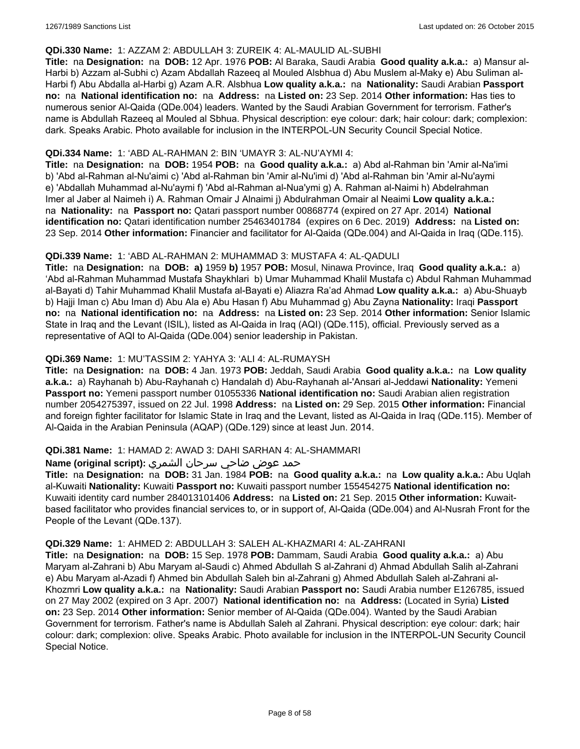#### **QDi.330 Name:** 1: AZZAM 2: ABDULLAH 3: ZUREIK 4: AL-MAULID AL-SUBHI

**Title:** na **Designation:** na **DOB:** 12 Apr. 1976 **POB:** Al Baraka, Saudi Arabia **Good quality a.k.a.:** a) Mansur al-Harbi b) Azzam al-Subhi c) Azam Abdallah Razeeq al Mouled Alsbhua d) Abu Muslem al-Maky e) Abu Suliman al-Harbi f) Abu Abdalla al-Harbi g) Azam A.R. Alsbhua **Low quality a.k.a.:** na **Nationality:** Saudi Arabian **Passport no:** na **National identification no:** na **Address:** na **Listed on:** 23 Sep. 2014 **Other information:** Has ties to numerous senior Al-Qaida (QDe.004) leaders. Wanted by the Saudi Arabian Government for terrorism. Father's name is Abdullah Razeeq al Mouled al Sbhua. Physical description: eye colour: dark; hair colour: dark; complexion: dark. Speaks Arabic. Photo available for inclusion in the INTERPOL-UN Security Council Special Notice.

### **QDi.334 Name:** 1: 'ABD AL-RAHMAN 2: BIN 'UMAYR 3: AL-NU'AYMI 4:

**Title:** na **Designation:** na **DOB:** 1954 **POB:** na **Good quality a.k.a.:** a) Abd al-Rahman bin 'Amir al-Na'imi b) 'Abd al-Rahman al-Nu'aimi c) 'Abd al-Rahman bin 'Amir al-Nu'imi d) 'Abd al-Rahman bin 'Amir al-Nu'aymi e) 'Abdallah Muhammad al-Nu'aymi f) 'Abd al-Rahman al-Nua'ymi g) A. Rahman al-Naimi h) Abdelrahman Imer al Jaber al Naimeh i) A. Rahman Omair J Alnaimi j) Abdulrahman Omair al Neaimi **Low quality a.k.a.:**  na **Nationality:** na **Passport no:** Qatari passport number 00868774 (expired on 27 Apr. 2014) **National identification no:** Qatari identification number 25463401784 (expires on 6 Dec. 2019) **Address:** na **Listed on:** 23 Sep. 2014 **Other information:** Financier and facilitator for Al-Qaida (QDe.004) and Al-Qaida in Iraq (QDe.115).

### **QDi.339 Name:** 1: 'ABD AL-RAHMAN 2: MUHAMMAD 3: MUSTAFA 4: AL-QADULI

**Title:** na **Designation:** na **DOB: a)** 1959 **b)** 1957 **POB:** Mosul, Ninawa Province, Iraq **Good quality a.k.a.:** a) 'Abd al-Rahman Muhammad Mustafa Shaykhlari b) Umar Muhammad Khalil Mustafa c) Abdul Rahman Muhammad al-Bayati d) Tahir Muhammad Khalil Mustafa al-Bayati e) Aliazra Ra'ad Ahmad **Low quality a.k.a.:** a) Abu-Shuayb b) Hajji Iman c) Abu Iman d) Abu Ala e) Abu Hasan f) Abu Muhammad g) Abu Zayna **Nationality:** Iraqi **Passport no:** na **National identification no:** na **Address:** na **Listed on:** 23 Sep. 2014 **Other information:** Senior Islamic State in Iraq and the Levant (ISIL), listed as Al-Qaida in Iraq (AQI) (QDe.115), official. Previously served as a representative of AQI to Al-Qaida (QDe.004) senior leadership in Pakistan.

# **QDi.369 Name:** 1: MU'TASSIM 2: YAHYA 3: 'ALI 4: AL-RUMAYSH

**Title:** na **Designation:** na **DOB:** 4 Jan. 1973 **POB:** Jeddah, Saudi Arabia **Good quality a.k.a.:** na **Low quality a.k.a.:** a) Rayhanah b) Abu-Rayhanah c) Handalah d) Abu-Rayhanah al-'Ansari al-Jeddawi **Nationality:** Yemeni **Passport no:** Yemeni passport number 01055336 **National identification no:** Saudi Arabian alien registration number 2054275397, issued on 22 Jul. 1998 **Address:** na **Listed on:** 29 Sep. 2015 **Other information:** Financial and foreign fighter facilitator for Islamic State in Iraq and the Levant, listed as Al-Qaida in Iraq (QDe.115). Member of Al-Qaida in the Arabian Peninsula (AQAP) (QDe.129) since at least Jun. 2014.

#### **QDi.381 Name:** 1: HAMAD 2: AWAD 3: DAHI SARHAN 4: AL-SHAMMARI

# حمد عوض ضاحي سرحان الشمري **:(script original (Name**

**Title:** na **Designation:** na **DOB:** 31 Jan. 1984 **POB:** na **Good quality a.k.a.:** na **Low quality a.k.a.:** Abu Uqlah al-Kuwaiti **Nationality:** Kuwaiti **Passport no:** Kuwaiti passport number 155454275 **National identification no:** Kuwaiti identity card number 284013101406 **Address:** na **Listed on:** 21 Sep. 2015 **Other information:** Kuwaitbased facilitator who provides financial services to, or in support of, Al-Qaida (QDe.004) and Al-Nusrah Front for the People of the Levant (QDe.137).

#### **QDi.329 Name:** 1: AHMED 2: ABDULLAH 3: SALEH AL-KHAZMARI 4: AL-ZAHRANI

**Title:** na **Designation:** na **DOB:** 15 Sep. 1978 **POB:** Dammam, Saudi Arabia **Good quality a.k.a.:** a) Abu Maryam al-Zahrani b) Abu Maryam al-Saudi c) Ahmed Abdullah S al-Zahrani d) Ahmad Abdullah Salih al-Zahrani e) Abu Maryam al-Azadi f) Ahmed bin Abdullah Saleh bin al-Zahrani g) Ahmed Abdullah Saleh al-Zahrani al-Khozmri **Low quality a.k.a.:** na **Nationality:** Saudi Arabian **Passport no:** Saudi Arabia number E126785, issued on 27 May 2002 (expired on 3 Apr. 2007) **National identification no:** na **Address:** (Located in Syria) **Listed on:** 23 Sep. 2014 **Other information:** Senior member of Al-Qaida (QDe.004). Wanted by the Saudi Arabian Government for terrorism. Father's name is Abdullah Saleh al Zahrani. Physical description: eye colour: dark; hair colour: dark; complexion: olive. Speaks Arabic. Photo available for inclusion in the INTERPOL-UN Security Council Special Notice.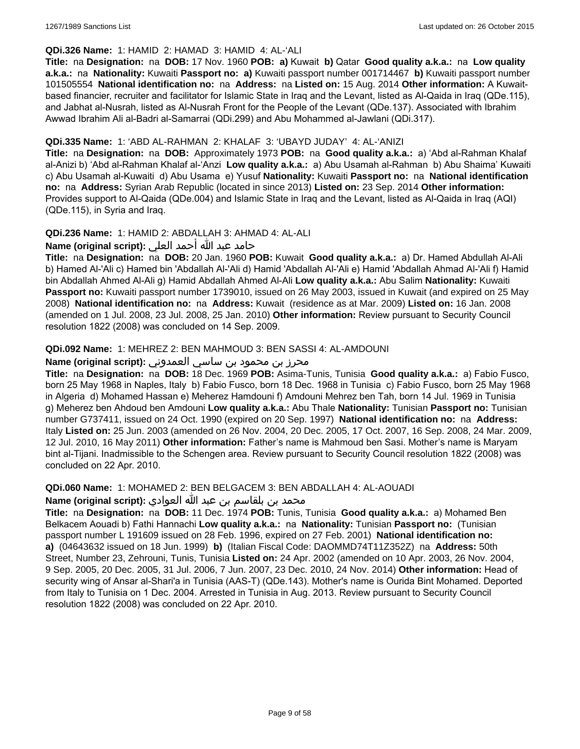### **QDi.326 Name:** 1: HAMID 2: HAMAD 3: HAMID 4: AL-'ALI

**Title:** na **Designation:** na **DOB:** 17 Nov. 1960 **POB: a)** Kuwait **b)** Qatar **Good quality a.k.a.:** na **Low quality a.k.a.:** na **Nationality:** Kuwaiti **Passport no: a)** Kuwaiti passport number 001714467 **b)** Kuwaiti passport number 101505554 **National identification no:** na **Address:** na **Listed on:** 15 Aug. 2014 **Other information:** A Kuwaitbased financier, recruiter and facilitator for Islamic State in Iraq and the Levant, listed as Al-Qaida in Iraq (QDe.115), and Jabhat al-Nusrah, listed as Al-Nusrah Front for the People of the Levant (QDe.137). Associated with Ibrahim Awwad Ibrahim Ali al-Badri al-Samarrai (QDi.299) and Abu Mohammed al-Jawlani (QDi.317).

# **QDi.335 Name:** 1: 'ABD AL-RAHMAN 2: KHALAF 3: 'UBAYD JUDAY' 4: AL-'ANIZI

**Title:** na **Designation:** na **DOB:** Approximately 1973 **POB:** na **Good quality a.k.a.:** a) 'Abd al-Rahman Khalaf al-Anizi b) 'Abd al-Rahman Khalaf al-'Anzi **Low quality a.k.a.:** a) Abu Usamah al-Rahman b) Abu Shaima' Kuwaiti c) Abu Usamah al-Kuwaiti d) Abu Usama e) Yusuf **Nationality:** Kuwaiti **Passport no:** na **National identification no:** na **Address:** Syrian Arab Republic (located in since 2013) **Listed on:** 23 Sep. 2014 **Other information:** Provides support to Al-Qaida (QDe.004) and Islamic State in Iraq and the Levant, listed as Al-Qaida in Iraq (AQI) (QDe.115), in Syria and Iraq.

### **QDi.236 Name:** 1: HAMID 2: ABDALLAH 3: AHMAD 4: AL-ALI

حامد عبد الله أحمد العلي **:(script original (Name**

**Title:** na **Designation:** na **DOB:** 20 Jan. 1960 **POB:** Kuwait **Good quality a.k.a.:** a) Dr. Hamed Abdullah Al-Ali b) Hamed Al-'Ali c) Hamed bin 'Abdallah Al-'Ali d) Hamid 'Abdallah Al-'Ali e) Hamid 'Abdallah Ahmad Al-'Ali f) Hamid bin Abdallah Ahmed Al-Ali g) Hamid Abdallah Ahmed Al-Ali **Low quality a.k.a.:** Abu Salim **Nationality:** Kuwaiti **Passport no:** Kuwaiti passport number 1739010, issued on 26 May 2003, issued in Kuwait (and expired on 25 May 2008) **National identification no:** na **Address:** Kuwait (residence as at Mar. 2009) **Listed on:** 16 Jan. 2008 (amended on 1 Jul. 2008, 23 Jul. 2008, 25 Jan. 2010) **Other information:** Review pursuant to Security Council resolution 1822 (2008) was concluded on 14 Sep. 2009.

### **QDi.092 Name:** 1: MEHREZ 2: BEN MAHMOUD 3: BEN SASSI 4: AL-AMDOUNI

# محرز بن محمود بن ساسي العمدوني **:Name (original script)**

**Title:** na **Designation:** na **DOB:** 18 Dec. 1969 **POB:** Asima-Tunis, Tunisia **Good quality a.k.a.:** a) Fabio Fusco, born 25 May 1968 in Naples, Italy b) Fabio Fusco, born 18 Dec. 1968 in Tunisia c) Fabio Fusco, born 25 May 1968 in Algeria d) Mohamed Hassan e) Meherez Hamdouni f) Amdouni Mehrez ben Tah, born 14 Jul. 1969 in Tunisia g) Meherez ben Ahdoud ben Amdouni **Low quality a.k.a.:** Abu Thale **Nationality:** Tunisian **Passport no:** Tunisian number G737411, issued on 24 Oct. 1990 (expired on 20 Sep. 1997) **National identification no:** na **Address:** Italy **Listed on:** 25 Jun. 2003 (amended on 26 Nov. 2004, 20 Dec. 2005, 17 Oct. 2007, 16 Sep. 2008, 24 Mar. 2009, 12 Jul. 2010, 16 May 2011) **Other information:** Father's name is Mahmoud ben Sasi. Mother's name is Maryam bint al-Tijani. Inadmissible to the Schengen area. Review pursuant to Security Council resolution 1822 (2008) was concluded on 22 Apr. 2010.

**QDi.060 Name:** 1: MOHAMED 2: BEN BELGACEM 3: BEN ABDALLAH 4: AL-AOUADI

محمد بن بلقاسم بن عبد الله العوادي **:Name (original script**)

**Title:** na **Designation:** na **DOB:** 11 Dec. 1974 **POB:** Tunis, Tunisia **Good quality a.k.a.:** a) Mohamed Ben Belkacem Aouadi b) Fathi Hannachi **Low quality a.k.a.:** na **Nationality:** Tunisian **Passport no:** (Tunisian passport number L 191609 issued on 28 Feb. 1996, expired on 27 Feb. 2001) **National identification no: a)** (04643632 issued on 18 Jun. 1999) **b)** (Italian Fiscal Code: DAOMMD74T11Z352Z) na **Address:** 50th Street, Number 23, Zehrouni, Tunis, Tunisia **Listed on:** 24 Apr. 2002 (amended on 10 Apr. 2003, 26 Nov. 2004, 9 Sep. 2005, 20 Dec. 2005, 31 Jul. 2006, 7 Jun. 2007, 23 Dec. 2010, 24 Nov. 2014) **Other information:** Head of security wing of Ansar al-Shari'a in Tunisia (AAS-T) (QDe.143). Mother's name is Ourida Bint Mohamed. Deported from Italy to Tunisia on 1 Dec. 2004. Arrested in Tunisia in Aug. 2013. Review pursuant to Security Council resolution 1822 (2008) was concluded on 22 Apr. 2010.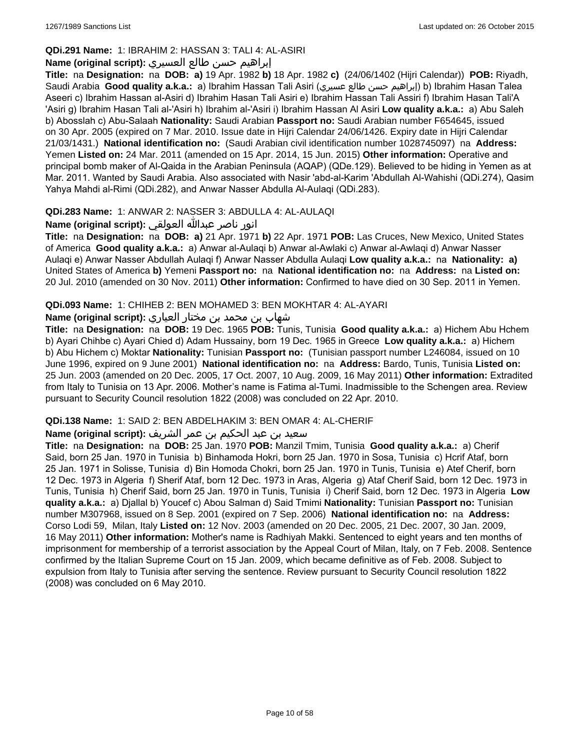# **QDi.291 Name:** 1: IBRAHIM 2: HASSAN 3: TALI 4: AL-ASIRI

# إبراهيم حسن طالع العسيري **:(script original (Name**

**Title:** na **Designation:** na **DOB: a)** 19 Apr. 1982 **b)** 18 Apr. 1982 **c)** (24/06/1402 (Hijri Calendar)) **POB:** Riyadh, Saudi Arabia **Good quality a.k.a.:** a) Ibrahim Hassan Tali Asiri (عسيري طالع حسن إبراهيم (b) Ibrahim Hasan Talea Aseeri c) Ibrahim Hassan al-Asiri d) Ibrahim Hasan Tali Asiri e) Ibrahim Hassan Tali Assiri f) Ibrahim Hasan Tali'A 'Asiri g) Ibrahim Hasan Tali al-'Asiri h) Ibrahim al-'Asiri i) Ibrahim Hassan Al Asiri **Low quality a.k.a.:** a) Abu Saleh b) Abosslah c) Abu-Salaah **Nationality:** Saudi Arabian **Passport no:** Saudi Arabian number F654645, issued on 30 Apr. 2005 (expired on 7 Mar. 2010. Issue date in Hijri Calendar 24/06/1426. Expiry date in Hijri Calendar 21/03/1431.) **National identification no:** (Saudi Arabian civil identification number 1028745097) na **Address:** Yemen **Listed on:** 24 Mar. 2011 (amended on 15 Apr. 2014, 15 Jun. 2015) **Other information:** Operative and principal bomb maker of Al-Qaida in the Arabian Peninsula (AQAP) (QDe.129). Believed to be hiding in Yemen as at Mar. 2011. Wanted by Saudi Arabia. Also associated with Nasir 'abd-al-Karim 'Abdullah Al-Wahishi (QDi.274), Qasim Yahya Mahdi al-Rimi (QDi.282), and Anwar Nasser Abdulla Al-Aulaqi (QDi.283).

# **QDi.283 Name:** 1: ANWAR 2: NASSER 3: ABDULLA 4: AL-AULAQI

انور ناصر عبدالله العولقي **:(script original (Name**

**Title:** na **Designation:** na **DOB: a)** 21 Apr. 1971 **b)** 22 Apr. 1971 **POB:** Las Cruces, New Mexico, United States of America **Good quality a.k.a.:** a) Anwar al-Aulaqi b) Anwar al-Awlaki c) Anwar al-Awlaqi d) Anwar Nasser Aulaqi e) Anwar Nasser Abdullah Aulaqi f) Anwar Nasser Abdulla Aulaqi **Low quality a.k.a.:** na **Nationality: a)** United States of America **b)** Yemeni **Passport no:** na **National identification no:** na **Address:** na **Listed on:** 20 Jul. 2010 (amended on 30 Nov. 2011) **Other information:** Confirmed to have died on 30 Sep. 2011 in Yemen.

# **QDi.093 Name:** 1: CHIHEB 2: BEN MOHAMED 3: BEN MOKHTAR 4: AL-AYARI

# شهاب بن محمد بن مختار العياري **:(script original (Name**

**Title:** na **Designation:** na **DOB:** 19 Dec. 1965 **POB:** Tunis, Tunisia **Good quality a.k.a.:** a) Hichem Abu Hchem b) Ayari Chihbe c) Ayari Chied d) Adam Hussainy, born 19 Dec. 1965 in Greece **Low quality a.k.a.:** a) Hichem b) Abu Hichem c) Moktar **Nationality:** Tunisian **Passport no:** (Tunisian passport number L246084, issued on 10 June 1996, expired on 9 June 2001) **National identification no:** na **Address:** Bardo, Tunis, Tunisia **Listed on:** 25 Jun. 2003 (amended on 20 Dec. 2005, 17 Oct. 2007, 10 Aug. 2009, 16 May 2011) **Other information:** Extradited from Italy to Tunisia on 13 Apr. 2006. Mother's name is Fatima al-Tumi. Inadmissible to the Schengen area. Review pursuant to Security Council resolution 1822 (2008) was concluded on 22 Apr. 2010.

# **QDi.138 Name:** 1: SAID 2: BEN ABDELHAKIM 3: BEN OMAR 4: AL-CHERIF

# سعيد بن عبد الحكيم بن عمر الشريف **:(script original (Name**

**Title:** na **Designation:** na **DOB:** 25 Jan. 1970 **POB:** Manzil Tmim, Tunisia **Good quality a.k.a.:** a) Cherif Said, born 25 Jan. 1970 in Tunisia b) Binhamoda Hokri, born 25 Jan. 1970 in Sosa, Tunisia c) Hcrif Ataf, born 25 Jan. 1971 in Solisse, Tunisia d) Bin Homoda Chokri, born 25 Jan. 1970 in Tunis, Tunisia e) Atef Cherif, born 12 Dec. 1973 in Algeria f) Sherif Ataf, born 12 Dec. 1973 in Aras, Algeria g) Ataf Cherif Said, born 12 Dec. 1973 in Tunis, Tunisia h) Cherif Said, born 25 Jan. 1970 in Tunis, Tunisia i) Cherif Said, born 12 Dec. 1973 in Algeria **Low quality a.k.a.:** a) Djallal b) Youcef c) Abou Salman d) Said Tmimi **Nationality:** Tunisian **Passport no:** Tunisian number M307968, issued on 8 Sep. 2001 (expired on 7 Sep. 2006) **National identification no:** na **Address:** Corso Lodi 59, Milan, Italy **Listed on:** 12 Nov. 2003 (amended on 20 Dec. 2005, 21 Dec. 2007, 30 Jan. 2009, 16 May 2011) **Other information:** Mother's name is Radhiyah Makki. Sentenced to eight years and ten months of imprisonment for membership of a terrorist association by the Appeal Court of Milan, Italy, on 7 Feb. 2008. Sentence confirmed by the Italian Supreme Court on 15 Jan. 2009, which became definitive as of Feb. 2008. Subject to expulsion from Italy to Tunisia after serving the sentence. Review pursuant to Security Council resolution 1822 (2008) was concluded on 6 May 2010.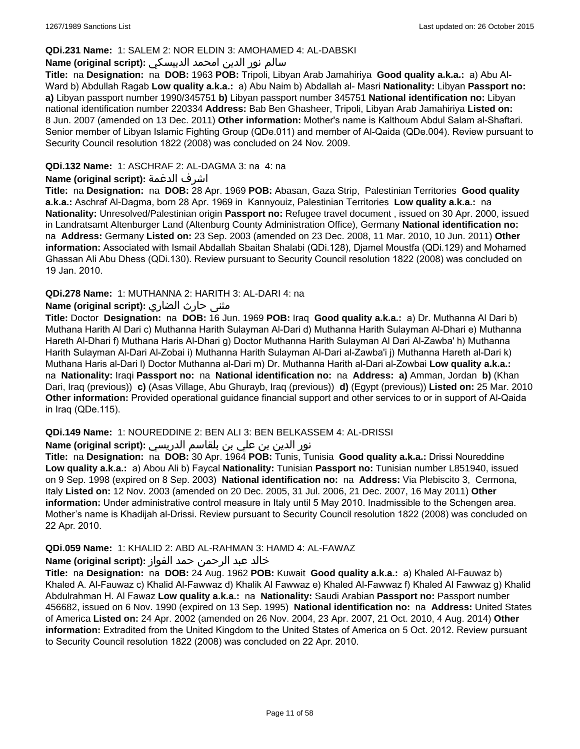### **QDi.231 Name:** 1: SALEM 2: NOR ELDIN 3: AMOHAMED 4: AL-DABSKI

# سالم نور الدين امحمد الدبيسكي **:(script original (Name**

**Title:** na **Designation:** na **DOB:** 1963 **POB:** Tripoli, Libyan Arab Jamahiriya **Good quality a.k.a.:** a) Abu Al-Ward b) Abdullah Ragab **Low quality a.k.a.:** a) Abu Naim b) Abdallah al- Masri **Nationality:** Libyan **Passport no: a)** Libyan passport number 1990/345751 **b)** Libyan passport number 345751 **National identification no:** Libyan national identification number 220334 **Address:** Bab Ben Ghasheer, Tripoli, Libyan Arab Jamahiriya **Listed on:** 8 Jun. 2007 (amended on 13 Dec. 2011) **Other information:** Mother's name is Kalthoum Abdul Salam al-Shaftari. Senior member of Libyan Islamic Fighting Group (QDe.011) and member of Al-Qaida (QDe.004). Review pursuant to Security Council resolution 1822 (2008) was concluded on 24 Nov. 2009.

### **QDi.132 Name:** 1: ASCHRAF 2: AL-DAGMA 3: na 4: na

### **Name (original script):** الدغمة اشرف

**Title:** na **Designation:** na **DOB:** 28 Apr. 1969 **POB:** Abasan, Gaza Strip, Palestinian Territories **Good quality a.k.a.:** Aschraf Al-Dagma, born 28 Apr. 1969 in Kannyouiz, Palestinian Territories **Low quality a.k.a.:** na **Nationality:** Unresolved/Palestinian origin **Passport no:** Refugee travel document , issued on 30 Apr. 2000, issued in Landratsamt Altenburger Land (Altenburg County Administration Office), Germany **National identification no:**  na **Address:** Germany **Listed on:** 23 Sep. 2003 (amended on 23 Dec. 2008, 11 Mar. 2010, 10 Jun. 2011) **Other information:** Associated with Ismail Abdallah Sbaitan Shalabi (QDi.128), Djamel Moustfa (QDi.129) and Mohamed Ghassan Ali Abu Dhess (QDi.130). Review pursuant to Security Council resolution 1822 (2008) was concluded on 19 Jan. 2010.

### **QDi.278 Name:** 1: MUTHANNA 2: HARITH 3: AL-DARI 4: na

### مثنى حارث الضاري **:Name (original script**)

**Title:** Doctor **Designation:** na **DOB:** 16 Jun. 1969 **POB:** Iraq **Good quality a.k.a.:** a) Dr. Muthanna Al Dari b) Muthana Harith Al Dari c) Muthanna Harith Sulayman Al-Dari d) Muthanna Harith Sulayman Al-Dhari e) Muthanna Hareth Al-Dhari f) Muthana Haris Al-Dhari g) Doctor Muthanna Harith Sulayman Al Dari Al-Zawba' h) Muthanna Harith Sulayman Al-Dari Al-Zobai i) Muthanna Harith Sulayman Al-Dari al-Zawba'i j) Muthanna Hareth al-Dari k) Muthana Haris al-Dari l) Doctor Muthanna al-Dari m) Dr. Muthanna Harith al-Dari al-Zowbai **Low quality a.k.a.:**  na **Nationality:** Iraqi **Passport no:** na **National identification no:** na **Address: a)** Amman, Jordan **b)** (Khan Dari, Iraq (previous)) **c)** (Asas Village, Abu Ghurayb, Iraq (previous)) **d)** (Egypt (previous)) **Listed on:** 25 Mar. 2010 **Other information:** Provided operational guidance financial support and other services to or in support of Al-Qaida in Iraq (QDe.115).

#### **QDi.149 Name:** 1: NOUREDDINE 2: BEN ALI 3: BEN BELKASSEM 4: AL-DRISSI

#### نور الدين بن علي بن بلقاسم الدريسي **:(script original (Name**

**Title:** na **Designation:** na **DOB:** 30 Apr. 1964 **POB:** Tunis, Tunisia **Good quality a.k.a.:** Drissi Noureddine **Low quality a.k.a.:** a) Abou Ali b) Faycal **Nationality:** Tunisian **Passport no:** Tunisian number L851940, issued on 9 Sep. 1998 (expired on 8 Sep. 2003) **National identification no:** na **Address:** Via Plebiscito 3, Cermona, Italy **Listed on:** 12 Nov. 2003 (amended on 20 Dec. 2005, 31 Jul. 2006, 21 Dec. 2007, 16 May 2011) **Other information:** Under administrative control measure in Italy until 5 May 2010. Inadmissible to the Schengen area. Mother's name is Khadijah al-Drissi. Review pursuant to Security Council resolution 1822 (2008) was concluded on 22 Apr. 2010.

# **QDi.059 Name:** 1: KHALID 2: ABD AL-RAHMAN 3: HAMD 4: AL-FAWAZ

# خالد عبد الرحمن حمد الفواز **:(script original (Name**

**Title:** na **Designation:** na **DOB:** 24 Aug. 1962 **POB:** Kuwait **Good quality a.k.a.:** a) Khaled Al-Fauwaz b) Khaled A. Al-Fauwaz c) Khalid Al-Fawwaz d) Khalik Al Fawwaz e) Khaled Al-Fawwaz f) Khaled Al Fawwaz g) Khalid Abdulrahman H. Al Fawaz **Low quality a.k.a.:** na **Nationality:** Saudi Arabian **Passport no:** Passport number 456682, issued on 6 Nov. 1990 (expired on 13 Sep. 1995) **National identification no:** na **Address:** United States of America **Listed on:** 24 Apr. 2002 (amended on 26 Nov. 2004, 23 Apr. 2007, 21 Oct. 2010, 4 Aug. 2014) **Other information:** Extradited from the United Kingdom to the United States of America on 5 Oct. 2012. Review pursuant to Security Council resolution 1822 (2008) was concluded on 22 Apr. 2010.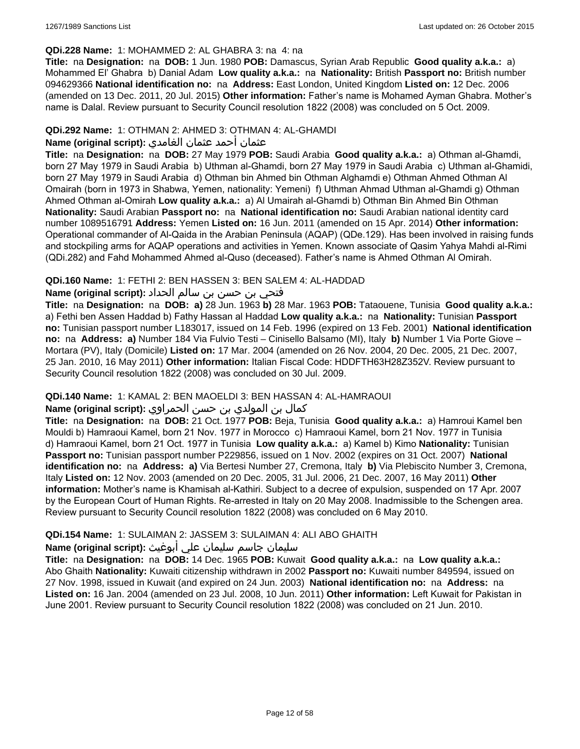### **QDi.228 Name:** 1: MOHAMMED 2: AL GHABRA 3: na 4: na

**Title:** na **Designation:** na **DOB:** 1 Jun. 1980 **POB:** Damascus, Syrian Arab Republic **Good quality a.k.a.:** a) Mohammed El' Ghabra b) Danial Adam **Low quality a.k.a.:** na **Nationality:** British **Passport no:** British number 094629366 **National identification no:** na **Address:** East London, United Kingdom **Listed on:** 12 Dec. 2006 (amended on 13 Dec. 2011, 20 Jul. 2015) **Other information:** Father's name is Mohamed Ayman Ghabra. Mother's name is Dalal. Review pursuant to Security Council resolution 1822 (2008) was concluded on 5 Oct. 2009.

### **QDi.292 Name:** 1: OTHMAN 2: AHMED 3: OTHMAN 4: AL-GHAMDI

### عثمان أحمد عثمان الغامدي **:(script original (Name**

**Title:** na **Designation:** na **DOB:** 27 May 1979 **POB:** Saudi Arabia **Good quality a.k.a.:** a) Othman al-Ghamdi, born 27 May 1979 in Saudi Arabia b) Uthman al-Ghamdi, born 27 May 1979 in Saudi Arabia c) Uthman al-Ghamidi, born 27 May 1979 in Saudi Arabia d) Othman bin Ahmed bin Othman Alghamdi e) Othman Ahmed Othman Al Omairah (born in 1973 in Shabwa, Yemen, nationality: Yemeni) f) Uthman Ahmad Uthman al-Ghamdi g) Othman Ahmed Othman al-Omirah **Low quality a.k.a.:** a) Al Umairah al-Ghamdi b) Othman Bin Ahmed Bin Othman **Nationality:** Saudi Arabian **Passport no:** na **National identification no:** Saudi Arabian national identity card number 1089516791 **Address:** Yemen **Listed on:** 16 Jun. 2011 (amended on 15 Apr. 2014) **Other information:** Operational commander of Al-Qaida in the Arabian Peninsula (AQAP) (QDe.129). Has been involved in raising funds and stockpiling arms for AQAP operations and activities in Yemen. Known associate of Qasim Yahya Mahdi al-Rimi (QDi.282) and Fahd Mohammed Ahmed al-Quso (deceased). Father's name is Ahmed Othman Al Omirah.

### **QDi.160 Name:** 1: FETHI 2: BEN HASSEN 3: BEN SALEM 4: AL-HADDAD

### فتحي بن حسن بن سالم الحداد **:(script original (Name**

**Title:** na **Designation:** na **DOB: a)** 28 Jun. 1963 **b)** 28 Mar. 1963 **POB:** Tataouene, Tunisia **Good quality a.k.a.:** a) Fethi ben Assen Haddad b) Fathy Hassan al Haddad **Low quality a.k.a.:** na **Nationality:** Tunisian **Passport no:** Tunisian passport number L183017, issued on 14 Feb. 1996 (expired on 13 Feb. 2001) **National identification no:** na **Address: a)** Number 184 Via Fulvio Testi – Cinisello Balsamo (MI), Italy **b)** Number 1 Via Porte Giove – Mortara (PV), Italy (Domicile) **Listed on:** 17 Mar. 2004 (amended on 26 Nov. 2004, 20 Dec. 2005, 21 Dec. 2007, 25 Jan. 2010, 16 May 2011) **Other information:** Italian Fiscal Code: HDDFTH63H28Z352V. Review pursuant to Security Council resolution 1822 (2008) was concluded on 30 Jul. 2009.

# **QDi.140 Name:** 1: KAMAL 2: BEN MAOELDI 3: BEN HASSAN 4: AL-HAMRAOUI

# كمال بن المولدي بن حسن الحمراوي **:(script original (Name**

**Title:** na **Designation:** na **DOB:** 21 Oct. 1977 **POB:** Beja, Tunisia **Good quality a.k.a.:** a) Hamroui Kamel ben Mouldi b) Hamraoui Kamel, born 21 Nov. 1977 in Morocco c) Hamraoui Kamel, born 21 Nov. 1977 in Tunisia d) Hamraoui Kamel, born 21 Oct. 1977 in Tunisia **Low quality a.k.a.:** a) Kamel b) Kimo **Nationality:** Tunisian **Passport no:** Tunisian passport number P229856, issued on 1 Nov. 2002 (expires on 31 Oct. 2007) **National identification no:** na **Address: a)** Via Bertesi Number 27, Cremona, Italy **b)** Via Plebiscito Number 3, Cremona, Italy **Listed on:** 12 Nov. 2003 (amended on 20 Dec. 2005, 31 Jul. 2006, 21 Dec. 2007, 16 May 2011) **Other information:** Mother's name is Khamisah al-Kathiri. Subject to a decree of expulsion, suspended on 17 Apr. 2007 by the European Court of Human Rights. Re-arrested in Italy on 20 May 2008. Inadmissible to the Schengen area. Review pursuant to Security Council resolution 1822 (2008) was concluded on 6 May 2010.

# **QDi.154 Name:** 1: SULAIMAN 2: JASSEM 3: SULAIMAN 4: ALI ABO GHAITH

### سليمان جاسم سليمان علي أبوغيث **:(script original (Name**

**Title:** na **Designation:** na **DOB:** 14 Dec. 1965 **POB:** Kuwait **Good quality a.k.a.:** na **Low quality a.k.a.:** Abo Ghaith **Nationality:** Kuwaiti citizenship withdrawn in 2002 **Passport no:** Kuwaiti number 849594, issued on 27 Nov. 1998, issued in Kuwait (and expired on 24 Jun. 2003) **National identification no:** na **Address:** na **Listed on:** 16 Jan. 2004 (amended on 23 Jul. 2008, 10 Jun. 2011) **Other information:** Left Kuwait for Pakistan in June 2001. Review pursuant to Security Council resolution 1822 (2008) was concluded on 21 Jun. 2010.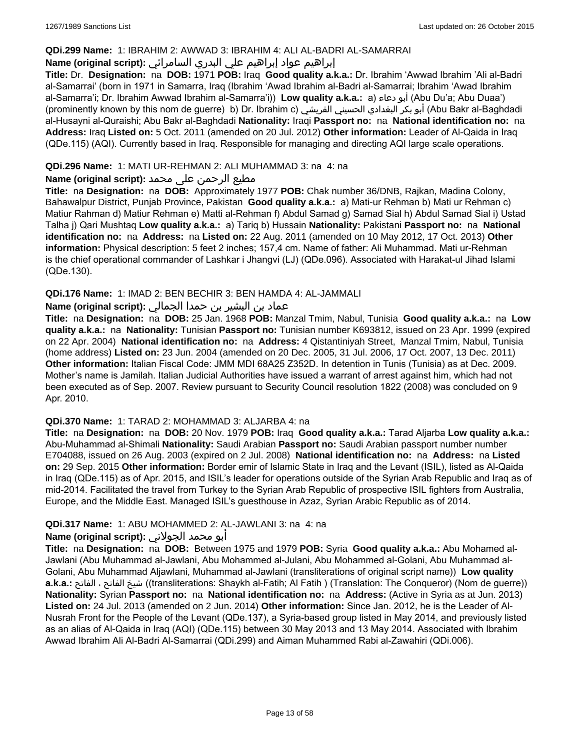### **QDi.299 Name:** 1: IBRAHIM 2: AWWAD 3: IBRAHIM 4: ALI AL-BADRI AL-SAMARRAI

# إبراهيم عواد إبراهيم علي البدري السامرائي **:(script original (Name**

**Title:** Dr. **Designation:** na **DOB:** 1971 **POB:** Iraq **Good quality a.k.a.:** Dr. Ibrahim 'Awwad Ibrahim 'Ali al-Badri al-Samarrai' (born in 1971 in Samarra, Iraq (Ibrahim 'Awad Ibrahim al-Badri al-Samarrai; Ibrahim 'Awad Ibrahim al-Samarra'i; Dr. Ibrahim Awwad Ibrahim al-Samarra'i)) **Low quality a.k.a.:** a) دعاء أبو) Abu Du'a; Abu Duaa') (prominently known by this nom de guerre) b) Dr. Ibrahim c) القريشي الحسيني البغدادي بكر أبو) Abu Bakr al-Baghdadi al-Husayni al-Quraishi; Abu Bakr al-Baghdadi **Nationality:** Iraqi **Passport no:** na **National identification no:** na **Address:** Iraq **Listed on:** 5 Oct. 2011 (amended on 20 Jul. 2012) **Other information:** Leader of Al-Qaida in Iraq (QDe.115) (AQI). Currently based in Iraq. Responsible for managing and directing AQI large scale operations.

# **QDi.296 Name:** 1: MATI UR-REHMAN 2: ALI MUHAMMAD 3: na 4: na

# مطیع الرحمن علی محمد **:Name (original script)**

**Title:** na **Designation:** na **DOB:** Approximately 1977 **POB:** Chak number 36/DNB, Rajkan, Madina Colony, Bahawalpur District, Punjab Province, Pakistan **Good quality a.k.a.:** a) Mati-ur Rehman b) Mati ur Rehman c) Matiur Rahman d) Matiur Rehman e) Matti al-Rehman f) Abdul Samad g) Samad Sial h) Abdul Samad Sial i) Ustad Talha j) Qari Mushtaq **Low quality a.k.a.:** a) Tariq b) Hussain **Nationality:** Pakistani **Passport no:** na **National identification no:** na **Address:** na **Listed on:** 22 Aug. 2011 (amended on 10 May 2012, 17 Oct. 2013) **Other information:** Physical description: 5 feet 2 inches; 157,4 cm. Name of father: Ali Muhammad. Mati ur-Rehman is the chief operational commander of Lashkar i Jhangvi (LJ) (QDe.096). Associated with Harakat-ul Jihad Islami (QDe.130).

# **QDi.176 Name:** 1: IMAD 2: BEN BECHIR 3: BEN HAMDA 4: AL-JAMMALI

# عماد بن البشير بن حمدا الجمالي **:(script original (Name**

**Title:** na **Designation:** na **DOB:** 25 Jan. 1968 **POB:** Manzal Tmim, Nabul, Tunisia **Good quality a.k.a.:** na **Low quality a.k.a.:** na **Nationality:** Tunisian **Passport no:** Tunisian number K693812, issued on 23 Apr. 1999 (expired on 22 Apr. 2004) **National identification no:** na **Address:** 4 Qistantiniyah Street, Manzal Tmim, Nabul, Tunisia (home address) **Listed on:** 23 Jun. 2004 (amended on 20 Dec. 2005, 31 Jul. 2006, 17 Oct. 2007, 13 Dec. 2011) **Other information:** Italian Fiscal Code: JMM MDI 68A25 Z352D. In detention in Tunis (Tunisia) as at Dec. 2009. Mother's name is Jamilah. Italian Judicial Authorities have issued a warrant of arrest against him, which had not been executed as of Sep. 2007. Review pursuant to Security Council resolution 1822 (2008) was concluded on 9 Apr. 2010.

#### **QDi.370 Name:** 1: TARAD 2: MOHAMMAD 3: ALJARBA 4: na

**Title:** na **Designation:** na **DOB:** 20 Nov. 1979 **POB:** Iraq **Good quality a.k.a.:** Tarad Aljarba **Low quality a.k.a.:** Abu-Muhammad al-Shimali **Nationality:** Saudi Arabian **Passport no:** Saudi Arabian passport number number E704088, issued on 26 Aug. 2003 (expired on 2 Jul. 2008) **National identification no:** na **Address:** na **Listed on:** 29 Sep. 2015 **Other information:** Border emir of Islamic State in Iraq and the Levant (ISIL), listed as Al-Qaida in Iraq (QDe.115) as of Apr. 2015, and ISIL's leader for operations outside of the Syrian Arab Republic and Iraq as of mid-2014. Facilitated the travel from Turkey to the Syrian Arab Republic of prospective ISIL fighters from Australia, Europe, and the Middle East. Managed ISIL's guesthouse in Azaz, Syrian Arabic Republic as of 2014.

#### **QDi.317 Name:** 1: ABU MOHAMMED 2: AL-JAWLANI 3: na 4: na

# أبو محمد الجولاني **:(script original (Name**

**Title:** na **Designation:** na **DOB:** Between 1975 and 1979 **POB:** Syria **Good quality a.k.a.:** Abu Mohamed al-Jawlani (Abu Muhammad al-Jawlani, Abu Mohammed al-Julani, Abu Mohammed al-Golani, Abu Muhammad al-Golani, Abu Muhammad Aljawlani, Muhammad al-Jawlani (transliterations of original script name)) **Low quality a.k.a.:** الفاتح ، الفاتح شيخ)) transliterations: Shaykh al-Fatih; Al Fatih ) (Translation: The Conqueror) (Nom de guerre)) **Nationality:** Syrian **Passport no:** na **National identification no:** na **Address:** (Active in Syria as at Jun. 2013) **Listed on:** 24 Jul. 2013 (amended on 2 Jun. 2014) **Other information:** Since Jan. 2012, he is the Leader of Al-Nusrah Front for the People of the Levant (QDe.137), a Syria-based group listed in May 2014, and previously listed as an alias of Al-Qaida in Iraq (AQI) (QDe.115) between 30 May 2013 and 13 May 2014. Associated with Ibrahim Awwad Ibrahim Ali Al-Badri Al-Samarrai (QDi.299) and Aiman Muhammed Rabi al-Zawahiri (QDi.006).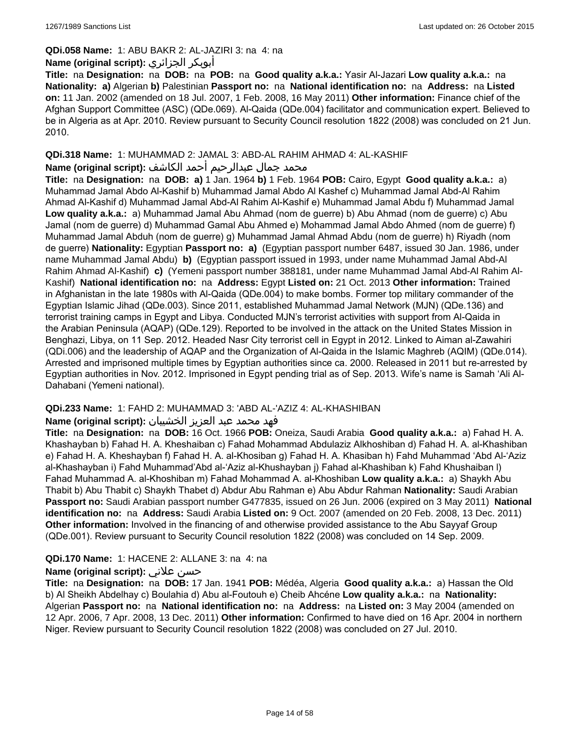# **QDi.058 Name:** 1: ABU BAKR 2: AL-JAZIRI 3: na 4: na

# **Name (original script):** الجزائري أبوبكر

**Title:** na **Designation:** na **DOB:** na **POB:** na **Good quality a.k.a.:** Yasir Al-Jazari **Low quality a.k.a.:** na **Nationality: a)** Algerian **b)** Palestinian **Passport no:** na **National identification no:** na **Address:** na **Listed on:** 11 Jan. 2002 (amended on 18 Jul. 2007, 1 Feb. 2008, 16 May 2011) **Other information:** Finance chief of the Afghan Support Committee (ASC) (QDe.069). Al-Qaida (QDe.004) facilitator and communication expert. Believed to be in Algeria as at Apr. 2010. Review pursuant to Security Council resolution 1822 (2008) was concluded on 21 Jun. 2010.

#### **QDi.318 Name:** 1: MUHAMMAD 2: JAMAL 3: ABD-AL RAHIM AHMAD 4: AL-KASHIF محمد جمال عبدالرحيم أحمد الكاشف **:Name (original script**)

**Title:** na **Designation:** na **DOB: a)** 1 Jan. 1964 **b)** 1 Feb. 1964 **POB:** Cairo, Egypt **Good quality a.k.a.:** a) Muhammad Jamal Abdo Al-Kashif b) Muhammad Jamal Abdo Al Kashef c) Muhammad Jamal Abd-Al Rahim Ahmad Al-Kashif d) Muhammad Jamal Abd-Al Rahim Al-Kashif e) Muhammad Jamal Abdu f) Muhammad Jamal **Low quality a.k.a.:** a) Muhammad Jamal Abu Ahmad (nom de guerre) b) Abu Ahmad (nom de guerre) c) Abu Jamal (nom de guerre) d) Muhammad Gamal Abu Ahmed e) Mohammad Jamal Abdo Ahmed (nom de guerre) f) Muhammad Jamal Abduh (nom de guerre) g) Muhammad Jamal Ahmad Abdu (nom de guerre) h) Riyadh (nom de guerre) **Nationality:** Egyptian **Passport no: a)** (Egyptian passport number 6487, issued 30 Jan. 1986, under name Muhammad Jamal Abdu) **b)** (Egyptian passport issued in 1993, under name Muhammad Jamal Abd-Al Rahim Ahmad Al-Kashif) **c)** (Yemeni passport number 388181, under name Muhammad Jamal Abd-Al Rahim Al-Kashif) **National identification no:** na **Address:** Egypt **Listed on:** 21 Oct. 2013 **Other information:** Trained in Afghanistan in the late 1980s with Al-Qaida (QDe.004) to make bombs. Former top military commander of the Egyptian Islamic Jihad (QDe.003). Since 2011, established Muhammad Jamal Network (MJN) (QDe.136) and terrorist training camps in Egypt and Libya. Conducted MJN's terrorist activities with support from Al-Qaida in the Arabian Peninsula (AQAP) (QDe.129). Reported to be involved in the attack on the United States Mission in Benghazi, Libya, on 11 Sep. 2012. Headed Nasr City terrorist cell in Egypt in 2012. Linked to Aiman al-Zawahiri (QDi.006) and the leadership of AQAP and the Organization of Al-Qaida in the Islamic Maghreb (AQIM) (QDe.014). Arrested and imprisoned multiple times by Egyptian authorities since ca. 2000. Released in 2011 but re-arrested by Egyptian authorities in Nov. 2012. Imprisoned in Egypt pending trial as of Sep. 2013. Wife's name is Samah 'Ali Al-Dahabani (Yemeni national).

# **QDi.233 Name:** 1: FAHD 2: MUHAMMAD 3: 'ABD AL-'AZIZ 4: AL-KHASHIBAN

#### فهد محمد عبد العزيز الخشيبان **:(script original (Name**

**Title:** na **Designation:** na **DOB:** 16 Oct. 1966 **POB:** Oneiza, Saudi Arabia **Good quality a.k.a.:** a) Fahad H. A. Khashayban b) Fahad H. A. Kheshaiban c) Fahad Mohammad Abdulaziz Alkhoshiban d) Fahad H. A. al-Khashiban e) Fahad H. A. Kheshayban f) Fahad H. A. al-Khosiban g) Fahad H. A. Khasiban h) Fahd Muhammad 'Abd Al-'Aziz al-Khashayban i) Fahd Muhammad'Abd al-'Aziz al-Khushayban j) Fahad al-Khashiban k) Fahd Khushaiban l) Fahad Muhammad A. al-Khoshiban m) Fahad Mohammad A. al-Khoshiban **Low quality a.k.a.:** a) Shaykh Abu Thabit b) Abu Thabit c) Shaykh Thabet d) Abdur Abu Rahman e) Abu Abdur Rahman **Nationality:** Saudi Arabian **Passport no:** Saudi Arabian passport number G477835, issued on 26 Jun. 2006 (expired on 3 May 2011) **National identification no:** na **Address:** Saudi Arabia **Listed on:** 9 Oct. 2007 (amended on 20 Feb. 2008, 13 Dec. 2011) **Other information:** Involved in the financing of and otherwise provided assistance to the Abu Sayyaf Group (QDe.001). Review pursuant to Security Council resolution 1822 (2008) was concluded on 14 Sep. 2009.

# **QDi.170 Name:** 1: HACENE 2: ALLANE 3: na 4: na

# **Name (original script):** علاني حسن

**Title:** na **Designation:** na **DOB:** 17 Jan. 1941 **POB:** Médéa, Algeria **Good quality a.k.a.:** a) Hassan the Old b) Al Sheikh Abdelhay c) Boulahia d) Abu al-Foutouh e) Cheib Ahcéne **Low quality a.k.a.:** na **Nationality:** Algerian **Passport no:** na **National identification no:** na **Address:** na **Listed on:** 3 May 2004 (amended on 12 Apr. 2006, 7 Apr. 2008, 13 Dec. 2011) **Other information:** Confirmed to have died on 16 Apr. 2004 in northern Niger. Review pursuant to Security Council resolution 1822 (2008) was concluded on 27 Jul. 2010.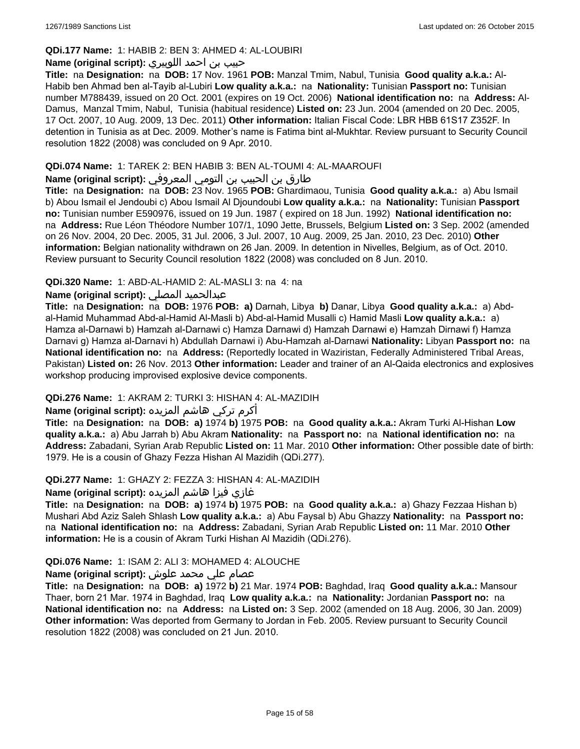### **QDi.177 Name:** 1: HABIB 2: BEN 3: AHMED 4: AL-LOUBIRI

### حبيب بن احمد اللوبيري **:(script original (Name**

**Title:** na **Designation:** na **DOB:** 17 Nov. 1961 **POB:** Manzal Tmim, Nabul, Tunisia **Good quality a.k.a.:** Al-Habib ben Ahmad ben al-Tayib al-Lubiri **Low quality a.k.a.:** na **Nationality:** Tunisian **Passport no:** Tunisian number M788439, issued on 20 Oct. 2001 (expires on 19 Oct. 2006) **National identification no:** na **Address:** Al-Damus, Manzal Tmim, Nabul, Tunisia (habitual residence) **Listed on:** 23 Jun. 2004 (amended on 20 Dec. 2005, 17 Oct. 2007, 10 Aug. 2009, 13 Dec. 2011) **Other information:** Italian Fiscal Code: LBR HBB 61S17 Z352F. In detention in Tunisia as at Dec. 2009. Mother's name is Fatima bint al-Mukhtar. Review pursuant to Security Council resolution 1822 (2008) was concluded on 9 Apr. 2010.

# **QDi.074 Name:** 1: TAREK 2: BEN HABIB 3: BEN AL-TOUMI 4: AL-MAAROUFI

# طارق بن الحبيب بن التومي المعروفي **:(script original (Name**

**Title:** na **Designation:** na **DOB:** 23 Nov. 1965 **POB:** Ghardimaou, Tunisia **Good quality a.k.a.:** a) Abu Ismail b) Abou Ismail el Jendoubi c) Abou Ismail Al Djoundoubi **Low quality a.k.a.:** na **Nationality:** Tunisian **Passport no:** Tunisian number E590976, issued on 19 Jun. 1987 ( expired on 18 Jun. 1992) **National identification no:**  na **Address:** Rue Léon Théodore Number 107/1, 1090 Jette, Brussels, Belgium **Listed on:** 3 Sep. 2002 (amended on 26 Nov. 2004, 20 Dec. 2005, 31 Jul. 2006, 3 Jul. 2007, 10 Aug. 2009, 25 Jan. 2010, 23 Dec. 2010) **Other information:** Belgian nationality withdrawn on 26 Jan. 2009. In detention in Nivelles, Belgium, as of Oct. 2010. Review pursuant to Security Council resolution 1822 (2008) was concluded on 8 Jun. 2010.

### **QDi.320 Name:** 1: ABD-AL-HAMID 2: AL-MASLI 3: na 4: na

# **Name (original script):** المصلي عبدالحميد

**Title:** na **Designation:** na **DOB:** 1976 **POB: a)** Darnah, Libya **b)** Danar, Libya **Good quality a.k.a.:** a) Abdal-Hamid Muhammad Abd-al-Hamid Al-Masli b) Abd-al-Hamid Musalli c) Hamid Masli **Low quality a.k.a.:** a) Hamza al-Darnawi b) Hamzah al-Darnawi c) Hamza Darnawi d) Hamzah Darnawi e) Hamzah Dirnawi f) Hamza Darnavi g) Hamza al-Darnavi h) Abdullah Darnawi i) Abu-Hamzah al-Darnawi **Nationality:** Libyan **Passport no:** na **National identification no:** na **Address:** (Reportedly located in Waziristan, Federally Administered Tribal Areas, Pakistan) **Listed on:** 26 Nov. 2013 **Other information:** Leader and trainer of an Al-Qaida electronics and explosives workshop producing improvised explosive device components.

# **QDi.276 Name:** 1: AKRAM 2: TURKI 3: HISHAN 4: AL-MAZIDIH

# أكرم تركي هاشم المزيده **:(script original (Name**

**Title:** na **Designation:** na **DOB: a)** 1974 **b)** 1975 **POB:** na **Good quality a.k.a.:** Akram Turki Al-Hishan **Low quality a.k.a.:** a) Abu Jarrah b) Abu Akram **Nationality:** na **Passport no:** na **National identification no:** na **Address:** Zabadani, Syrian Arab Republic **Listed on:** 11 Mar. 2010 **Other information:** Other possible date of birth: 1979. He is a cousin of Ghazy Fezza Hishan Al Mazidih (QDi.277).

#### **QDi.277 Name:** 1: GHAZY 2: FEZZA 3: HISHAN 4: AL-MAZIDIH

#### غازي فيزا هاشم المزيده **:(script original (Name**

**Title:** na **Designation:** na **DOB: a)** 1974 **b)** 1975 **POB:** na **Good quality a.k.a.:** a) Ghazy Fezzaa Hishan b) Mushari Abd Aziz Saleh Shlash **Low quality a.k.a.:** a) Abu Faysal b) Abu Ghazzy **Nationality:** na **Passport no:**  na **National identification no:** na **Address:** Zabadani, Syrian Arab Republic **Listed on:** 11 Mar. 2010 **Other information:** He is a cousin of Akram Turki Hishan Al Mazidih (QDi.276).

#### **QDi.076 Name:** 1: ISAM 2: ALI 3: MOHAMED 4: ALOUCHE

# عصام علي محمد علوش **:(script original (Name**

**Title:** na **Designation:** na **DOB: a)** 1972 **b)** 21 Mar. 1974 **POB:** Baghdad, Iraq **Good quality a.k.a.:** Mansour Thaer, born 21 Mar. 1974 in Baghdad, Iraq **Low quality a.k.a.:** na **Nationality:** Jordanian **Passport no:** na **National identification no:** na **Address:** na **Listed on:** 3 Sep. 2002 (amended on 18 Aug. 2006, 30 Jan. 2009) **Other information:** Was deported from Germany to Jordan in Feb. 2005. Review pursuant to Security Council resolution 1822 (2008) was concluded on 21 Jun. 2010.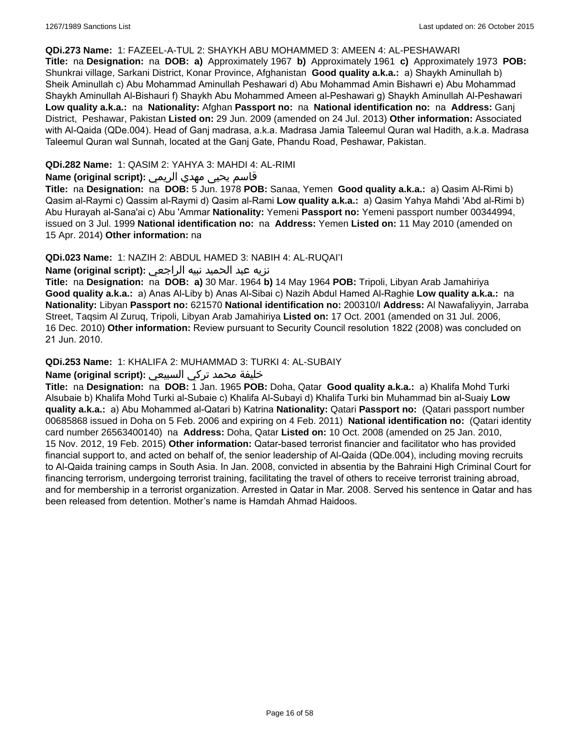#### **QDi.273 Name:** 1: FAZEEL-A-TUL 2: SHAYKH ABU MOHAMMED 3: AMEEN 4: AL-PESHAWARI

**Title:** na **Designation:** na **DOB: a)** Approximately 1967 **b)** Approximately 1961 **c)** Approximately 1973 **POB:** Shunkrai village, Sarkani District, Konar Province, Afghanistan **Good quality a.k.a.:** a) Shaykh Aminullah b) Sheik Aminullah c) Abu Mohammad Aminullah Peshawari d) Abu Mohammad Amin Bishawri e) Abu Mohammad Shaykh Aminullah Al-Bishauri f) Shaykh Abu Mohammed Ameen al-Peshawari g) Shaykh Aminullah Al-Peshawari **Low quality a.k.a.:** na **Nationality:** Afghan **Passport no:** na **National identification no:** na **Address:** Ganj District, Peshawar, Pakistan **Listed on:** 29 Jun. 2009 (amended on 24 Jul. 2013) **Other information:** Associated with Al-Qaida (QDe.004). Head of Ganj madrasa, a.k.a. Madrasa Jamia Taleemul Quran wal Hadith, a.k.a. Madrasa Taleemul Quran wal Sunnah, located at the Ganj Gate, Phandu Road, Peshawar, Pakistan.

#### **QDi.282 Name:** 1: QASIM 2: YAHYA 3: MAHDI 4: AL-RIMI

#### قاسم يحيى مهدي الريمي **:(script original (Name**

**Title:** na **Designation:** na **DOB:** 5 Jun. 1978 **POB:** Sanaa, Yemen **Good quality a.k.a.:** a) Qasim Al-Rimi b) Qasim al-Raymi c) Qassim al-Raymi d) Qasim al-Rami **Low quality a.k.a.:** a) Qasim Yahya Mahdi 'Abd al-Rimi b) Abu Hurayah al-Sana'ai c) Abu 'Ammar **Nationality:** Yemeni **Passport no:** Yemeni passport number 00344994, issued on 3 Jul. 1999 **National identification no:** na **Address:** Yemen **Listed on:** 11 May 2010 (amended on 15 Apr. 2014) **Other information:** na

#### **QDi.023 Name:** 1: NAZIH 2: ABDUL HAMED 3: NABIH 4: AL-RUQAI'I

# نزيه عبد الحميد نبيه الراجعي **:(script original (Name**

**Title:** na **Designation:** na **DOB: a)** 30 Mar. 1964 **b)** 14 May 1964 **POB:** Tripoli, Libyan Arab Jamahiriya **Good quality a.k.a.:** a) Anas Al-Liby b) Anas Al-Sibai c) Nazih Abdul Hamed Al-Raghie **Low quality a.k.a.:** na **Nationality:** Libyan **Passport no:** 621570 **National identification no:** 200310/I **Address:** Al Nawafaliyyin, Jarraba Street, Taqsim Al Zuruq, Tripoli, Libyan Arab Jamahiriya **Listed on:** 17 Oct. 2001 (amended on 31 Jul. 2006, 16 Dec. 2010) **Other information:** Review pursuant to Security Council resolution 1822 (2008) was concluded on 21 Jun. 2010.

#### **QDi.253 Name:** 1: KHALIFA 2: MUHAMMAD 3: TURKI 4: AL-SUBAIY

### خليفة محمد تركي السبيعي **:(script original (Name**

**Title:** na **Designation:** na **DOB:** 1 Jan. 1965 **POB:** Doha, Qatar **Good quality a.k.a.:** a) Khalifa Mohd Turki Alsubaie b) Khalifa Mohd Turki al-Subaie c) Khalifa Al-Subayi d) Khalifa Turki bin Muhammad bin al-Suaiy **Low quality a.k.a.:** a) Abu Mohammed al-Qatari b) Katrina **Nationality:** Qatari **Passport no:** (Qatari passport number 00685868 issued in Doha on 5 Feb. 2006 and expiring on 4 Feb. 2011) **National identification no:** (Qatari identity card number 26563400140) na **Address:** Doha, Qatar **Listed on:** 10 Oct. 2008 (amended on 25 Jan. 2010, 15 Nov. 2012, 19 Feb. 2015) **Other information:** Qatar-based terrorist financier and facilitator who has provided financial support to, and acted on behalf of, the senior leadership of Al-Qaida (QDe.004), including moving recruits to Al-Qaida training camps in South Asia. In Jan. 2008, convicted in absentia by the Bahraini High Criminal Court for financing terrorism, undergoing terrorist training, facilitating the travel of others to receive terrorist training abroad, and for membership in a terrorist organization. Arrested in Qatar in Mar. 2008. Served his sentence in Qatar and has been released from detention. Mother's name is Hamdah Ahmad Haidoos.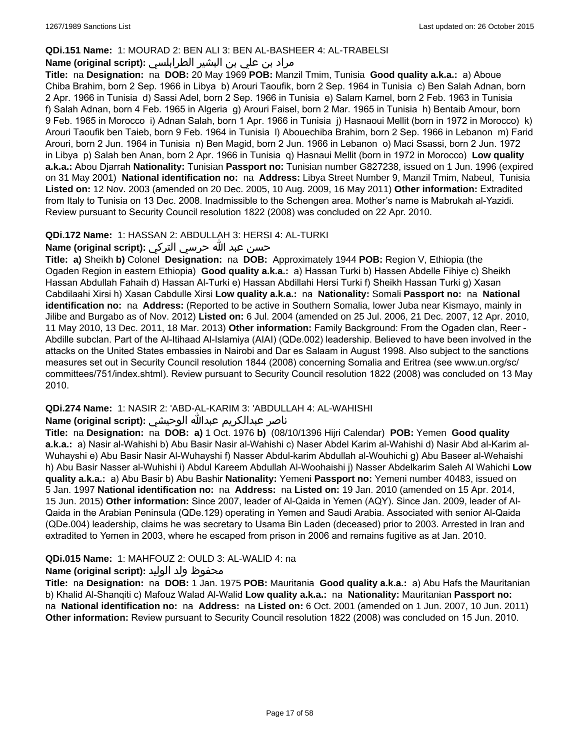### **QDi.151 Name:** 1: MOURAD 2: BEN ALI 3: BEN AL-BASHEER 4: AL-TRABELSI

# مراد بن علي بن البشير الطرابلسي **:Name (original script)**

**Title:** na **Designation:** na **DOB:** 20 May 1969 **POB:** Manzil Tmim, Tunisia **Good quality a.k.a.:** a) Aboue Chiba Brahim, born 2 Sep. 1966 in Libya b) Arouri Taoufik, born 2 Sep. 1964 in Tunisia c) Ben Salah Adnan, born 2 Apr. 1966 in Tunisia d) Sassi Adel, born 2 Sep. 1966 in Tunisia e) Salam Kamel, born 2 Feb. 1963 in Tunisia f) Salah Adnan, born 4 Feb. 1965 in Algeria g) Arouri Faisel, born 2 Mar. 1965 in Tunisia h) Bentaib Amour, born 9 Feb. 1965 in Morocco i) Adnan Salah, born 1 Apr. 1966 in Tunisia j) Hasnaoui Mellit (born in 1972 in Morocco) k) Arouri Taoufik ben Taieb, born 9 Feb. 1964 in Tunisia l) Abouechiba Brahim, born 2 Sep. 1966 in Lebanon m) Farid Arouri, born 2 Jun. 1964 in Tunisia n) Ben Magid, born 2 Jun. 1966 in Lebanon o) Maci Ssassi, born 2 Jun. 1972 in Libya p) Salah ben Anan, born 2 Apr. 1966 in Tunisia q) Hasnaui Mellit (born in 1972 in Morocco) **Low quality a.k.a.:** Abou Djarrah **Nationality:** Tunisian **Passport no:** Tunisian number G827238, issued on 1 Jun. 1996 (expired on 31 May 2001) **National identification no:** na **Address:** Libya Street Number 9, Manzil Tmim, Nabeul, Tunisia **Listed on:** 12 Nov. 2003 (amended on 20 Dec. 2005, 10 Aug. 2009, 16 May 2011) **Other information:** Extradited from Italy to Tunisia on 13 Dec. 2008. Inadmissible to the Schengen area. Mother's name is Mabrukah al-Yazidi. Review pursuant to Security Council resolution 1822 (2008) was concluded on 22 Apr. 2010.

### **QDi.172 Name:** 1: HASSAN 2: ABDULLAH 3: HERSI 4: AL-TURKI

# حسن عبد الله حرسي التركي **:(script original (Name**

**Title: a)** Sheikh **b)** Colonel **Designation:** na **DOB:** Approximately 1944 **POB:** Region V, Ethiopia (the Ogaden Region in eastern Ethiopia) **Good quality a.k.a.:** a) Hassan Turki b) Hassen Abdelle Fihiye c) Sheikh Hassan Abdullah Fahaih d) Hassan Al-Turki e) Hassan Abdillahi Hersi Turki f) Sheikh Hassan Turki g) Xasan Cabdilaahi Xirsi h) Xasan Cabdulle Xirsi **Low quality a.k.a.:** na **Nationality:** Somali **Passport no:** na **National identification no:** na **Address:** (Reported to be active in Southern Somalia, lower Juba near Kismayo, mainly in Jilibe and Burgabo as of Nov. 2012) **Listed on:** 6 Jul. 2004 (amended on 25 Jul. 2006, 21 Dec. 2007, 12 Apr. 2010, 11 May 2010, 13 Dec. 2011, 18 Mar. 2013) **Other information:** Family Background: From the Ogaden clan, Reer - Abdille subclan. Part of the Al-Itihaad Al-Islamiya (AIAI) (QDe.002) leadership. Believed to have been involved in the attacks on the United States embassies in Nairobi and Dar es Salaam in August 1998. Also subject to the sanctions measures set out in Security Council resolution 1844 (2008) concerning Somalia and Eritrea (see www.un.org/sc/ committees/751/index.shtml). Review pursuant to Security Council resolution 1822 (2008) was concluded on 13 May 2010.

# **QDi.274 Name:** 1: NASIR 2: 'ABD-AL-KARIM 3: 'ABDULLAH 4: AL-WAHISHI

### ناصر عبدالكريم عبدالله الوحيشي **:(script original (Name**

**Title:** na **Designation:** na **DOB: a)** 1 Oct. 1976 **b)** (08/10/1396 Hijri Calendar) **POB:** Yemen **Good quality a.k.a.:** a) Nasir al-Wahishi b) Abu Basir Nasir al-Wahishi c) Naser Abdel Karim al-Wahishi d) Nasir Abd al-Karim al-Wuhayshi e) Abu Basir Nasir Al-Wuhayshi f) Nasser Abdul-karim Abdullah al-Wouhichi g) Abu Baseer al-Wehaishi h) Abu Basir Nasser al-Wuhishi i) Abdul Kareem Abdullah Al-Woohaishi j) Nasser Abdelkarim Saleh Al Wahichi **Low quality a.k.a.:** a) Abu Basir b) Abu Bashir **Nationality:** Yemeni **Passport no:** Yemeni number 40483, issued on 5 Jan. 1997 **National identification no:** na **Address:** na **Listed on:** 19 Jan. 2010 (amended on 15 Apr. 2014, 15 Jun. 2015) **Other information:** Since 2007, leader of Al-Qaida in Yemen (AQY). Since Jan. 2009, leader of Al-Qaida in the Arabian Peninsula (QDe.129) operating in Yemen and Saudi Arabia. Associated with senior Al-Qaida (QDe.004) leadership, claims he was secretary to Usama Bin Laden (deceased) prior to 2003. Arrested in Iran and extradited to Yemen in 2003, where he escaped from prison in 2006 and remains fugitive as at Jan. 2010.

# **QDi.015 Name:** 1: MAHFOUZ 2: OULD 3: AL-WALID 4: na

# محفوظ ولد الوليد **:(script original (Name**

**Title:** na **Designation:** na **DOB:** 1 Jan. 1975 **POB:** Mauritania **Good quality a.k.a.:** a) Abu Hafs the Mauritanian b) Khalid Al-Shanqiti c) Mafouz Walad Al-Walid **Low quality a.k.a.:** na **Nationality:** Mauritanian **Passport no:**  na **National identification no:** na **Address:** na **Listed on:** 6 Oct. 2001 (amended on 1 Jun. 2007, 10 Jun. 2011) **Other information:** Review pursuant to Security Council resolution 1822 (2008) was concluded on 15 Jun. 2010.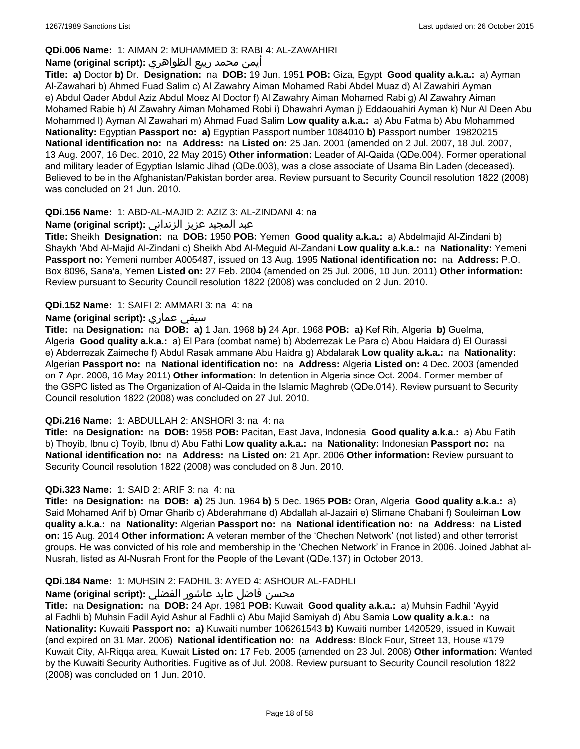# **QDi.006 Name:** 1: AIMAN 2: MUHAMMED 3: RABI 4: AL-ZAWAHIRI

# أيمن محمد ربيع الظواهري **:(script original (Name**

**Title: a)** Doctor **b)** Dr. **Designation:** na **DOB:** 19 Jun. 1951 **POB:** Giza, Egypt **Good quality a.k.a.:** a) Ayman Al-Zawahari b) Ahmed Fuad Salim c) Al Zawahry Aiman Mohamed Rabi Abdel Muaz d) Al Zawahiri Ayman e) Abdul Qader Abdul Aziz Abdul Moez Al Doctor f) Al Zawahry Aiman Mohamed Rabi g) Al Zawahry Aiman Mohamed Rabie h) Al Zawahry Aiman Mohamed Robi i) Dhawahri Ayman j) Eddaouahiri Ayman k) Nur Al Deen Abu Mohammed l) Ayman Al Zawahari m) Ahmad Fuad Salim **Low quality a.k.a.:** a) Abu Fatma b) Abu Mohammed **Nationality:** Egyptian **Passport no: a)** Egyptian Passport number 1084010 **b)** Passport number 19820215 **National identification no:** na **Address:** na **Listed on:** 25 Jan. 2001 (amended on 2 Jul. 2007, 18 Jul. 2007, 13 Aug. 2007, 16 Dec. 2010, 22 May 2015) **Other information:** Leader of Al-Qaida (QDe.004). Former operational and military leader of Egyptian Islamic Jihad (QDe.003), was a close associate of Usama Bin Laden (deceased). Believed to be in the Afghanistan/Pakistan border area. Review pursuant to Security Council resolution 1822 (2008) was concluded on 21 Jun. 2010.

### **QDi.156 Name:** 1: ABD-AL-MAJID 2: AZIZ 3: AL-ZINDANI 4: na

# عبد المجيد عزيز الزنداني **:(script original (Name**

**Title:** Sheikh **Designation:** na **DOB:** 1950 **POB:** Yemen **Good quality a.k.a.:** a) Abdelmajid Al-Zindani b) Shaykh 'Abd Al-Majid Al-Zindani c) Sheikh Abd Al-Meguid Al-Zandani **Low quality a.k.a.:** na **Nationality:** Yemeni **Passport no:** Yemeni number A005487, issued on 13 Aug. 1995 **National identification no:** na **Address:** P.O. Box 8096, Sana'a, Yemen **Listed on:** 27 Feb. 2004 (amended on 25 Jul. 2006, 10 Jun. 2011) **Other information:** Review pursuant to Security Council resolution 1822 (2008) was concluded on 2 Jun. 2010.

### **QDi.152 Name:** 1: SAIFI 2: AMMARI 3: na 4: na

# **Name (original script):** عماري سيفي

**Title:** na **Designation:** na **DOB: a)** 1 Jan. 1968 **b)** 24 Apr. 1968 **POB: a)** Kef Rih, Algeria **b)** Guelma, Algeria **Good quality a.k.a.:** a) El Para (combat name) b) Abderrezak Le Para c) Abou Haidara d) El Ourassi e) Abderrezak Zaimeche f) Abdul Rasak ammane Abu Haidra g) Abdalarak **Low quality a.k.a.:** na **Nationality:** Algerian **Passport no:** na **National identification no:** na **Address:** Algeria **Listed on:** 4 Dec. 2003 (amended on 7 Apr. 2008, 16 May 2011) **Other information:** In detention in Algeria since Oct. 2004. Former member of the GSPC listed as The Organization of Al-Qaida in the Islamic Maghreb (QDe.014). Review pursuant to Security Council resolution 1822 (2008) was concluded on 27 Jul. 2010.

#### **QDi.216 Name:** 1: ABDULLAH 2: ANSHORI 3: na 4: na

**Title:** na **Designation:** na **DOB:** 1958 **POB:** Pacitan, East Java, Indonesia **Good quality a.k.a.:** a) Abu Fatih b) Thoyib, Ibnu c) Toyib, Ibnu d) Abu Fathi **Low quality a.k.a.:** na **Nationality:** Indonesian **Passport no:** na **National identification no:** na **Address:** na **Listed on:** 21 Apr. 2006 **Other information:** Review pursuant to Security Council resolution 1822 (2008) was concluded on 8 Jun. 2010.

# **QDi.323 Name:** 1: SAID 2: ARIF 3: na 4: na

**Title:** na **Designation:** na **DOB: a)** 25 Jun. 1964 **b)** 5 Dec. 1965 **POB:** Oran, Algeria **Good quality a.k.a.:** a) Said Mohamed Arif b) Omar Gharib c) Abderahmane d) Abdallah al-Jazairi e) Slimane Chabani f) Souleiman **Low quality a.k.a.:** na **Nationality:** Algerian **Passport no:** na **National identification no:** na **Address:** na **Listed on:** 15 Aug. 2014 **Other information:** A veteran member of the 'Chechen Network' (not listed) and other terrorist groups. He was convicted of his role and membership in the 'Chechen Network' in France in 2006. Joined Jabhat al-Nusrah, listed as Al-Nusrah Front for the People of the Levant (QDe.137) in October 2013.

#### **QDi.184 Name:** 1: MUHSIN 2: FADHIL 3: AYED 4: ASHOUR AL-FADHLI

# محسن فاضل عايد عاشور الفضلي **:Name (original script)**

**Title:** na **Designation:** na **DOB:** 24 Apr. 1981 **POB:** Kuwait **Good quality a.k.a.:** a) Muhsin Fadhil 'Ayyid al Fadhli b) Muhsin Fadil Ayid Ashur al Fadhli c) Abu Majid Samiyah d) Abu Samia **Low quality a.k.a.:** na **Nationality:** Kuwaiti **Passport no: a)** Kuwaiti number 106261543 **b)** Kuwaiti number 1420529, issued in Kuwait (and expired on 31 Mar. 2006) **National identification no:** na **Address:** Block Four, Street 13, House #179 Kuwait City, Al-Riqqa area, Kuwait **Listed on:** 17 Feb. 2005 (amended on 23 Jul. 2008) **Other information:** Wanted by the Kuwaiti Security Authorities. Fugitive as of Jul. 2008. Review pursuant to Security Council resolution 1822 (2008) was concluded on 1 Jun. 2010.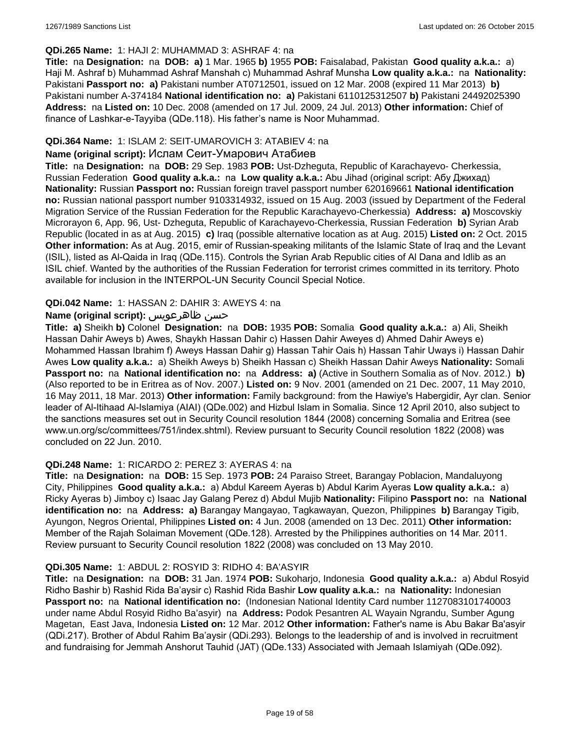### **QDi.265 Name:** 1: HAJI 2: MUHAMMAD 3: ASHRAF 4: na

**Title:** na **Designation:** na **DOB: a)** 1 Mar. 1965 **b)** 1955 **POB:** Faisalabad, Pakistan **Good quality a.k.a.:** a) Haji M. Ashraf b) Muhammad Ashraf Manshah c) Muhammad Ashraf Munsha **Low quality a.k.a.:** na **Nationality:** Pakistani **Passport no: a)** Pakistani number AT0712501, issued on 12 Mar. 2008 (expired 11 Mar 2013) **b)** Pakistani number A-374184 **National identification no: a)** Pakistani 6110125312507 **b)** Pakistani 24492025390 **Address:** na **Listed on:** 10 Dec. 2008 (amended on 17 Jul. 2009, 24 Jul. 2013) **Other information:** Chief of finance of Lashkar-e-Tayyiba (QDe.118). His father's name is Noor Muhammad.

### **QDi.364 Name:** 1: ISLAM 2: SEIT-UMAROVICH 3: ATABIEV 4: na

#### **Name (original script):** Ислам Сеит-Умарович Атабиев

**Title:** na **Designation:** na **DOB:** 29 Sep. 1983 **POB:** Ust-Dzheguta, Republic of Karachayevo- Cherkessia, Russian Federation **Good quality a.k.a.:** na **Low quality a.k.a.:** Abu Jihad (original script: Абу Джихад) **Nationality:** Russian **Passport no:** Russian foreign travel passport number 620169661 **National identification no:** Russian national passport number 9103314932, issued on 15 Aug. 2003 (issued by Department of the Federal Migration Service of the Russian Federation for the Republic Karachayevo-Cherkessia) **Address: a)** Moscovskiy Microrayon 6, App. 96, Ust- Dzheguta, Republic of Karachayevo-Cherkessia, Russian Federation **b)** Syrian Arab Republic (located in as at Aug. 2015) **c)** Iraq (possible alternative location as at Aug. 2015) **Listed on:** 2 Oct. 2015 **Other information:** As at Aug. 2015, emir of Russian-speaking militants of the Islamic State of Iraq and the Levant (ISIL), listed as Al-Qaida in Iraq (QDe.115). Controls the Syrian Arab Republic cities of Al Dana and Idlib as an ISIL chief. Wanted by the authorities of the Russian Federation for terrorist crimes committed in its territory. Photo available for inclusion in the INTERPOL-UN Security Council Special Notice.

### **QDi.042 Name:** 1: HASSAN 2: DAHIR 3: AWEYS 4: na

### **Name (original script):** ظاهرعويس حسن

**Title: a)** Sheikh **b)** Colonel **Designation:** na **DOB:** 1935 **POB:** Somalia **Good quality a.k.a.:** a) Ali, Sheikh Hassan Dahir Aweys b) Awes, Shaykh Hassan Dahir c) Hassen Dahir Aweyes d) Ahmed Dahir Aweys e) Mohammed Hassan Ibrahim f) Aweys Hassan Dahir g) Hassan Tahir Oais h) Hassan Tahir Uways i) Hassan Dahir Awes **Low quality a.k.a.:** a) Sheikh Aweys b) Sheikh Hassan c) Sheikh Hassan Dahir Aweys **Nationality:** Somali **Passport no:** na **National identification no:** na **Address: a)** (Active in Southern Somalia as of Nov. 2012.) **b)** (Also reported to be in Eritrea as of Nov. 2007.) **Listed on:** 9 Nov. 2001 (amended on 21 Dec. 2007, 11 May 2010, 16 May 2011, 18 Mar. 2013) **Other information:** Family background: from the Hawiye's Habergidir, Ayr clan. Senior leader of Al-Itihaad Al-Islamiya (AIAI) (QDe.002) and Hizbul Islam in Somalia. Since 12 April 2010, also subject to the sanctions measures set out in Security Council resolution 1844 (2008) concerning Somalia and Eritrea (see www.un.org/sc/committees/751/index.shtml). Review pursuant to Security Council resolution 1822 (2008) was concluded on 22 Jun. 2010.

#### **QDi.248 Name:** 1: RICARDO 2: PEREZ 3: AYERAS 4: na

**Title:** na **Designation:** na **DOB:** 15 Sep. 1973 **POB:** 24 Paraiso Street, Barangay Poblacion, Mandaluyong City, Philippines **Good quality a.k.a.:** a) Abdul Kareem Ayeras b) Abdul Karim Ayeras **Low quality a.k.a.:** a) Ricky Ayeras b) Jimboy c) Isaac Jay Galang Perez d) Abdul Mujib **Nationality:** Filipino **Passport no:** na **National identification no:** na **Address: a)** Barangay Mangayao, Tagkawayan, Quezon, Philippines **b)** Barangay Tigib, Ayungon, Negros Oriental, Philippines **Listed on:** 4 Jun. 2008 (amended on 13 Dec. 2011) **Other information:** Member of the Rajah Solaiman Movement (QDe.128). Arrested by the Philippines authorities on 14 Mar. 2011. Review pursuant to Security Council resolution 1822 (2008) was concluded on 13 May 2010.

#### **QDi.305 Name:** 1: ABDUL 2: ROSYID 3: RIDHO 4: BA'ASYIR

**Title:** na **Designation:** na **DOB:** 31 Jan. 1974 **POB:** Sukoharjo, Indonesia **Good quality a.k.a.:** a) Abdul Rosyid Ridho Bashir b) Rashid Rida Ba'aysir c) Rashid Rida Bashir **Low quality a.k.a.:** na **Nationality:** Indonesian **Passport no:** na **National identification no:** (Indonesian National Identity Card number 1127083101740003 under name Abdul Rosyid Ridho Ba'asyir) na **Address:** Podok Pesantren AL Wayain Ngrandu, Sumber Agung Magetan, East Java, Indonesia **Listed on:** 12 Mar. 2012 **Other information:** Father's name is Abu Bakar Ba'asyir (QDi.217). Brother of Abdul Rahim Ba'aysir (QDi.293). Belongs to the leadership of and is involved in recruitment and fundraising for Jemmah Anshorut Tauhid (JAT) (QDe.133) Associated with Jemaah Islamiyah (QDe.092).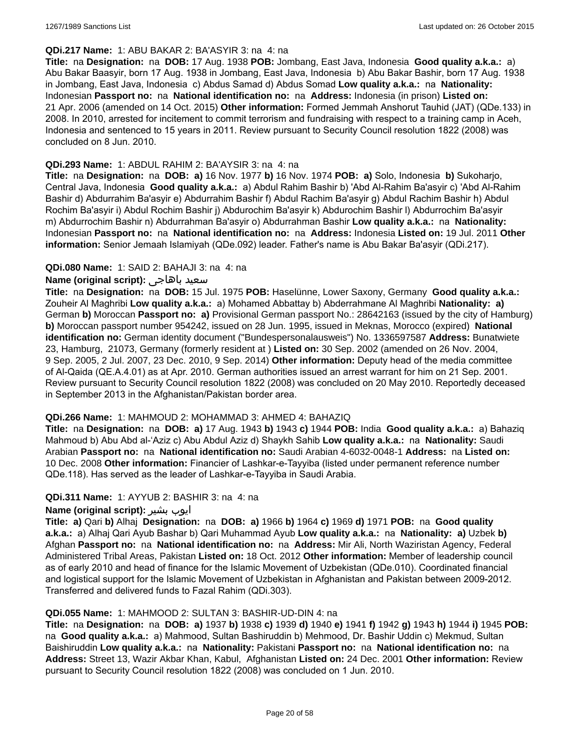#### **QDi.217 Name:** 1: ABU BAKAR 2: BA'ASYIR 3: na 4: na

**Title:** na **Designation:** na **DOB:** 17 Aug. 1938 **POB:** Jombang, East Java, Indonesia **Good quality a.k.a.:** a) Abu Bakar Baasyir, born 17 Aug. 1938 in Jombang, East Java, Indonesia b) Abu Bakar Bashir, born 17 Aug. 1938 in Jombang, East Java, Indonesia c) Abdus Samad d) Abdus Somad **Low quality a.k.a.:** na **Nationality:** Indonesian **Passport no:** na **National identification no:** na **Address:** Indonesia (in prison) **Listed on:** 21 Apr. 2006 (amended on 14 Oct. 2015) **Other information:** Formed Jemmah Anshorut Tauhid (JAT) (QDe.133) in 2008. In 2010, arrested for incitement to commit terrorism and fundraising with respect to a training camp in Aceh, Indonesia and sentenced to 15 years in 2011. Review pursuant to Security Council resolution 1822 (2008) was concluded on 8 Jun. 2010.

#### **QDi.293 Name:** 1: ABDUL RAHIM 2: BA'AYSIR 3: na 4: na

**Title:** na **Designation:** na **DOB: a)** 16 Nov. 1977 **b)** 16 Nov. 1974 **POB: a)** Solo, Indonesia **b)** Sukoharjo, Central Java, Indonesia **Good quality a.k.a.:** a) Abdul Rahim Bashir b) 'Abd Al-Rahim Ba'asyir c) 'Abd Al-Rahim Bashir d) Abdurrahim Ba'asyir e) Abdurrahim Bashir f) Abdul Rachim Ba'asyir g) Abdul Rachim Bashir h) Abdul Rochim Ba'asyir i) Abdul Rochim Bashir j) Abdurochim Ba'asyir k) Abdurochim Bashir l) Abdurrochim Ba'asyir m) Abdurrochim Bashir n) Abdurrahman Ba'asyir o) Abdurrahman Bashir **Low quality a.k.a.:** na **Nationality:** Indonesian **Passport no:** na **National identification no:** na **Address:** Indonesia **Listed on:** 19 Jul. 2011 **Other information:** Senior Jemaah Islamiyah (QDe.092) leader. Father's name is Abu Bakar Ba'asyir (QDi.217).

#### **QDi.080 Name:** 1: SAID 2: BAHAJI 3: na 4: na

#### **Name (original script):** باهاجى سعيد

**Title:** na **Designation:** na **DOB:** 15 Jul. 1975 **POB:** Haselünne, Lower Saxony, Germany **Good quality a.k.a.:** Zouheir Al Maghribi **Low quality a.k.a.:** a) Mohamed Abbattay b) Abderrahmane Al Maghribi **Nationality: a)** German **b)** Moroccan **Passport no: a)** Provisional German passport No.: 28642163 (issued by the city of Hamburg) **b)** Moroccan passport number 954242, issued on 28 Jun. 1995, issued in Meknas, Morocco (expired) **National identification no:** German identity document ("Bundespersonalausweis") No. 1336597587 **Address:** Bunatwiete 23, Hamburg, 21073, Germany (formerly resident at ) **Listed on:** 30 Sep. 2002 (amended on 26 Nov. 2004, 9 Sep. 2005, 2 Jul. 2007, 23 Dec. 2010, 9 Sep. 2014) **Other information:** Deputy head of the media committee of Al-Qaida (QE.A.4.01) as at Apr. 2010. German authorities issued an arrest warrant for him on 21 Sep. 2001. Review pursuant to Security Council resolution 1822 (2008) was concluded on 20 May 2010. Reportedly deceased in September 2013 in the Afghanistan/Pakistan border area.

#### **QDi.266 Name:** 1: MAHMOUD 2: MOHAMMAD 3: AHMED 4: BAHAZIQ

**Title:** na **Designation:** na **DOB: a)** 17 Aug. 1943 **b)** 1943 **c)** 1944 **POB:** India **Good quality a.k.a.:** a) Bahaziq Mahmoud b) Abu Abd al-'Aziz c) Abu Abdul Aziz d) Shaykh Sahib **Low quality a.k.a.:** na **Nationality:** Saudi Arabian **Passport no:** na **National identification no:** Saudi Arabian 4-6032-0048-1 **Address:** na **Listed on:** 10 Dec. 2008 **Other information:** Financier of Lashkar-e-Tayyiba (listed under permanent reference number QDe.118). Has served as the leader of Lashkar-e-Tayyiba in Saudi Arabia.

#### **QDi.311 Name:** 1: AYYUB 2: BASHIR 3: na 4: na

#### **Name (original script):** بشیر ایوب

**Title: a)** Qari **b)** Alhaj **Designation:** na **DOB: a)** 1966 **b)** 1964 **c)** 1969 **d)** 1971 **POB:** na **Good quality a.k.a.:** a) Alhaj Qari Ayub Bashar b) Qari Muhammad Ayub **Low quality a.k.a.:** na **Nationality: a)** Uzbek **b)** Afghan **Passport no:** na **National identification no:** na **Address:** Mir Ali, North Waziristan Agency, Federal Administered Tribal Areas, Pakistan **Listed on:** 18 Oct. 2012 **Other information:** Member of leadership council as of early 2010 and head of finance for the Islamic Movement of Uzbekistan (QDe.010). Coordinated financial and logistical support for the Islamic Movement of Uzbekistan in Afghanistan and Pakistan between 2009-2012. Transferred and delivered funds to Fazal Rahim (QDi.303).

#### **QDi.055 Name:** 1: MAHMOOD 2: SULTAN 3: BASHIR-UD-DIN 4: na

**Title:** na **Designation:** na **DOB: a)** 1937 **b)** 1938 **c)** 1939 **d)** 1940 **e)** 1941 **f)** 1942 **g)** 1943 **h)** 1944 **i)** 1945 **POB:**  na **Good quality a.k.a.:** a) Mahmood, Sultan Bashiruddin b) Mehmood, Dr. Bashir Uddin c) Mekmud, Sultan Baishiruddin **Low quality a.k.a.:** na **Nationality:** Pakistani **Passport no:** na **National identification no:** na **Address:** Street 13, Wazir Akbar Khan, Kabul, Afghanistan **Listed on:** 24 Dec. 2001 **Other information:** Review pursuant to Security Council resolution 1822 (2008) was concluded on 1 Jun. 2010.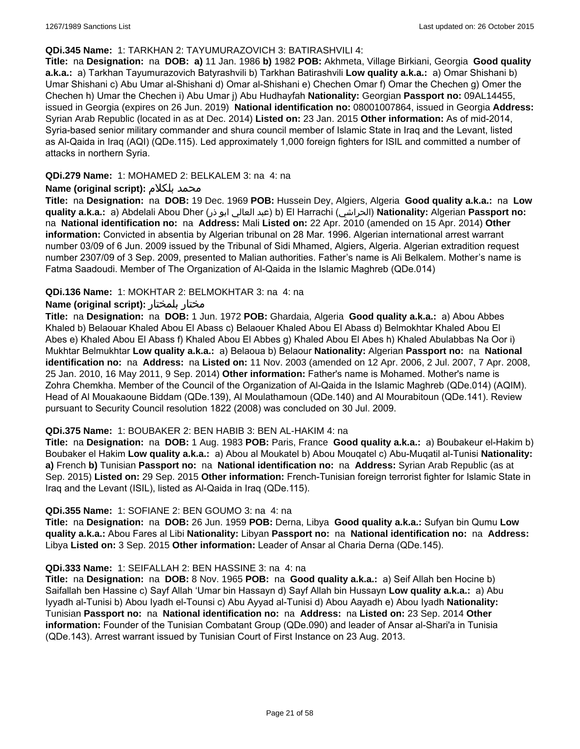#### **QDi.345 Name:** 1: TARKHAN 2: TAYUMURAZOVICH 3: BATIRASHVILI 4:

**Title:** na **Designation:** na **DOB: a)** 11 Jan. 1986 **b)** 1982 **POB:** Akhmeta, Village Birkiani, Georgia **Good quality a.k.a.:** a) Tarkhan Tayumurazovich Batyrashvili b) Tarkhan Batirashvili **Low quality a.k.a.:** a) Omar Shishani b) Umar Shishani c) Abu Umar al-Shishani d) Omar al-Shishani e) Chechen Omar f) Omar the Chechen g) Omer the Chechen h) Umar the Chechen i) Abu Umar j) Abu Hudhayfah **Nationality:** Georgian **Passport no:** 09AL14455, issued in Georgia (expires on 26 Jun. 2019) **National identification no:** 08001007864, issued in Georgia **Address:** Syrian Arab Republic (located in as at Dec. 2014) **Listed on:** 23 Jan. 2015 **Other information:** As of mid-2014, Syria-based senior military commander and shura council member of Islamic State in Iraq and the Levant, listed as Al-Qaida in Iraq (AQI) (QDe.115). Led approximately 1,000 foreign fighters for ISIL and committed a number of attacks in northern Syria.

### **QDi.279 Name:** 1: MOHAMED 2: BELKALEM 3: na 4: na

### **Name (original script):** بلكلام محمد

**Title:** na **Designation:** na **DOB:** 19 Dec. 1969 **POB:** Hussein Dey, Algiers, Algeria **Good quality a.k.a.:** na **Low quality a.k.a.:** a) Abdelali Abou Dher (ذر ابو العالي عبد (b) El Harrachi (الحراشي(**Nationality:** Algerian **Passport no:**  na **National identification no:** na **Address:** Mali **Listed on:** 22 Apr. 2010 (amended on 15 Apr. 2014) **Other information:** Convicted in absentia by Algerian tribunal on 28 Mar. 1996. Algerian international arrest warrant number 03/09 of 6 Jun. 2009 issued by the Tribunal of Sidi Mhamed, Algiers, Algeria. Algerian extradition request number 2307/09 of 3 Sep. 2009, presented to Malian authorities. Father's name is Ali Belkalem. Mother's name is Fatma Saadoudi. Member of The Organization of Al-Qaida in the Islamic Maghreb (QDe.014)

### **QDi.136 Name:** 1: MOKHTAR 2: BELMOKHTAR 3: na 4: na

### **Name (original script):** بلمختار مختار

**Title:** na **Designation:** na **DOB:** 1 Jun. 1972 **POB:** Ghardaia, Algeria **Good quality a.k.a.:** a) Abou Abbes Khaled b) Belaouar Khaled Abou El Abass c) Belaouer Khaled Abou El Abass d) Belmokhtar Khaled Abou El Abes e) Khaled Abou El Abass f) Khaled Abou El Abbes g) Khaled Abou El Abes h) Khaled Abulabbas Na Oor i) Mukhtar Belmukhtar **Low quality a.k.a.:** a) Belaoua b) Belaour **Nationality:** Algerian **Passport no:** na **National identification no:** na **Address:** na **Listed on:** 11 Nov. 2003 (amended on 12 Apr. 2006, 2 Jul. 2007, 7 Apr. 2008, 25 Jan. 2010, 16 May 2011, 9 Sep. 2014) **Other information:** Father's name is Mohamed. Mother's name is Zohra Chemkha. Member of the Council of the Organization of Al-Qaida in the Islamic Maghreb (QDe.014) (AQIM). Head of Al Mouakaoune Biddam (QDe.139), Al Moulathamoun (QDe.140) and Al Mourabitoun (QDe.141). Review pursuant to Security Council resolution 1822 (2008) was concluded on 30 Jul. 2009.

#### **QDi.375 Name:** 1: BOUBAKER 2: BEN HABIB 3: BEN AL-HAKIM 4: na

**Title:** na **Designation:** na **DOB:** 1 Aug. 1983 **POB:** Paris, France **Good quality a.k.a.:** a) Boubakeur el-Hakim b) Boubaker el Hakim **Low quality a.k.a.:** a) Abou al Moukatel b) Abou Mouqatel c) Abu-Muqatil al-Tunisi **Nationality: a)** French **b)** Tunisian **Passport no:** na **National identification no:** na **Address:** Syrian Arab Republic (as at Sep. 2015) **Listed on:** 29 Sep. 2015 **Other information:** French-Tunisian foreign terrorist fighter for Islamic State in Iraq and the Levant (ISIL), listed as Al-Qaida in Iraq (QDe.115).

#### **QDi.355 Name:** 1: SOFIANE 2: BEN GOUMO 3: na 4: na

**Title:** na **Designation:** na **DOB:** 26 Jun. 1959 **POB:** Derna, Libya **Good quality a.k.a.:** Sufyan bin Qumu **Low quality a.k.a.:** Abou Fares al Libi **Nationality:** Libyan **Passport no:** na **National identification no:** na **Address:** Libya **Listed on:** 3 Sep. 2015 **Other information:** Leader of Ansar al Charia Derna (QDe.145).

#### **QDi.333 Name:** 1: SEIFALLAH 2: BEN HASSINE 3: na 4: na

**Title:** na **Designation:** na **DOB:** 8 Nov. 1965 **POB:** na **Good quality a.k.a.:** a) Seif Allah ben Hocine b) Saifallah ben Hassine c) Sayf Allah 'Umar bin Hassayn d) Sayf Allah bin Hussayn **Low quality a.k.a.:** a) Abu Iyyadh al-Tunisi b) Abou Iyadh el-Tounsi c) Abu Ayyad al-Tunisi d) Abou Aayadh e) Abou Iyadh **Nationality:** Tunisian **Passport no:** na **National identification no:** na **Address:** na **Listed on:** 23 Sep. 2014 **Other information:** Founder of the Tunisian Combatant Group (QDe.090) and leader of Ansar al-Shari'a in Tunisia (QDe.143). Arrest warrant issued by Tunisian Court of First Instance on 23 Aug. 2013.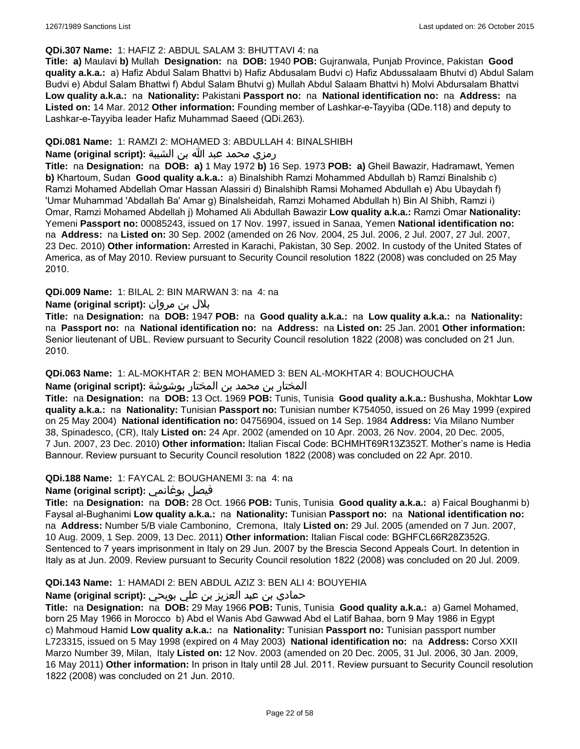#### **QDi.307 Name:** 1: HAFIZ 2: ABDUL SALAM 3: BHUTTAVI 4: na

**Title: a)** Maulavi **b)** Mullah **Designation:** na **DOB:** 1940 **POB:** Gujranwala, Punjab Province, Pakistan **Good quality a.k.a.:** a) Hafiz Abdul Salam Bhattvi b) Hafiz Abdusalam Budvi c) Hafiz Abdussalaam Bhutvi d) Abdul Salam Budvi e) Abdul Salam Bhattwi f) Abdul Salam Bhutvi g) Mullah Abdul Salaam Bhattvi h) Molvi Abdursalam Bhattvi **Low quality a.k.a.:** na **Nationality:** Pakistani **Passport no:** na **National identification no:** na **Address:** na **Listed on:** 14 Mar. 2012 **Other information:** Founding member of Lashkar-e-Tayyiba (QDe.118) and deputy to Lashkar-e-Tayyiba leader Hafiz Muhammad Saeed (QDi.263).

### **QDi.081 Name:** 1: RAMZI 2: MOHAMED 3: ABDULLAH 4: BINALSHIBH

# رمزي محمد عبد الله بن الشيبة **:(script original (Name**

**Title:** na **Designation:** na **DOB: a)** 1 May 1972 **b)** 16 Sep. 1973 **POB: a)** Gheil Bawazir, Hadramawt, Yemen **b)** Khartoum, Sudan **Good quality a.k.a.:** a) Binalshibh Ramzi Mohammed Abdullah b) Ramzi Binalshib c) Ramzi Mohamed Abdellah Omar Hassan Alassiri d) Binalshibh Ramsi Mohamed Abdullah e) Abu Ubaydah f) 'Umar Muhammad 'Abdallah Ba' Amar g) Binalsheidah, Ramzi Mohamed Abdullah h) Bin Al Shibh, Ramzi i) Omar, Ramzi Mohamed Abdellah j) Mohamed Ali Abdullah Bawazir **Low quality a.k.a.:** Ramzi Omar **Nationality:** Yemeni **Passport no:** 00085243, issued on 17 Nov. 1997, issued in Sanaa, Yemen **National identification no:**  na **Address:** na **Listed on:** 30 Sep. 2002 (amended on 26 Nov. 2004, 25 Jul. 2006, 2 Jul. 2007, 27 Jul. 2007, 23 Dec. 2010) **Other information:** Arrested in Karachi, Pakistan, 30 Sep. 2002. In custody of the United States of America, as of May 2010. Review pursuant to Security Council resolution 1822 (2008) was concluded on 25 May 2010.

### **QDi.009 Name:** 1: BILAL 2: BIN MARWAN 3: na 4: na

# بلال بن مروان **:(script original (Name**

**Title:** na **Designation:** na **DOB:** 1947 **POB:** na **Good quality a.k.a.:** na **Low quality a.k.a.:** na **Nationality:**  na **Passport no:** na **National identification no:** na **Address:** na **Listed on:** 25 Jan. 2001 **Other information:** Senior lieutenant of UBL. Review pursuant to Security Council resolution 1822 (2008) was concluded on 21 Jun. 2010.

#### **QDi.063 Name:** 1: AL-MOKHTAR 2: BEN MOHAMED 3: BEN AL-MOKHTAR 4: BOUCHOUCHA

# المختار بن محمد بن المختار بوشوشة **:(script original (Name**

**Title:** na **Designation:** na **DOB:** 13 Oct. 1969 **POB:** Tunis, Tunisia **Good quality a.k.a.:** Bushusha, Mokhtar **Low quality a.k.a.:** na **Nationality:** Tunisian **Passport no:** Tunisian number K754050, issued on 26 May 1999 (expired on 25 May 2004) **National identification no:** 04756904, issued on 14 Sep. 1984 **Address:** Via Milano Number 38, Spinadesco, (CR), Italy **Listed on:** 24 Apr. 2002 (amended on 10 Apr. 2003, 26 Nov. 2004, 20 Dec. 2005, 7 Jun. 2007, 23 Dec. 2010) **Other information:** Italian Fiscal Code: BCHMHT69R13Z352T. Mother's name is Hedia Bannour. Review pursuant to Security Council resolution 1822 (2008) was concluded on 22 Apr. 2010.

# **QDi.188 Name:** 1: FAYCAL 2: BOUGHANEMI 3: na 4: na

# **Name (original script):** بوغانمي فيصل

**Title:** na **Designation:** na **DOB:** 28 Oct. 1966 **POB:** Tunis, Tunisia **Good quality a.k.a.:** a) Faical Boughanmi b) Faysal al-Bughanimi **Low quality a.k.a.:** na **Nationality:** Tunisian **Passport no:** na **National identification no:**  na **Address:** Number 5/B viale Cambonino, Cremona, Italy **Listed on:** 29 Jul. 2005 (amended on 7 Jun. 2007, 10 Aug. 2009, 1 Sep. 2009, 13 Dec. 2011) **Other information:** Italian Fiscal code: BGHFCL66R28Z352G. Sentenced to 7 years imprisonment in Italy on 29 Jun. 2007 by the Brescia Second Appeals Court. In detention in Italy as at Jun. 2009. Review pursuant to Security Council resolution 1822 (2008) was concluded on 20 Jul. 2009.

# **QDi.143 Name:** 1: HAMADI 2: BEN ABDUL AZIZ 3: BEN ALI 4: BOUYEHIA

# حمادي بن عبد العزيز بن علي بويحي **:(script original (Name**

**Title:** na **Designation:** na **DOB:** 29 May 1966 **POB:** Tunis, Tunisia **Good quality a.k.a.:** a) Gamel Mohamed, born 25 May 1966 in Morocco b) Abd el Wanis Abd Gawwad Abd el Latif Bahaa, born 9 May 1986 in Egypt c) Mahmoud Hamid **Low quality a.k.a.:** na **Nationality:** Tunisian **Passport no:** Tunisian passport number L723315, issued on 5 May 1998 (expired on 4 May 2003) **National identification no:** na **Address:** Corso XXII Marzo Number 39, Milan, Italy **Listed on:** 12 Nov. 2003 (amended on 20 Dec. 2005, 31 Jul. 2006, 30 Jan. 2009, 16 May 2011) **Other information:** In prison in Italy until 28 Jul. 2011. Review pursuant to Security Council resolution 1822 (2008) was concluded on 21 Jun. 2010.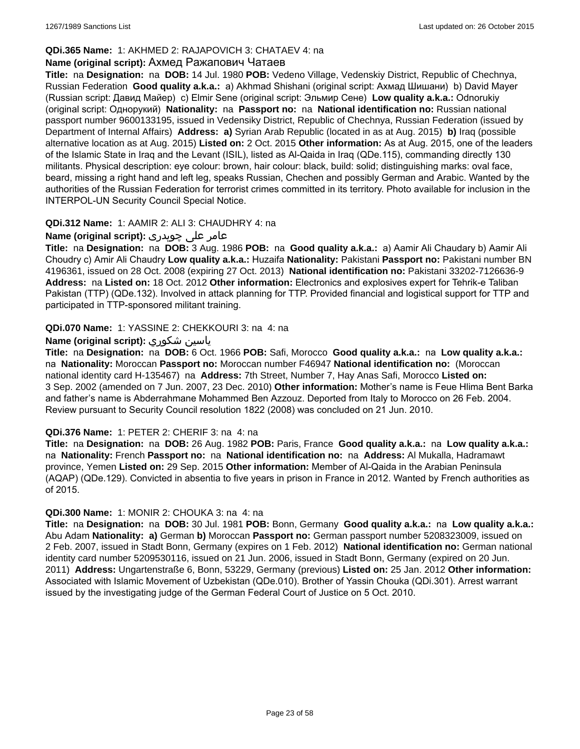# **QDi.365 Name:** 1: AKHMED 2: RAJAPOVICH 3: CHATAEV 4: na

#### **Name (original script):** Ахмед Ражапович Чатаев

**Title:** na **Designation:** na **DOB:** 14 Jul. 1980 **POB:** Vedeno Village, Vedenskiy District, Republic of Chechnya, Russian Federation **Good quality a.k.a.:** a) Akhmad Shishani (original script: Ахмад Шишани) b) David Mayer (Russian script: Давид Майер) c) Elmir Sene (original script: Эльмир Сене) **Low quality a.k.a.:** Odnorukiy (original script: Однорукий) **Nationality:** na **Passport no:** na **National identification no:** Russian national passport number 9600133195, issued in Vedensiky District, Republic of Chechnya, Russian Federation (issued by Department of Internal Affairs) **Address: a)** Syrian Arab Republic (located in as at Aug. 2015) **b)** Iraq (possible alternative location as at Aug. 2015) **Listed on:** 2 Oct. 2015 **Other information:** As at Aug. 2015, one of the leaders of the Islamic State in Iraq and the Levant (ISIL), listed as Al-Qaida in Iraq (QDe.115), commanding directly 130 militants. Physical description: eye colour: brown, hair colour: black, build: solid; distinguishing marks: oval face, beard, missing a right hand and left leg, speaks Russian, Chechen and possibly German and Arabic. Wanted by the authorities of the Russian Federation for terrorist crimes committed in its territory. Photo available for inclusion in the INTERPOL-UN Security Council Special Notice.

### **QDi.312 Name:** 1: AAMIR 2: ALI 3: CHAUDHRY 4: na

# عامر علی چوہدری **:(script original (Name**

**Title:** na **Designation:** na **DOB:** 3 Aug. 1986 **POB:** na **Good quality a.k.a.:** a) Aamir Ali Chaudary b) Aamir Ali Choudry c) Amir Ali Chaudry **Low quality a.k.a.:** Huzaifa **Nationality:** Pakistani **Passport no:** Pakistani number BN 4196361, issued on 28 Oct. 2008 (expiring 27 Oct. 2013) **National identification no:** Pakistani 33202-7126636-9 **Address:** na **Listed on:** 18 Oct. 2012 **Other information:** Electronics and explosives expert for Tehrik-e Taliban Pakistan (TTP) (QDe.132). Involved in attack planning for TTP. Provided financial and logistical support for TTP and participated in TTP-sponsored militant training.

### **QDi.070 Name:** 1: YASSINE 2: CHEKKOURI 3: na 4: na

### **Name (original script):** شكوري ياسين

**Title:** na **Designation:** na **DOB:** 6 Oct. 1966 **POB:** Safi, Morocco **Good quality a.k.a.:** na **Low quality a.k.a.:**  na **Nationality:** Moroccan **Passport no:** Moroccan number F46947 **National identification no:** (Moroccan national identity card H-135467) na **Address:** 7th Street, Number 7, Hay Anas Safi, Morocco **Listed on:** 3 Sep. 2002 (amended on 7 Jun. 2007, 23 Dec. 2010) **Other information:** Mother's name is Feue Hlima Bent Barka and father's name is Abderrahmane Mohammed Ben Azzouz. Deported from Italy to Morocco on 26 Feb. 2004. Review pursuant to Security Council resolution 1822 (2008) was concluded on 21 Jun. 2010.

#### **QDi.376 Name:** 1: PETER 2: CHERIF 3: na 4: na

**Title:** na **Designation:** na **DOB:** 26 Aug. 1982 **POB:** Paris, France **Good quality a.k.a.:** na **Low quality a.k.a.:**  na **Nationality:** French **Passport no:** na **National identification no:** na **Address:** Al Mukalla, Hadramawt province, Yemen **Listed on:** 29 Sep. 2015 **Other information:** Member of Al-Qaida in the Arabian Peninsula (AQAP) (QDe.129). Convicted in absentia to five years in prison in France in 2012. Wanted by French authorities as of 2015.

#### **QDi.300 Name:** 1: MONIR 2: CHOUKA 3: na 4: na

**Title:** na **Designation:** na **DOB:** 30 Jul. 1981 **POB:** Bonn, Germany **Good quality a.k.a.:** na **Low quality a.k.a.:** Abu Adam **Nationality: a)** German **b)** Moroccan **Passport no:** German passport number 5208323009, issued on 2 Feb. 2007, issued in Stadt Bonn, Germany (expires on 1 Feb. 2012) **National identification no:** German national identity card number 5209530116, issued on 21 Jun. 2006, issued in Stadt Bonn, Germany (expired on 20 Jun. 2011) **Address:** Ungartenstraße 6, Bonn, 53229, Germany (previous) **Listed on:** 25 Jan. 2012 **Other information:** Associated with Islamic Movement of Uzbekistan (QDe.010). Brother of Yassin Chouka (QDi.301). Arrest warrant issued by the investigating judge of the German Federal Court of Justice on 5 Oct. 2010.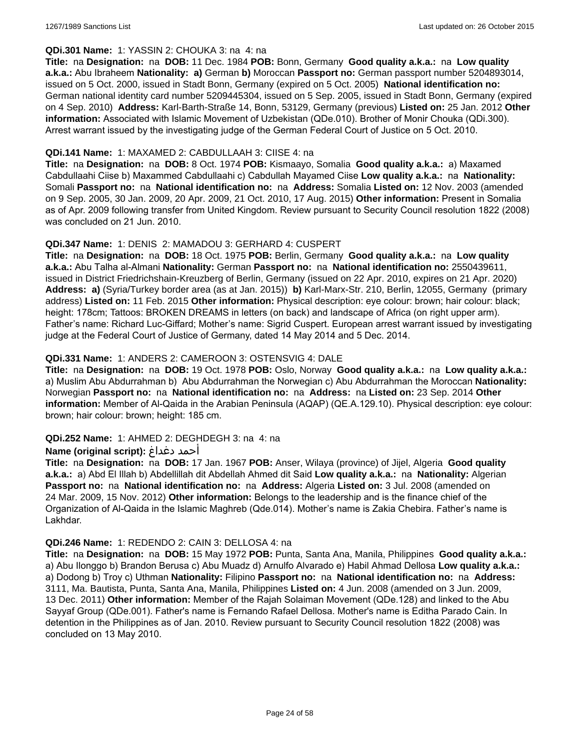### **QDi.301 Name:** 1: YASSIN 2: CHOUKA 3: na 4: na

**Title:** na **Designation:** na **DOB:** 11 Dec. 1984 **POB:** Bonn, Germany **Good quality a.k.a.:** na **Low quality a.k.a.:** Abu Ibraheem **Nationality: a)** German **b)** Moroccan **Passport no:** German passport number 5204893014, issued on 5 Oct. 2000, issued in Stadt Bonn, Germany (expired on 5 Oct. 2005) **National identification no:** German national identity card number 5209445304, issued on 5 Sep. 2005, issued in Stadt Bonn, Germany (expired on 4 Sep. 2010) **Address:** Karl-Barth-Straße 14, Bonn, 53129, Germany (previous) **Listed on:** 25 Jan. 2012 **Other information:** Associated with Islamic Movement of Uzbekistan (QDe.010). Brother of Monir Chouka (QDi.300). Arrest warrant issued by the investigating judge of the German Federal Court of Justice on 5 Oct. 2010.

### **QDi.141 Name:** 1: MAXAMED 2: CABDULLAAH 3: CIISE 4: na

**Title:** na **Designation:** na **DOB:** 8 Oct. 1974 **POB:** Kismaayo, Somalia **Good quality a.k.a.:** a) Maxamed Cabdullaahi Ciise b) Maxammed Cabdullaahi c) Cabdullah Mayamed Ciise **Low quality a.k.a.:** na **Nationality:** Somali **Passport no:** na **National identification no:** na **Address:** Somalia **Listed on:** 12 Nov. 2003 (amended on 9 Sep. 2005, 30 Jan. 2009, 20 Apr. 2009, 21 Oct. 2010, 17 Aug. 2015) **Other information:** Present in Somalia as of Apr. 2009 following transfer from United Kingdom. Review pursuant to Security Council resolution 1822 (2008) was concluded on 21 Jun. 2010.

### **QDi.347 Name:** 1: DENIS 2: MAMADOU 3: GERHARD 4: CUSPERT

**Title:** na **Designation:** na **DOB:** 18 Oct. 1975 **POB:** Berlin, Germany **Good quality a.k.a.:** na **Low quality a.k.a.:** Abu Talha al-Almani **Nationality:** German **Passport no:** na **National identification no:** 2550439611, issued in District Friedrichshain-Kreuzberg of Berlin, Germany (issued on 22 Apr. 2010, expires on 21 Apr. 2020) **Address: a)** (Syria/Turkey border area (as at Jan. 2015)) **b)** Karl-Marx-Str. 210, Berlin, 12055, Germany (primary address) **Listed on:** 11 Feb. 2015 **Other information:** Physical description: eye colour: brown; hair colour: black; height: 178cm; Tattoos: BROKEN DREAMS in letters (on back) and landscape of Africa (on right upper arm). Father's name: Richard Luc-Giffard; Mother's name: Sigrid Cuspert. European arrest warrant issued by investigating judge at the Federal Court of Justice of Germany, dated 14 May 2014 and 5 Dec. 2014.

### **QDi.331 Name:** 1: ANDERS 2: CAMEROON 3: OSTENSVIG 4: DALE

**Title:** na **Designation:** na **DOB:** 19 Oct. 1978 **POB:** Oslo, Norway **Good quality a.k.a.:** na **Low quality a.k.a.:**  a) Muslim Abu Abdurrahman b) Abu Abdurrahman the Norwegian c) Abu Abdurrahman the Moroccan **Nationality:** Norwegian **Passport no:** na **National identification no:** na **Address:** na **Listed on:** 23 Sep. 2014 **Other information:** Member of Al-Qaida in the Arabian Peninsula (AQAP) (QE.A.129.10). Physical description: eye colour: brown; hair colour: brown; height: 185 cm.

# **QDi.252 Name:** 1: AHMED 2: DEGHDEGH 3: na 4: na

#### **Name (original script):** دغداغ أحمد

**Title:** na **Designation:** na **DOB:** 17 Jan. 1967 **POB:** Anser, Wilaya (province) of Jijel, Algeria **Good quality a.k.a.:** a) Abd El Illah b) Abdellillah dit Abdellah Ahmed dit Said **Low quality a.k.a.:** na **Nationality:** Algerian **Passport no:** na **National identification no:** na **Address:** Algeria **Listed on:** 3 Jul. 2008 (amended on 24 Mar. 2009, 15 Nov. 2012) **Other information:** Belongs to the leadership and is the finance chief of the Organization of Al-Qaida in the Islamic Maghreb (Qde.014). Mother's name is Zakia Chebira. Father's name is Lakhdar.

#### **QDi.246 Name:** 1: REDENDO 2: CAIN 3: DELLOSA 4: na

**Title:** na **Designation:** na **DOB:** 15 May 1972 **POB:** Punta, Santa Ana, Manila, Philippines **Good quality a.k.a.:**  a) Abu Ilonggo b) Brandon Berusa c) Abu Muadz d) Arnulfo Alvarado e) Habil Ahmad Dellosa **Low quality a.k.a.:**  a) Dodong b) Troy c) Uthman **Nationality:** Filipino **Passport no:** na **National identification no:** na **Address:** 3111, Ma. Bautista, Punta, Santa Ana, Manila, Philippines **Listed on:** 4 Jun. 2008 (amended on 3 Jun. 2009, 13 Dec. 2011) **Other information:** Member of the Rajah Solaiman Movement (QDe.128) and linked to the Abu Sayyaf Group (QDe.001). Father's name is Fernando Rafael Dellosa. Mother's name is Editha Parado Cain. In detention in the Philippines as of Jan. 2010. Review pursuant to Security Council resolution 1822 (2008) was concluded on 13 May 2010.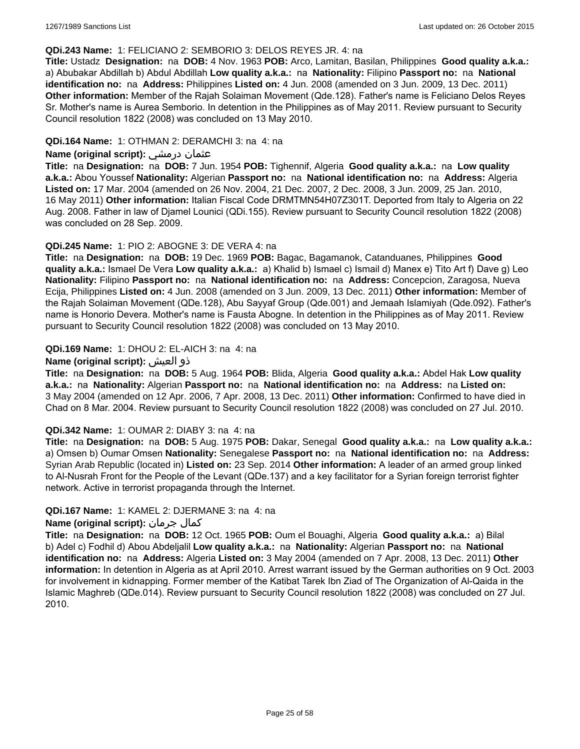#### **QDi.243 Name:** 1: FELICIANO 2: SEMBORIO 3: DELOS REYES JR. 4: na

**Title:** Ustadz **Designation:** na **DOB:** 4 Nov. 1963 **POB:** Arco, Lamitan, Basilan, Philippines **Good quality a.k.a.:**  a) Abubakar Abdillah b) Abdul Abdillah **Low quality a.k.a.:** na **Nationality:** Filipino **Passport no:** na **National identification no:** na **Address:** Philippines **Listed on:** 4 Jun. 2008 (amended on 3 Jun. 2009, 13 Dec. 2011) **Other information:** Member of the Rajah Solaiman Movement (Qde.128). Father's name is Feliciano Delos Reyes Sr. Mother's name is Aurea Semborio. In detention in the Philippines as of May 2011. Review pursuant to Security Council resolution 1822 (2008) was concluded on 13 May 2010.

### **QDi.164 Name:** 1: OTHMAN 2: DERAMCHI 3: na 4: na

### **Name (original script):** درمشي عثمان

**Title:** na **Designation:** na **DOB:** 7 Jun. 1954 **POB:** Tighennif, Algeria **Good quality a.k.a.:** na **Low quality a.k.a.:** Abou Youssef **Nationality:** Algerian **Passport no:** na **National identification no:** na **Address:** Algeria **Listed on:** 17 Mar. 2004 (amended on 26 Nov. 2004, 21 Dec. 2007, 2 Dec. 2008, 3 Jun. 2009, 25 Jan. 2010, 16 May 2011) **Other information:** Italian Fiscal Code DRMTMN54H07Z301T. Deported from Italy to Algeria on 22 Aug. 2008. Father in law of Djamel Lounici (QDi.155). Review pursuant to Security Council resolution 1822 (2008) was concluded on 28 Sep. 2009.

### **QDi.245 Name:** 1: PIO 2: ABOGNE 3: DE VERA 4: na

**Title:** na **Designation:** na **DOB:** 19 Dec. 1969 **POB:** Bagac, Bagamanok, Catanduanes, Philippines **Good quality a.k.a.:** Ismael De Vera **Low quality a.k.a.:** a) Khalid b) Ismael c) Ismail d) Manex e) Tito Art f) Dave g) Leo **Nationality:** Filipino **Passport no:** na **National identification no:** na **Address:** Concepcion, Zaragosa, Nueva Ecija, Philippines **Listed on:** 4 Jun. 2008 (amended on 3 Jun. 2009, 13 Dec. 2011) **Other information:** Member of the Rajah Solaiman Movement (QDe.128), Abu Sayyaf Group (Qde.001) and Jemaah Islamiyah (Qde.092). Father's name is Honorio Devera. Mother's name is Fausta Abogne. In detention in the Philippines as of May 2011. Review pursuant to Security Council resolution 1822 (2008) was concluded on 13 May 2010.

### **QDi.169 Name:** 1: DHOU 2: EL-AICH 3: na 4: na

### **Name (original script):** العيش ذو

**Title:** na **Designation:** na **DOB:** 5 Aug. 1964 **POB:** Blida, Algeria **Good quality a.k.a.:** Abdel Hak **Low quality a.k.a.:** na **Nationality:** Algerian **Passport no:** na **National identification no:** na **Address:** na **Listed on:** 3 May 2004 (amended on 12 Apr. 2006, 7 Apr. 2008, 13 Dec. 2011) **Other information:** Confirmed to have died in Chad on 8 Mar. 2004. Review pursuant to Security Council resolution 1822 (2008) was concluded on 27 Jul. 2010.

#### **QDi.342 Name:** 1: OUMAR 2: DIABY 3: na 4: na

**Title:** na **Designation:** na **DOB:** 5 Aug. 1975 **POB:** Dakar, Senegal **Good quality a.k.a.:** na **Low quality a.k.a.:** a) Omsen b) Oumar Omsen **Nationality:** Senegalese **Passport no:** na **National identification no:** na **Address:** Syrian Arab Republic (located in) **Listed on:** 23 Sep. 2014 **Other information:** A leader of an armed group linked to Al-Nusrah Front for the People of the Levant (QDe.137) and a key facilitator for a Syrian foreign terrorist fighter network. Active in terrorist propaganda through the Internet.

#### **QDi.167 Name:** 1: KAMEL 2: DJERMANE 3: na 4: na

# **Name (original script):** جرمان كمال

**Title:** na **Designation:** na **DOB:** 12 Oct. 1965 **POB:** Oum el Bouaghi, Algeria **Good quality a.k.a.:** a) Bilal b) Adel c) Fodhil d) Abou Abdeljalil **Low quality a.k.a.:** na **Nationality:** Algerian **Passport no:** na **National identification no:** na **Address:** Algeria **Listed on:** 3 May 2004 (amended on 7 Apr. 2008, 13 Dec. 2011) **Other information:** In detention in Algeria as at April 2010. Arrest warrant issued by the German authorities on 9 Oct. 2003 for involvement in kidnapping. Former member of the Katibat Tarek Ibn Ziad of The Organization of Al-Qaida in the Islamic Maghreb (QDe.014). Review pursuant to Security Council resolution 1822 (2008) was concluded on 27 Jul. 2010.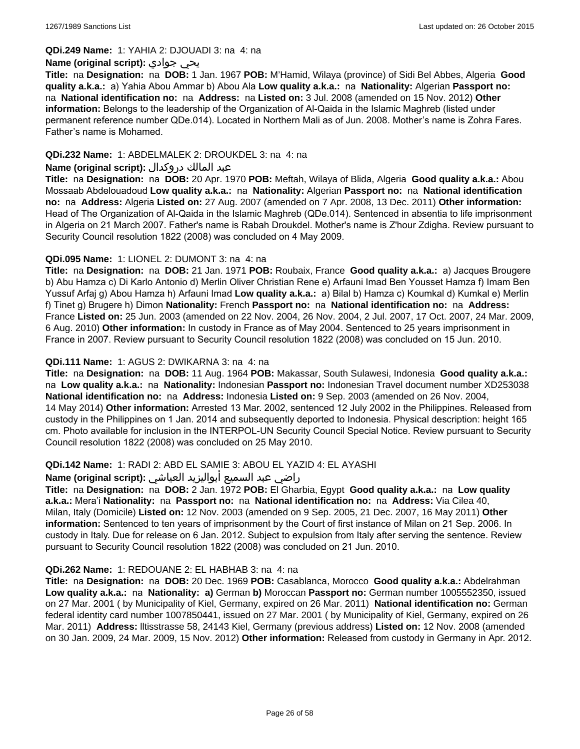#### **QDi.249 Name:** 1: YAHIA 2: DJOUADI 3: na 4: na

### **Name (original script):** جوادي يحي

**Title:** na **Designation:** na **DOB:** 1 Jan. 1967 **POB:** M'Hamid, Wilaya (province) of Sidi Bel Abbes, Algeria **Good quality a.k.a.:** a) Yahia Abou Ammar b) Abou Ala **Low quality a.k.a.:** na **Nationality:** Algerian **Passport no:**  na **National identification no:** na **Address:** na **Listed on:** 3 Jul. 2008 (amended on 15 Nov. 2012) **Other information:** Belongs to the leadership of the Organization of Al-Qaida in the Islamic Maghreb (listed under permanent reference number QDe.014). Located in Northern Mali as of Jun. 2008. Mother's name is Zohra Fares. Father's name is Mohamed.

### **QDi.232 Name:** 1: ABDELMALEK 2: DROUKDEL 3: na 4: na

### عبد المالك دروكدال **:(script original (Name**

**Title:** na **Designation:** na **DOB:** 20 Apr. 1970 **POB:** Meftah, Wilaya of Blida, Algeria **Good quality a.k.a.:** Abou Mossaab Abdelouadoud **Low quality a.k.a.:** na **Nationality:** Algerian **Passport no:** na **National identification no:** na **Address:** Algeria **Listed on:** 27 Aug. 2007 (amended on 7 Apr. 2008, 13 Dec. 2011) **Other information:** Head of The Organization of Al-Qaida in the Islamic Maghreb (QDe.014). Sentenced in absentia to life imprisonment in Algeria on 21 March 2007. Father's name is Rabah Droukdel. Mother's name is Z'hour Zdigha. Review pursuant to Security Council resolution 1822 (2008) was concluded on 4 May 2009.

# **QDi.095 Name:** 1: LIONEL 2: DUMONT 3: na 4: na

**Title:** na **Designation:** na **DOB:** 21 Jan. 1971 **POB:** Roubaix, France **Good quality a.k.a.:** a) Jacques Brougere b) Abu Hamza c) Di Karlo Antonio d) Merlin Oliver Christian Rene e) Arfauni Imad Ben Yousset Hamza f) Imam Ben Yussuf Arfaj g) Abou Hamza h) Arfauni Imad **Low quality a.k.a.:** a) Bilal b) Hamza c) Koumkal d) Kumkal e) Merlin f) Tinet g) Brugere h) Dimon **Nationality:** French **Passport no:** na **National identification no:** na **Address:** France **Listed on:** 25 Jun. 2003 (amended on 22 Nov. 2004, 26 Nov. 2004, 2 Jul. 2007, 17 Oct. 2007, 24 Mar. 2009, 6 Aug. 2010) **Other information:** In custody in France as of May 2004. Sentenced to 25 years imprisonment in France in 2007. Review pursuant to Security Council resolution 1822 (2008) was concluded on 15 Jun. 2010.

### **QDi.111 Name:** 1: AGUS 2: DWIKARNA 3: na 4: na

**Title:** na **Designation:** na **DOB:** 11 Aug. 1964 **POB:** Makassar, South Sulawesi, Indonesia **Good quality a.k.a.:**  na **Low quality a.k.a.:** na **Nationality:** Indonesian **Passport no:** Indonesian Travel document number XD253038 **National identification no:** na **Address:** Indonesia **Listed on:** 9 Sep. 2003 (amended on 26 Nov. 2004, 14 May 2014) **Other information:** Arrested 13 Mar. 2002, sentenced 12 July 2002 in the Philippines. Released from custody in the Philippines on 1 Jan. 2014 and subsequently deported to Indonesia. Physical description: height 165 cm. Photo available for inclusion in the INTERPOL-UN Security Council Special Notice. Review pursuant to Security Council resolution 1822 (2008) was concluded on 25 May 2010.

# **QDi.142 Name:** 1: RADI 2: ABD EL SAMIE 3: ABOU EL YAZID 4: EL AYASHI

#### راضي عبد السميع أبواليزيد العياشي **:(script original (Name**

**Title:** na **Designation:** na **DOB:** 2 Jan. 1972 **POB:** El Gharbia, Egypt **Good quality a.k.a.:** na **Low quality a.k.a.:** Mera'i **Nationality:** na **Passport no:** na **National identification no:** na **Address:** Via Cilea 40, Milan, Italy (Domicile) **Listed on:** 12 Nov. 2003 (amended on 9 Sep. 2005, 21 Dec. 2007, 16 May 2011) **Other information:** Sentenced to ten years of imprisonment by the Court of first instance of Milan on 21 Sep. 2006. In custody in Italy. Due for release on 6 Jan. 2012. Subject to expulsion from Italy after serving the sentence. Review pursuant to Security Council resolution 1822 (2008) was concluded on 21 Jun. 2010.

#### **QDi.262 Name:** 1: REDOUANE 2: EL HABHAB 3: na 4: na

**Title:** na **Designation:** na **DOB:** 20 Dec. 1969 **POB:** Casablanca, Morocco **Good quality a.k.a.:** Abdelrahman **Low quality a.k.a.:** na **Nationality: a)** German **b)** Moroccan **Passport no:** German number 1005552350, issued on 27 Mar. 2001 ( by Municipality of Kiel, Germany, expired on 26 Mar. 2011) **National identification no:** German federal identity card number 1007850441, issued on 27 Mar. 2001 ( by Municipality of Kiel, Germany, expired on 26 Mar. 2011) **Address:** lltisstrasse 58, 24143 Kiel, Germany (previous address) **Listed on:** 12 Nov. 2008 (amended on 30 Jan. 2009, 24 Mar. 2009, 15 Nov. 2012) **Other information:** Released from custody in Germany in Apr. 2012.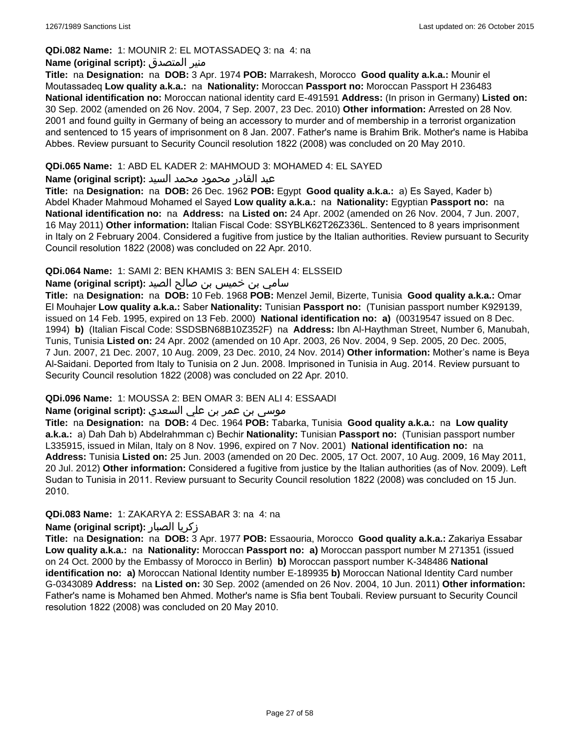### **QDi.082 Name:** 1: MOUNIR 2: EL MOTASSADEQ 3: na 4: na

### **Name (original script):** المتصدق منير

**Title:** na **Designation:** na **DOB:** 3 Apr. 1974 **POB:** Marrakesh, Morocco **Good quality a.k.a.:** Mounir el Moutassadeq **Low quality a.k.a.:** na **Nationality:** Moroccan **Passport no:** Moroccan Passport H 236483 **National identification no:** Moroccan national identity card E-491591 **Address:** (In prison in Germany) **Listed on:** 30 Sep. 2002 (amended on 26 Nov. 2004, 7 Sep. 2007, 23 Dec. 2010) **Other information:** Arrested on 28 Nov. 2001 and found guilty in Germany of being an accessory to murder and of membership in a terrorist organization and sentenced to 15 years of imprisonment on 8 Jan. 2007. Father's name is Brahim Brik. Mother's name is Habiba Abbes. Review pursuant to Security Council resolution 1822 (2008) was concluded on 20 May 2010.

### **QDi.065 Name:** 1: ABD EL KADER 2: MAHMOUD 3: MOHAMED 4: EL SAYED

### عبد القادر محمود محمد السيد **:(script original (Name**

**Title:** na **Designation:** na **DOB:** 26 Dec. 1962 **POB:** Egypt **Good quality a.k.a.:** a) Es Sayed, Kader b) Abdel Khader Mahmoud Mohamed el Sayed **Low quality a.k.a.:** na **Nationality:** Egyptian **Passport no:** na **National identification no:** na **Address:** na **Listed on:** 24 Apr. 2002 (amended on 26 Nov. 2004, 7 Jun. 2007, 16 May 2011) **Other information:** Italian Fiscal Code: SSYBLK62T26Z336L. Sentenced to 8 years imprisonment in Italy on 2 February 2004. Considered a fugitive from justice by the Italian authorities. Review pursuant to Security Council resolution 1822 (2008) was concluded on 22 Apr. 2010.

# **QDi.064 Name:** 1: SAMI 2: BEN KHAMIS 3: BEN SALEH 4: ELSSEID

# سامي بن خميس بن صالح الصيد **:Name (original script**)

**Title:** na **Designation:** na **DOB:** 10 Feb. 1968 **POB:** Menzel Jemil, Bizerte, Tunisia **Good quality a.k.a.:** Omar El Mouhajer **Low quality a.k.a.:** Saber **Nationality:** Tunisian **Passport no:** (Tunisian passport number K929139, issued on 14 Feb. 1995, expired on 13 Feb. 2000) **National identification no: a)** (00319547 issued on 8 Dec. 1994) **b)** (Italian Fiscal Code: SSDSBN68B10Z352F) na **Address:** Ibn Al-Haythman Street, Number 6, Manubah, Tunis, Tunisia **Listed on:** 24 Apr. 2002 (amended on 10 Apr. 2003, 26 Nov. 2004, 9 Sep. 2005, 20 Dec. 2005, 7 Jun. 2007, 21 Dec. 2007, 10 Aug. 2009, 23 Dec. 2010, 24 Nov. 2014) **Other information:** Mother's name is Beya Al-Saidani. Deported from Italy to Tunisia on 2 Jun. 2008. Imprisoned in Tunisia in Aug. 2014. Review pursuant to Security Council resolution 1822 (2008) was concluded on 22 Apr. 2010.

# **QDi.096 Name:** 1: MOUSSA 2: BEN OMAR 3: BEN ALI 4: ESSAADI

# موسى بن عمر بن علي السعدي **:Name (original script**)

**Title:** na **Designation:** na **DOB:** 4 Dec. 1964 **POB:** Tabarka, Tunisia **Good quality a.k.a.:** na **Low quality a.k.a.:** a) Dah Dah b) Abdelrahmman c) Bechir **Nationality:** Tunisian **Passport no:** (Tunisian passport number L335915, issued in Milan, Italy on 8 Nov. 1996, expired on 7 Nov. 2001) **National identification no:** na **Address:** Tunisia **Listed on:** 25 Jun. 2003 (amended on 20 Dec. 2005, 17 Oct. 2007, 10 Aug. 2009, 16 May 2011, 20 Jul. 2012) **Other information:** Considered a fugitive from justice by the Italian authorities (as of Nov. 2009). Left Sudan to Tunisia in 2011. Review pursuant to Security Council resolution 1822 (2008) was concluded on 15 Jun. 2010.

# **QDi.083 Name:** 1: ZAKARYA 2: ESSABAR 3: na 4: na

#### **Name (original script):** الصبار زكريا

**Title:** na **Designation:** na **DOB:** 3 Apr. 1977 **POB:** Essaouria, Morocco **Good quality a.k.a.:** Zakariya Essabar **Low quality a.k.a.:** na **Nationality:** Moroccan **Passport no: a)** Moroccan passport number M 271351 (issued on 24 Oct. 2000 by the Embassy of Morocco in Berlin) **b)** Moroccan passport number K-348486 **National identification no: a)** Moroccan National Identity number E-189935 **b)** Moroccan National Identity Card number G-0343089 **Address:** na **Listed on:** 30 Sep. 2002 (amended on 26 Nov. 2004, 10 Jun. 2011) **Other information:** Father's name is Mohamed ben Ahmed. Mother's name is Sfia bent Toubali. Review pursuant to Security Council resolution 1822 (2008) was concluded on 20 May 2010.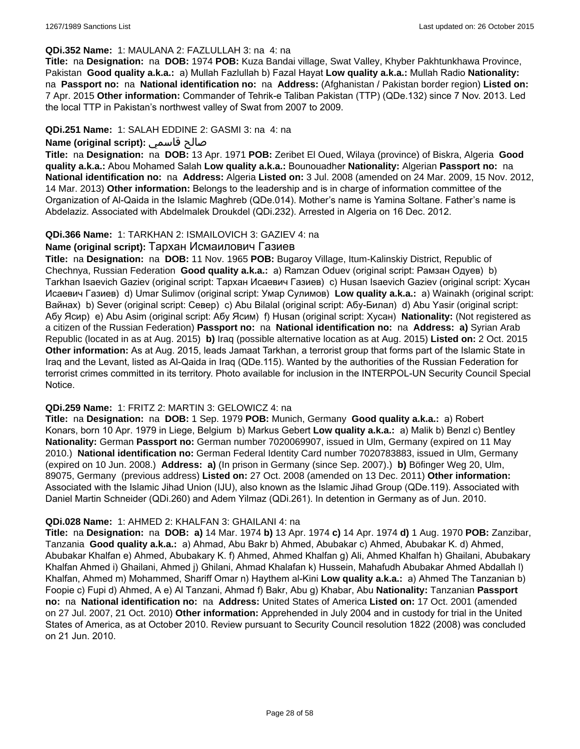#### **QDi.352 Name:** 1: MAULANA 2: FAZLULLAH 3: na 4: na

**Title:** na **Designation:** na **DOB:** 1974 **POB:** Kuza Bandai village, Swat Valley, Khyber Pakhtunkhawa Province, Pakistan **Good quality a.k.a.:** a) Mullah Fazlullah b) Fazal Hayat **Low quality a.k.a.:** Mullah Radio **Nationality:**  na **Passport no:** na **National identification no:** na **Address:** (Afghanistan / Pakistan border region) **Listed on:** 7 Apr. 2015 **Other information:** Commander of Tehrik-e Taliban Pakistan (TTP) (QDe.132) since 7 Nov. 2013. Led the local TTP in Pakistan's northwest valley of Swat from 2007 to 2009.

### **QDi.251 Name:** 1: SALAH EDDINE 2: GASMI 3: na 4: na

# **Name (original script):** قاسمي صالح

**Title:** na **Designation:** na **DOB:** 13 Apr. 1971 **POB:** Zeribet El Oued, Wilaya (province) of Biskra, Algeria **Good quality a.k.a.:** Abou Mohamed Salah **Low quality a.k.a.:** Bounouadher **Nationality:** Algerian **Passport no:** na **National identification no:** na **Address:** Algeria **Listed on:** 3 Jul. 2008 (amended on 24 Mar. 2009, 15 Nov. 2012, 14 Mar. 2013) **Other information:** Belongs to the leadership and is in charge of information committee of the Organization of Al-Qaida in the Islamic Maghreb (QDe.014). Mother's name is Yamina Soltane. Father's name is Abdelaziz. Associated with Abdelmalek Droukdel (QDi.232). Arrested in Algeria on 16 Dec. 2012.

### **QDi.366 Name:** 1: TARKHAN 2: ISMAILOVICH 3: GAZIEV 4: na

#### **Name (original script):** Тархан Исмаилович Газиев

**Title:** na **Designation:** na **DOB:** 11 Nov. 1965 **POB:** Bugaroy Village, Itum-Kalinskiy District, Republic of Chechnya, Russian Federation **Good quality a.k.a.:** a) Ramzan Oduev (original script: Рамзан Одуев) b) Tarkhan Isaevich Gaziev (original script: Тархан Исаевич Газиев) c) Husan Isaevich Gaziev (original script: Хусан Исаевич Газиев) d) Umar Sulimov (original script: Умар Сулимов) **Low quality a.k.a.:** a) Wainakh (original script: Вайнах) b) Sever (original script: Север) c) Abu Bilalal (original script: Абу-Билал) d) Abu Yasir (original script: Абу Ясир) e) Abu Asim (original script: Абу Ясим) f) Husan (original script: Хусан) **Nationality:** (Not registered as a citizen of the Russian Federation) **Passport no:** na **National identification no:** na **Address: a)** Syrian Arab Republic (located in as at Aug. 2015) **b)** Iraq (possible alternative location as at Aug. 2015) **Listed on:** 2 Oct. 2015 **Other information:** As at Aug. 2015, leads Jamaat Tarkhan, a terrorist group that forms part of the Islamic State in Iraq and the Levant, listed as Al-Qaida in Iraq (QDe.115). Wanted by the authorities of the Russian Federation for terrorist crimes committed in its territory. Photo available for inclusion in the INTERPOL-UN Security Council Special Notice.

#### **QDi.259 Name:** 1: FRITZ 2: MARTIN 3: GELOWICZ 4: na

**Title:** na **Designation:** na **DOB:** 1 Sep. 1979 **POB:** Munich, Germany **Good quality a.k.a.:** a) Robert Konars, born 10 Apr. 1979 in Liege, Belgium b) Markus Gebert **Low quality a.k.a.:** a) Malik b) Benzl c) Bentley **Nationality:** German **Passport no:** German number 7020069907, issued in Ulm, Germany (expired on 11 May 2010.) **National identification no:** German Federal Identity Card number 7020783883, issued in Ulm, Germany (expired on 10 Jun. 2008.) **Address: a)** (In prison in Germany (since Sep. 2007).) **b)** Böfinger Weg 20, Ulm, 89075, Germany (previous address) **Listed on:** 27 Oct. 2008 (amended on 13 Dec. 2011) **Other information:** Associated with the Islamic Jihad Union (IJU), also known as the Islamic Jihad Group (QDe.119). Associated with Daniel Martin Schneider (QDi.260) and Adem Yilmaz (QDi.261). In detention in Germany as of Jun. 2010.

#### **QDi.028 Name:** 1: AHMED 2: KHALFAN 3: GHAILANI 4: na

**Title:** na **Designation:** na **DOB: a)** 14 Mar. 1974 **b)** 13 Apr. 1974 **c)** 14 Apr. 1974 **d)** 1 Aug. 1970 **POB:** Zanzibar, Tanzania **Good quality a.k.a.:** a) Ahmad, Abu Bakr b) Ahmed, Abubakar c) Ahmed, Abubakar K. d) Ahmed, Abubakar Khalfan e) Ahmed, Abubakary K. f) Ahmed, Ahmed Khalfan g) Ali, Ahmed Khalfan h) Ghailani, Abubakary Khalfan Ahmed i) Ghailani, Ahmed j) Ghilani, Ahmad Khalafan k) Hussein, Mahafudh Abubakar Ahmed Abdallah l) Khalfan, Ahmed m) Mohammed, Shariff Omar n) Haythem al-Kini **Low quality a.k.a.:** a) Ahmed The Tanzanian b) Foopie c) Fupi d) Ahmed, A e) Al Tanzani, Ahmad f) Bakr, Abu g) Khabar, Abu **Nationality:** Tanzanian **Passport no:** na **National identification no:** na **Address:** United States of America **Listed on:** 17 Oct. 2001 (amended on 27 Jul. 2007, 21 Oct. 2010) **Other information:** Apprehended in July 2004 and in custody for trial in the United States of America, as at October 2010. Review pursuant to Security Council resolution 1822 (2008) was concluded on 21 Jun. 2010.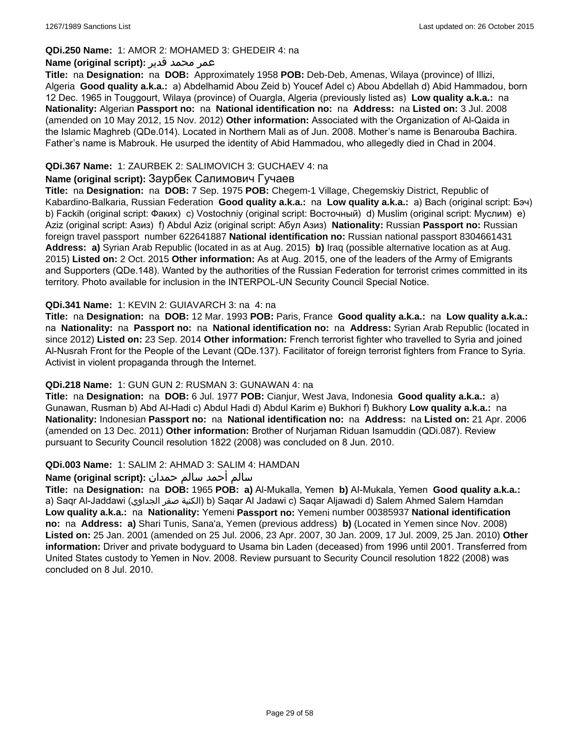### **QDi.250 Name:** 1: AMOR 2: MOHAMED 3: GHEDEIR 4: na

### عمر محمد قدير **:(script original (Name**

**Title:** na **Designation:** na **DOB:** Approximately 1958 **POB:** Deb-Deb, Amenas, Wilaya (province) of Illizi, Algeria **Good quality a.k.a.:** a) Abdelhamid Abou Zeid b) Youcef Adel c) Abou Abdellah d) Abid Hammadou, born 12 Dec. 1965 in Touggourt, Wilaya (province) of Ouargla, Algeria (previously listed as) **Low quality a.k.a.:** na **Nationality:** Algerian **Passport no:** na **National identification no:** na **Address:** na **Listed on:** 3 Jul. 2008 (amended on 10 May 2012, 15 Nov. 2012) **Other information:** Associated with the Organization of Al-Qaida in the Islamic Maghreb (QDe.014). Located in Northern Mali as of Jun. 2008. Mother's name is Benarouba Bachira. Father's name is Mabrouk. He usurped the identity of Abid Hammadou, who allegedly died in Chad in 2004.

# **QDi.367 Name:** 1: ZAURBEK 2: SALIMOVICH 3: GUCHAEV 4: na

### **Name (original script):** Заурбек Салимович Гучаев

**Title:** na **Designation:** na **DOB:** 7 Sep. 1975 **POB:** Chegem-1 Village, Chegemskiy District, Republic of Kabardino-Balkaria, Russian Federation **Good quality a.k.a.:** na **Low quality a.k.a.:** a) Bach (original script: Бэч) b) Fackih (original script: Факих) c) Vostochniy (original script: Восточный) d) Muslim (original script: Муслим) e) Aziz (original script: Азиз) f) Abdul Aziz (original script: Абул Азиз) **Nationality:** Russian **Passport no:** Russian foreign travel passport number 622641887 **National identification no:** Russian national passport 8304661431 **Address: a)** Syrian Arab Republic (located in as at Aug. 2015) **b)** Iraq (possible alternative location as at Aug. 2015) **Listed on:** 2 Oct. 2015 **Other information:** As at Aug. 2015, one of the leaders of the Army of Emigrants and Supporters (QDe.148). Wanted by the authorities of the Russian Federation for terrorist crimes committed in its territory. Photo available for inclusion in the INTERPOL-UN Security Council Special Notice.

### **QDi.341 Name:** 1: KEVIN 2: GUIAVARCH 3: na 4: na

**Title:** na **Designation:** na **DOB:** 12 Mar. 1993 **POB:** Paris, France **Good quality a.k.a.:** na **Low quality a.k.a.:**  na **Nationality:** na **Passport no:** na **National identification no:** na **Address:** Syrian Arab Republic (located in since 2012) **Listed on:** 23 Sep. 2014 **Other information:** French terrorist fighter who travelled to Syria and joined Al-Nusrah Front for the People of the Levant (QDe.137). Facilitator of foreign terrorist fighters from France to Syria. Activist in violent propaganda through the Internet.

#### **QDi.218 Name:** 1: GUN GUN 2: RUSMAN 3: GUNAWAN 4: na

**Title:** na **Designation:** na **DOB:** 6 Jul. 1977 **POB:** Cianjur, West Java, Indonesia **Good quality a.k.a.:** a) Gunawan, Rusman b) Abd Al-Hadi c) Abdul Hadi d) Abdul Karim e) Bukhori f) Bukhory **Low quality a.k.a.:** na **Nationality:** Indonesian **Passport no:** na **National identification no:** na **Address:** na **Listed on:** 21 Apr. 2006 (amended on 13 Dec. 2011) **Other information:** Brother of Nurjaman Riduan Isamuddin (QDi.087). Review pursuant to Security Council resolution 1822 (2008) was concluded on 8 Jun. 2010.

#### **QDi.003 Name:** 1: SALIM 2: AHMAD 3: SALIM 4: HAMDAN

#### سالم أحمد سالم حمدان **:(script original (Name**

**Title:** na **Designation:** na **DOB:** 1965 **POB: a)** Al-Mukalla, Yemen **b)** AI-Mukala, Yemen **Good quality a.k.a.:**  a) Saqr Al-Jaddawi (الجداوي صقر الكنية (b) Saqar Al Jadawi c) Saqar Aljawadi d) Salem Ahmed Salem Hamdan **Low quality a.k.a.:** na **Nationality:** Yemeni **Passport no:** Yemeni number 00385937 **National identification no:** na **Address: a)** Shari Tunis, Sana'a, Yemen (previous address) **b)** (Located in Yemen since Nov. 2008) **Listed on:** 25 Jan. 2001 (amended on 25 Jul. 2006, 23 Apr. 2007, 30 Jan. 2009, 17 Jul. 2009, 25 Jan. 2010) **Other information:** Driver and private bodyguard to Usama bin Laden (deceased) from 1996 until 2001. Transferred from United States custody to Yemen in Nov. 2008. Review pursuant to Security Council resolution 1822 (2008) was concluded on 8 Jul. 2010.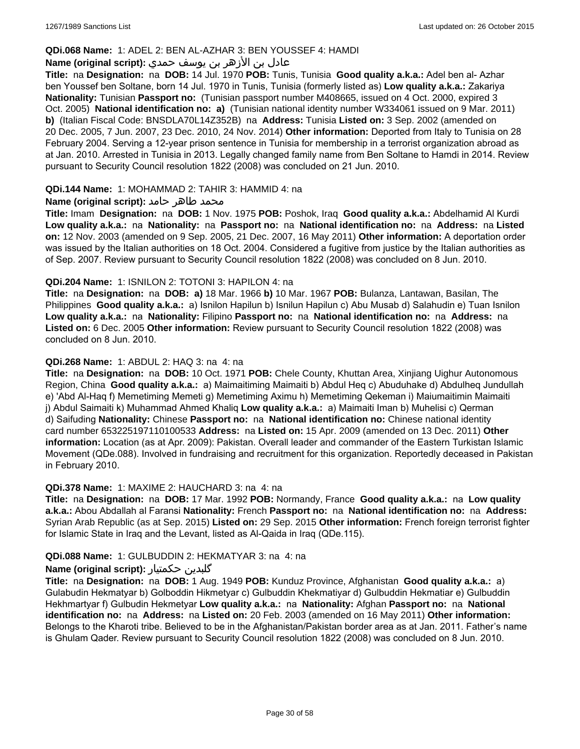### **QDi.068 Name:** 1: ADEL 2: BEN AL-AZHAR 3: BEN YOUSSEF 4: HAMDI

# عادل بن الأزهر بن يوسف حمدي **:(script original (Name**

**Title:** na **Designation:** na **DOB:** 14 Jul. 1970 **POB:** Tunis, Tunisia **Good quality a.k.a.:** Adel ben al- Azhar ben Youssef ben Soltane, born 14 Jul. 1970 in Tunis, Tunisia (formerly listed as) **Low quality a.k.a.:** Zakariya **Nationality:** Tunisian **Passport no:** (Tunisian passport number M408665, issued on 4 Oct. 2000, expired 3 Oct. 2005) **National identification no: a)** (Tunisian national identity number W334061 issued on 9 Mar. 2011) **b)** (Italian Fiscal Code: BNSDLA70L14Z352B) na **Address:** Tunisia **Listed on:** 3 Sep. 2002 (amended on 20 Dec. 2005, 7 Jun. 2007, 23 Dec. 2010, 24 Nov. 2014) **Other information:** Deported from Italy to Tunisia on 28 February 2004. Serving a 12-year prison sentence in Tunisia for membership in a terrorist organization abroad as at Jan. 2010. Arrested in Tunisia in 2013. Legally changed family name from Ben Soltane to Hamdi in 2014. Review pursuant to Security Council resolution 1822 (2008) was concluded on 21 Jun. 2010.

### **QDi.144 Name:** 1: MOHAMMAD 2: TAHIR 3: HAMMID 4: na

### **محمد طاهر حامد :(Name (original script**

**Title:** Imam **Designation:** na **DOB:** 1 Nov. 1975 **POB:** Poshok, Iraq **Good quality a.k.a.:** Abdelhamid Al Kurdi **Low quality a.k.a.:** na **Nationality:** na **Passport no:** na **National identification no:** na **Address:** na **Listed on:** 12 Nov. 2003 (amended on 9 Sep. 2005, 21 Dec. 2007, 16 May 2011) **Other information:** A deportation order was issued by the Italian authorities on 18 Oct. 2004. Considered a fugitive from justice by the Italian authorities as of Sep. 2007. Review pursuant to Security Council resolution 1822 (2008) was concluded on 8 Jun. 2010.

#### **QDi.204 Name:** 1: ISNILON 2: TOTONI 3: HAPILON 4: na

**Title:** na **Designation:** na **DOB: a)** 18 Mar. 1966 **b)** 10 Mar. 1967 **POB:** Bulanza, Lantawan, Basilan, The Philippines **Good quality a.k.a.:** a) Isnilon Hapilun b) Isnilun Hapilun c) Abu Musab d) Salahudin e) Tuan Isnilon **Low quality a.k.a.:** na **Nationality:** Filipino **Passport no:** na **National identification no:** na **Address:** na **Listed on:** 6 Dec. 2005 **Other information:** Review pursuant to Security Council resolution 1822 (2008) was concluded on 8 Jun. 2010.

### **QDi.268 Name:** 1: ABDUL 2: HAQ 3: na 4: na

**Title:** na **Designation:** na **DOB:** 10 Oct. 1971 **POB:** Chele County, Khuttan Area, Xinjiang Uighur Autonomous Region, China **Good quality a.k.a.:** a) Maimaitiming Maimaiti b) Abdul Heq c) Abuduhake d) Abdulheq Jundullah e) 'Abd Al-Haq f) Memetiming Memeti g) Memetiming Aximu h) Memetiming Qekeman i) Maiumaitimin Maimaiti j) Abdul Saimaiti k) Muhammad Ahmed Khaliq **Low quality a.k.a.:** a) Maimaiti Iman b) Muhelisi c) Qerman d) Saifuding **Nationality:** Chinese **Passport no:** na **National identification no:** Chinese national identity card number 653225197110100533 **Address:** na **Listed on:** 15 Apr. 2009 (amended on 13 Dec. 2011) **Other information:** Location (as at Apr. 2009): Pakistan. Overall leader and commander of the Eastern Turkistan Islamic Movement (QDe.088). Involved in fundraising and recruitment for this organization. Reportedly deceased in Pakistan in February 2010.

#### **QDi.378 Name:** 1: MAXIME 2: HAUCHARD 3: na 4: na

**Title:** na **Designation:** na **DOB:** 17 Mar. 1992 **POB:** Normandy, France **Good quality a.k.a.:** na **Low quality a.k.a.:** Abou Abdallah al Faransi **Nationality:** French **Passport no:** na **National identification no:** na **Address:** Syrian Arab Republic (as at Sep. 2015) **Listed on:** 29 Sep. 2015 **Other information:** French foreign terrorist fighter for Islamic State in Iraq and the Levant, listed as Al-Qaida in Iraq (QDe.115).

#### **QDi.088 Name:** 1: GULBUDDIN 2: HEKMATYAR 3: na 4: na

# **Name (original script):** حکمتیار گلبدین

**Title:** na **Designation:** na **DOB:** 1 Aug. 1949 **POB:** Kunduz Province, Afghanistan **Good quality a.k.a.:** a) Gulabudin Hekmatyar b) Golboddin Hikmetyar c) Gulbuddin Khekmatiyar d) Gulbuddin Hekmatiar e) Gulbuddin Hekhmartyar f) Gulbudin Hekmetyar **Low quality a.k.a.:** na **Nationality:** Afghan **Passport no:** na **National identification no:** na **Address:** na **Listed on:** 20 Feb. 2003 (amended on 16 May 2011) **Other information:** Belongs to the Kharoti tribe. Believed to be in the Afghanistan/Pakistan border area as at Jan. 2011. Father's name is Ghulam Qader. Review pursuant to Security Council resolution 1822 (2008) was concluded on 8 Jun. 2010.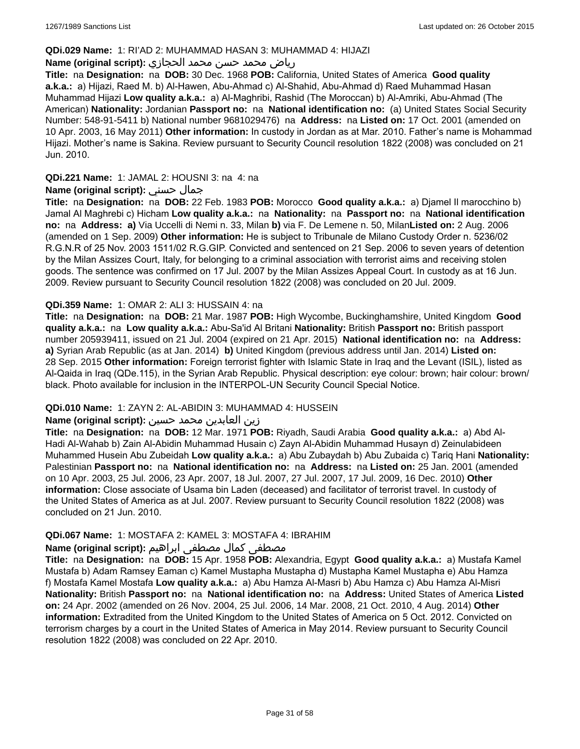### **QDi.029 Name:** 1: RI'AD 2: MUHAMMAD HASAN 3: MUHAMMAD 4: HIJAZI

# رياض محمد حسن محمد الحجازي **:(script original (Name**

**Title:** na **Designation:** na **DOB:** 30 Dec. 1968 **POB:** California, United States of America **Good quality a.k.a.:** a) Hijazi, Raed M. b) Al-Hawen, Abu-Ahmad c) Al-Shahid, Abu-Ahmad d) Raed Muhammad Hasan Muhammad Hijazi **Low quality a.k.a.:** a) Al-Maghribi, Rashid (The Moroccan) b) Al-Amriki, Abu-Ahmad (The American) **Nationality:** Jordanian **Passport no:** na **National identification no:** (a) United States Social Security Number: 548-91-5411 b) National number 9681029476) na **Address:** na **Listed on:** 17 Oct. 2001 (amended on 10 Apr. 2003, 16 May 2011) **Other information:** In custody in Jordan as at Mar. 2010. Father's name is Mohammad Hijazi. Mother's name is Sakina. Review pursuant to Security Council resolution 1822 (2008) was concluded on 21 Jun. 2010.

# **QDi.221 Name:** 1: JAMAL 2: HOUSNI 3: na 4: na

### **Name (original script):** حسني جمال

**Title:** na **Designation:** na **DOB:** 22 Feb. 1983 **POB:** Morocco **Good quality a.k.a.:** a) Djamel Il marocchino b) Jamal Al Maghrebi c) Hicham **Low quality a.k.a.:** na **Nationality:** na **Passport no:** na **National identification no:** na **Address: a)** Via Uccelli di Nemi n. 33, Milan **b)** via F. De Lemene n. 50, Milan**Listed on:** 2 Aug. 2006 (amended on 1 Sep. 2009) **Other information:** He is subject to Tribunale de Milano Custody Order n. 5236/02 R.G.N.R of 25 Nov. 2003 1511/02 R.G.GIP. Convicted and sentenced on 21 Sep. 2006 to seven years of detention by the Milan Assizes Court, Italy, for belonging to a criminal association with terrorist aims and receiving stolen goods. The sentence was confirmed on 17 Jul. 2007 by the Milan Assizes Appeal Court. In custody as at 16 Jun. 2009. Review pursuant to Security Council resolution 1822 (2008) was concluded on 20 Jul. 2009.

### **QDi.359 Name:** 1: OMAR 2: ALI 3: HUSSAIN 4: na

**Title:** na **Designation:** na **DOB:** 21 Mar. 1987 **POB:** High Wycombe, Buckinghamshire, United Kingdom **Good quality a.k.a.:** na **Low quality a.k.a.:** Abu-Sa'id Al Britani **Nationality:** British **Passport no:** British passport number 205939411, issued on 21 Jul. 2004 (expired on 21 Apr. 2015) **National identification no:** na **Address: a)** Syrian Arab Republic (as at Jan. 2014) **b)** United Kingdom (previous address until Jan. 2014) **Listed on:** 28 Sep. 2015 **Other information:** Foreign terrorist fighter with Islamic State in Iraq and the Levant (ISIL), listed as Al-Qaida in Iraq (QDe.115), in the Syrian Arab Republic. Physical description: eye colour: brown; hair colour: brown/ black. Photo available for inclusion in the INTERPOL-UN Security Council Special Notice.

# **QDi.010 Name:** 1: ZAYN 2: AL-ABIDIN 3: MUHAMMAD 4: HUSSEIN

#### زين العابدين محمد حسين **:(script original (Name**

**Title:** na **Designation:** na **DOB:** 12 Mar. 1971 **POB:** Riyadh, Saudi Arabia **Good quality a.k.a.:** a) Abd Al-Hadi Al-Wahab b) Zain Al-Abidin Muhammad Husain c) Zayn Al-Abidin Muhammad Husayn d) Zeinulabideen Muhammed Husein Abu Zubeidah **Low quality a.k.a.:** a) Abu Zubaydah b) Abu Zubaida c) Tariq Hani **Nationality:** Palestinian **Passport no:** na **National identification no:** na **Address:** na **Listed on:** 25 Jan. 2001 (amended on 10 Apr. 2003, 25 Jul. 2006, 23 Apr. 2007, 18 Jul. 2007, 27 Jul. 2007, 17 Jul. 2009, 16 Dec. 2010) **Other information:** Close associate of Usama bin Laden (deceased) and facilitator of terrorist travel. In custody of the United States of America as at Jul. 2007. Review pursuant to Security Council resolution 1822 (2008) was concluded on 21 Jun. 2010.

#### **QDi.067 Name:** 1: MOSTAFA 2: KAMEL 3: MOSTAFA 4: IBRAHIM

# مصطفى كمال مصطفى ابراهيم **:Name (original script**)

**Title:** na **Designation:** na **DOB:** 15 Apr. 1958 **POB:** Alexandria, Egypt **Good quality a.k.a.:** a) Mustafa Kamel Mustafa b) Adam Ramsey Eaman c) Kamel Mustapha Mustapha d) Mustapha Kamel Mustapha e) Abu Hamza f) Mostafa Kamel Mostafa **Low quality a.k.a.:** a) Abu Hamza Al-Masri b) Abu Hamza c) Abu Hamza Al-Misri **Nationality:** British **Passport no:** na **National identification no:** na **Address:** United States of America **Listed on:** 24 Apr. 2002 (amended on 26 Nov. 2004, 25 Jul. 2006, 14 Mar. 2008, 21 Oct. 2010, 4 Aug. 2014) **Other information:** Extradited from the United Kingdom to the United States of America on 5 Oct. 2012. Convicted on terrorism charges by a court in the United States of America in May 2014. Review pursuant to Security Council resolution 1822 (2008) was concluded on 22 Apr. 2010.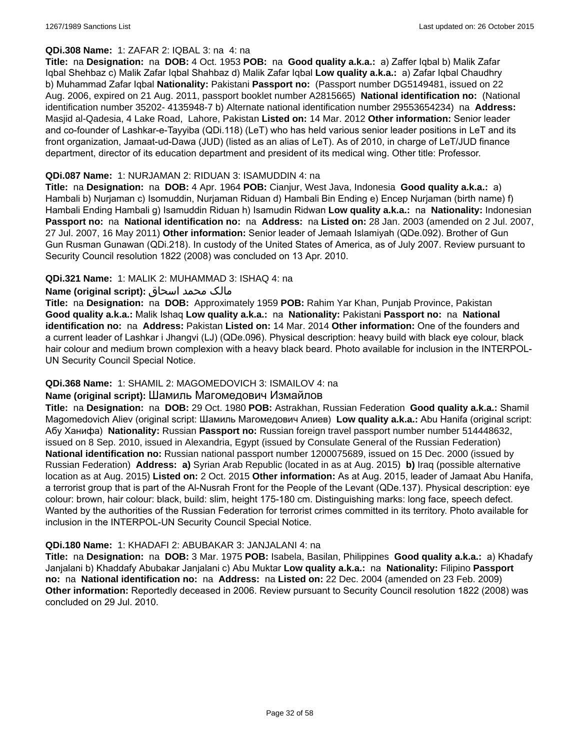# **QDi.308 Name:** 1: ZAFAR 2: IQBAL 3: na 4: na

**Title:** na **Designation:** na **DOB:** 4 Oct. 1953 **POB:** na **Good quality a.k.a.:** a) Zaffer Iqbal b) Malik Zafar Iqbal Shehbaz c) Malik Zafar Iqbal Shahbaz d) Malik Zafar Iqbal **Low quality a.k.a.:** a) Zafar Iqbal Chaudhry b) Muhammad Zafar Iqbal **Nationality:** Pakistani **Passport no:** (Passport number DG5149481, issued on 22 Aug. 2006, expired on 21 Aug. 2011, passport booklet number A2815665) **National identification no:** (National identification number 35202- 4135948-7 b) Alternate national identification number 29553654234) na **Address:** Masjid al-Qadesia, 4 Lake Road, Lahore, Pakistan **Listed on:** 14 Mar. 2012 **Other information:** Senior leader and co-founder of Lashkar-e-Tayyiba (QDi.118) (LeT) who has held various senior leader positions in LeT and its front organization, Jamaat-ud-Dawa (JUD) (listed as an alias of LeT). As of 2010, in charge of LeT/JUD finance department, director of its education department and president of its medical wing. Other title: Professor.

### **QDi.087 Name:** 1: NURJAMAN 2: RIDUAN 3: ISAMUDDIN 4: na

**Title:** na **Designation:** na **DOB:** 4 Apr. 1964 **POB:** Cianjur, West Java, Indonesia **Good quality a.k.a.:** a) Hambali b) Nurjaman c) Isomuddin, Nurjaman Riduan d) Hambali Bin Ending e) Encep Nurjaman (birth name) f) Hambali Ending Hambali g) Isamuddin Riduan h) Isamudin Ridwan **Low quality a.k.a.:** na **Nationality:** Indonesian **Passport no:** na **National identification no:** na **Address:** na **Listed on:** 28 Jan. 2003 (amended on 2 Jul. 2007, 27 Jul. 2007, 16 May 2011) **Other information:** Senior leader of Jemaah Islamiyah (QDe.092). Brother of Gun Gun Rusman Gunawan (QDi.218). In custody of the United States of America, as of July 2007. Review pursuant to Security Council resolution 1822 (2008) was concluded on 13 Apr. 2010.

# **QDi.321 Name:** 1: MALIK 2: MUHAMMAD 3: ISHAQ 4: na

### مالک محمد اسحاق **:(script original (Name**

**Title:** na **Designation:** na **DOB:** Approximately 1959 **POB:** Rahim Yar Khan, Punjab Province, Pakistan **Good quality a.k.a.:** Malik Ishaq **Low quality a.k.a.:** na **Nationality:** Pakistani **Passport no:** na **National identification no:** na **Address:** Pakistan **Listed on:** 14 Mar. 2014 **Other information:** One of the founders and a current leader of Lashkar i Jhangvi (LJ) (QDe.096). Physical description: heavy build with black eye colour, black hair colour and medium brown complexion with a heavy black beard. Photo available for inclusion in the INTERPOL-UN Security Council Special Notice.

# **QDi.368 Name:** 1: SHAMIL 2: MAGOMEDOVICH 3: ISMAILOV 4: na

# **Name (original script):** Шамиль Магомедович Измайлов

**Title:** na **Designation:** na **DOB:** 29 Oct. 1980 **POB:** Astrakhan, Russian Federation **Good quality a.k.a.:** Shamil Magomedovich Aliev (original script: Шамиль Магомедович Алиев) **Low quality a.k.a.:** Abu Hanifa (original script: Абу Ханифа) **Nationality:** Russian **Passport no:** Russian foreign travel passport number number 514448632, issued on 8 Sep. 2010, issued in Alexandria, Egypt (issued by Consulate General of the Russian Federation) **National identification no:** Russian national passport number 1200075689, issued on 15 Dec. 2000 (issued by Russian Federation) **Address: a)** Syrian Arab Republic (located in as at Aug. 2015) **b)** Iraq (possible alternative location as at Aug. 2015) **Listed on:** 2 Oct. 2015 **Other information:** As at Aug. 2015, leader of Jamaat Abu Hanifa, a terrorist group that is part of the Al-Nusrah Front for the People of the Levant (QDe.137). Physical description: eye colour: brown, hair colour: black, build: slim, height 175-180 cm. Distinguishing marks: long face, speech defect. Wanted by the authorities of the Russian Federation for terrorist crimes committed in its territory. Photo available for inclusion in the INTERPOL-UN Security Council Special Notice.

#### **QDi.180 Name:** 1: KHADAFI 2: ABUBAKAR 3: JANJALANI 4: na

**Title:** na **Designation:** na **DOB:** 3 Mar. 1975 **POB:** Isabela, Basilan, Philippines **Good quality a.k.a.:** a) Khadafy Janjalani b) Khaddafy Abubakar Janjalani c) Abu Muktar **Low quality a.k.a.:** na **Nationality:** Filipino **Passport no:** na **National identification no:** na **Address:** na **Listed on:** 22 Dec. 2004 (amended on 23 Feb. 2009) **Other information:** Reportedly deceased in 2006. Review pursuant to Security Council resolution 1822 (2008) was concluded on 29 Jul. 2010.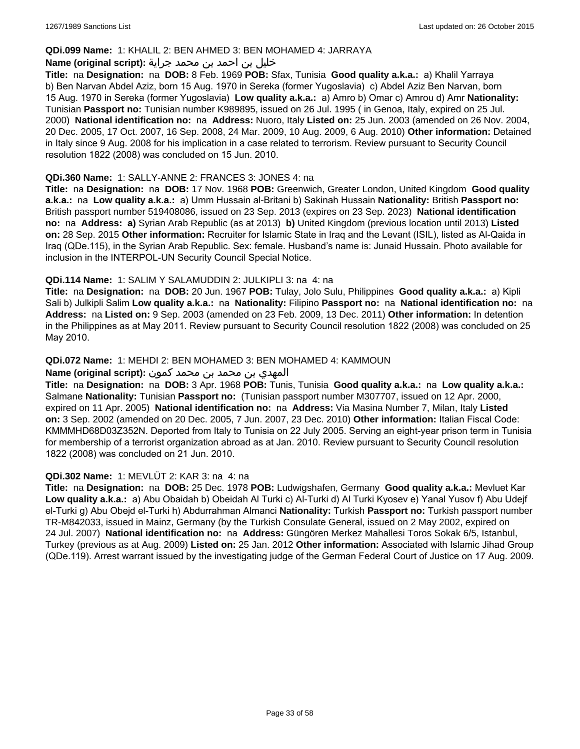#### **QDi.099 Name:** 1: KHALIL 2: BEN AHMED 3: BEN MOHAMED 4: JARRAYA

### خليل بن احمد بن محمد جراية **:(script original (Name**

**Title:** na **Designation:** na **DOB:** 8 Feb. 1969 **POB:** Sfax, Tunisia **Good quality a.k.a.:** a) Khalil Yarraya b) Ben Narvan Abdel Aziz, born 15 Aug. 1970 in Sereka (former Yugoslavia) c) Abdel Aziz Ben Narvan, born 15 Aug. 1970 in Sereka (former Yugoslavia) **Low quality a.k.a.:** a) Amro b) Omar c) Amrou d) Amr **Nationality:** Tunisian **Passport no:** Tunisian number K989895, issued on 26 Jul. 1995 ( in Genoa, Italy, expired on 25 Jul. 2000) **National identification no:** na **Address:** Nuoro, Italy **Listed on:** 25 Jun. 2003 (amended on 26 Nov. 2004, 20 Dec. 2005, 17 Oct. 2007, 16 Sep. 2008, 24 Mar. 2009, 10 Aug. 2009, 6 Aug. 2010) **Other information:** Detained in Italy since 9 Aug. 2008 for his implication in a case related to terrorism. Review pursuant to Security Council resolution 1822 (2008) was concluded on 15 Jun. 2010.

### **QDi.360 Name:** 1: SALLY-ANNE 2: FRANCES 3: JONES 4: na

**Title:** na **Designation:** na **DOB:** 17 Nov. 1968 **POB:** Greenwich, Greater London, United Kingdom **Good quality a.k.a.:** na **Low quality a.k.a.:** a) Umm Hussain al-Britani b) Sakinah Hussain **Nationality:** British **Passport no:** British passport number 519408086, issued on 23 Sep. 2013 (expires on 23 Sep. 2023) **National identification no:** na **Address: a)** Syrian Arab Republic (as at 2013) **b)** United Kingdom (previous location until 2013) **Listed on:** 28 Sep. 2015 **Other information:** Recruiter for Islamic State in Iraq and the Levant (ISIL), listed as Al-Qaida in Iraq (QDe.115), in the Syrian Arab Republic. Sex: female. Husband's name is: Junaid Hussain. Photo available for inclusion in the INTERPOL-UN Security Council Special Notice.

### **QDi.114 Name:** 1: SALIM Y SALAMUDDIN 2: JULKIPLI 3: na 4: na

**Title:** na **Designation:** na **DOB:** 20 Jun. 1967 **POB:** Tulay, Jolo Sulu, Philippines **Good quality a.k.a.:** a) Kipli Sali b) Julkipli Salim **Low quality a.k.a.:** na **Nationality:** Filipino **Passport no:** na **National identification no:** na **Address:** na **Listed on:** 9 Sep. 2003 (amended on 23 Feb. 2009, 13 Dec. 2011) **Other information:** In detention in the Philippines as at May 2011. Review pursuant to Security Council resolution 1822 (2008) was concluded on 25 May 2010.

### **QDi.072 Name:** 1: MEHDI 2: BEN MOHAMED 3: BEN MOHAMED 4: KAMMOUN

#### المهدي بن محمد بن محمد كمون **:(script original (Name**

**Title:** na **Designation:** na **DOB:** 3 Apr. 1968 **POB:** Tunis, Tunisia **Good quality a.k.a.:** na **Low quality a.k.a.:** Salmane **Nationality:** Tunisian **Passport no:** (Tunisian passport number M307707, issued on 12 Apr. 2000, expired on 11 Apr. 2005) **National identification no:** na **Address:** Via Masina Number 7, Milan, Italy **Listed on:** 3 Sep. 2002 (amended on 20 Dec. 2005, 7 Jun. 2007, 23 Dec. 2010) **Other information:** Italian Fiscal Code: KMMMHD68D03Z352N. Deported from Italy to Tunisia on 22 July 2005. Serving an eight-year prison term in Tunisia for membership of a terrorist organization abroad as at Jan. 2010. Review pursuant to Security Council resolution 1822 (2008) was concluded on 21 Jun. 2010.

#### **QDi.302 Name:** 1: MEVLÜT 2: KAR 3: na 4: na

**Title:** na **Designation:** na **DOB:** 25 Dec. 1978 **POB:** Ludwigshafen, Germany **Good quality a.k.a.:** Mevluet Kar **Low quality a.k.a.:** a) Abu Obaidah b) Obeidah Al Turki c) Al-Turki d) Al Turki Kyosev e) Yanal Yusov f) Abu Udejf el-Turki g) Abu Obejd el-Turki h) Abdurrahman Almanci **Nationality:** Turkish **Passport no:** Turkish passport number TR-M842033, issued in Mainz, Germany (by the Turkish Consulate General, issued on 2 May 2002, expired on 24 Jul. 2007) **National identification no:** na **Address:** Güngören Merkez Mahallesi Toros Sokak 6/5, Istanbul, Turkey (previous as at Aug. 2009) **Listed on:** 25 Jan. 2012 **Other information:** Associated with Islamic Jihad Group (QDe.119). Arrest warrant issued by the investigating judge of the German Federal Court of Justice on 17 Aug. 2009.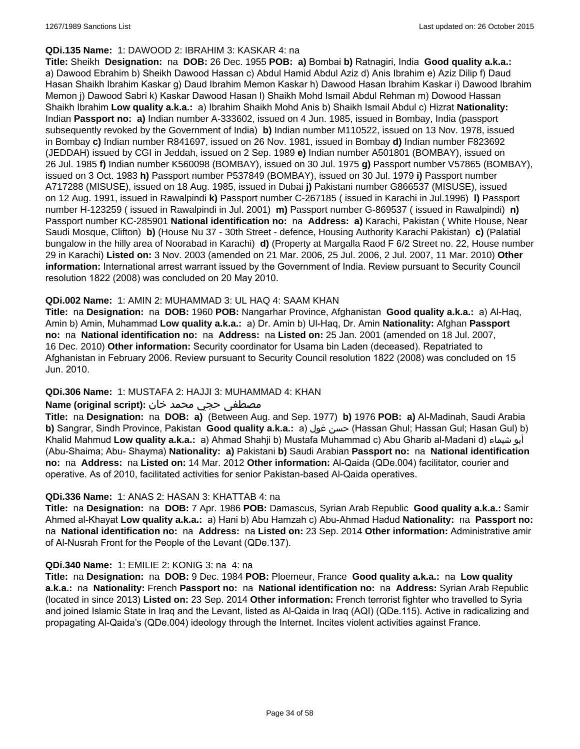#### **QDi.135 Name:** 1: DAWOOD 2: IBRAHIM 3: KASKAR 4: na

**Title:** Sheikh **Designation:** na **DOB:** 26 Dec. 1955 **POB: a)** Bombai **b)** Ratnagiri, India **Good quality a.k.a.:**  a) Dawood Ebrahim b) Sheikh Dawood Hassan c) Abdul Hamid Abdul Aziz d) Anis Ibrahim e) Aziz Dilip f) Daud Hasan Shaikh Ibrahim Kaskar g) Daud Ibrahim Memon Kaskar h) Dawood Hasan Ibrahim Kaskar i) Dawood Ibrahim Memon j) Dawood Sabri k) Kaskar Dawood Hasan l) Shaikh Mohd Ismail Abdul Rehman m) Dowood Hassan Shaikh Ibrahim **Low quality a.k.a.:** a) Ibrahim Shaikh Mohd Anis b) Shaikh Ismail Abdul c) Hizrat **Nationality:** Indian **Passport no: a)** Indian number A-333602, issued on 4 Jun. 1985, issued in Bombay, India (passport subsequently revoked by the Government of India) **b)** Indian number M110522, issued on 13 Nov. 1978, issued in Bombay **c)** Indian number R841697, issued on 26 Nov. 1981, issued in Bombay **d)** Indian number F823692 (JEDDAH) issued by CGI in Jeddah, issued on 2 Sep. 1989 **e)** Indian number A501801 (BOMBAY), issued on 26 Jul. 1985 **f)** Indian number K560098 (BOMBAY), issued on 30 Jul. 1975 **g)** Passport number V57865 (BOMBAY), issued on 3 Oct. 1983 **h)** Passport number P537849 (BOMBAY), issued on 30 Jul. 1979 **i)** Passport number A717288 (MISUSE), issued on 18 Aug. 1985, issued in Dubai **j)** Pakistani number G866537 (MISUSE), issued on 12 Aug. 1991, issued in Rawalpindi **k)** Passport number C-267185 ( issued in Karachi in Jul.1996) **l)** Passport number H-123259 ( issued in Rawalpindi in Jul. 2001) **m)** Passport number G-869537 ( issued in Rawalpindi) **n)** Passport number KC-285901 **National identification no:** na **Address: a)** Karachi, Pakistan ( White House, Near Saudi Mosque, Clifton) **b)** (House Nu 37 - 30th Street - defence, Housing Authority Karachi Pakistan) **c)** (Palatial bungalow in the hilly area of Noorabad in Karachi) **d)** (Property at Margalla Raod F 6/2 Street no. 22, House number 29 in Karachi) **Listed on:** 3 Nov. 2003 (amended on 21 Mar. 2006, 25 Jul. 2006, 2 Jul. 2007, 11 Mar. 2010) **Other information:** International arrest warrant issued by the Government of India. Review pursuant to Security Council resolution 1822 (2008) was concluded on 20 May 2010.

### **QDi.002 Name:** 1: AMIN 2: MUHAMMAD 3: UL HAQ 4: SAAM KHAN

**Title:** na **Designation:** na **DOB:** 1960 **POB:** Nangarhar Province, Afghanistan **Good quality a.k.a.:** a) Al-Haq, Amin b) Amin, Muhammad **Low quality a.k.a.:** a) Dr. Amin b) Ul-Haq, Dr. Amin **Nationality:** Afghan **Passport no:** na **National identification no:** na **Address:** na **Listed on:** 25 Jan. 2001 (amended on 18 Jul. 2007, 16 Dec. 2010) **Other information:** Security coordinator for Usama bin Laden (deceased). Repatriated to Afghanistan in February 2006. Review pursuant to Security Council resolution 1822 (2008) was concluded on 15 Jun. 2010.

# **QDi.306 Name:** 1: MUSTAFA 2: HAJJI 3: MUHAMMAD 4: KHAN

### مصطفى حجي محمد خان **:**Name (original script)

**Title:** na **Designation:** na **DOB: a)** (Between Aug. and Sep. 1977) **b)** 1976 **POB: a)** Al-Madinah, Saudi Arabia **b)** Sangrar, Sindh Province, Pakistan Good quality a.k.a.: a) حسن غول (Hassan Ghul; Hassan Gul; Hasan Gul) b) Khalid Mahmud **Low quality a.k.a.:** a) Ahmad Shahji b) Mustafa Muhammad c) Abu Gharib al-Madani d) شيماء أبو (Abu-Shaima; Abu- Shayma) **Nationality: a)** Pakistani **b)** Saudi Arabian **Passport no:** na **National identification no:** na **Address:** na **Listed on:** 14 Mar. 2012 **Other information:** Al-Qaida (QDe.004) facilitator, courier and operative. As of 2010, facilitated activities for senior Pakistan-based Al-Qaida operatives.

#### **QDi.336 Name:** 1: ANAS 2: HASAN 3: KHATTAB 4: na

**Title:** na **Designation:** na **DOB:** 7 Apr. 1986 **POB:** Damascus, Syrian Arab Republic **Good quality a.k.a.:** Samir Ahmed al-Khayat **Low quality a.k.a.:** a) Hani b) Abu Hamzah c) Abu-Ahmad Hadud **Nationality:** na **Passport no:** na **National identification no:** na **Address:** na **Listed on:** 23 Sep. 2014 **Other information:** Administrative amir of Al-Nusrah Front for the People of the Levant (QDe.137).

#### **QDi.340 Name:** 1: EMILIE 2: KONIG 3: na 4: na

**Title:** na **Designation:** na **DOB:** 9 Dec. 1984 **POB:** Ploemeur, France **Good quality a.k.a.:** na **Low quality a.k.a.:** na **Nationality:** French **Passport no:** na **National identification no:** na **Address:** Syrian Arab Republic (located in since 2013) **Listed on:** 23 Sep. 2014 **Other information:** French terrorist fighter who travelled to Syria and joined Islamic State in Iraq and the Levant, listed as Al-Qaida in Iraq (AQI) (QDe.115). Active in radicalizing and propagating Al-Qaida's (QDe.004) ideology through the Internet. Incites violent activities against France.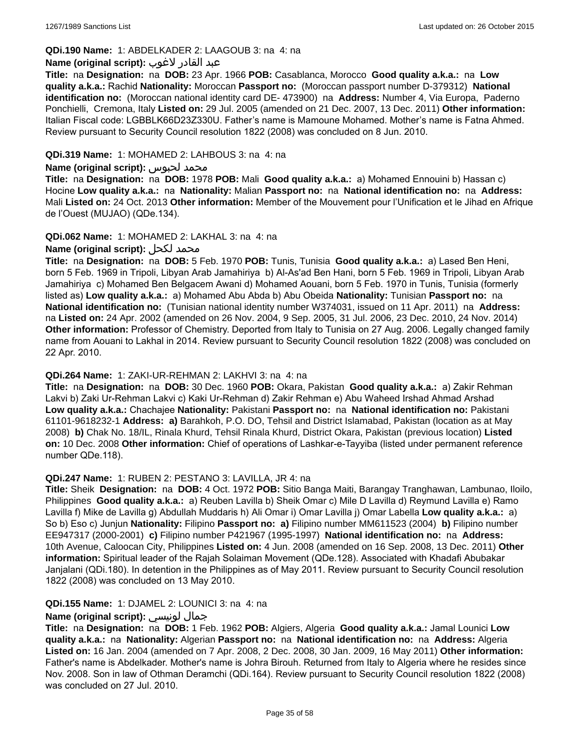# **QDi.190 Name:** 1: ABDELKADER 2: LAAGOUB 3: na 4: na

### عبد القادر لاغوب **:(script original (Name**

**Title:** na **Designation:** na **DOB:** 23 Apr. 1966 **POB:** Casablanca, Morocco **Good quality a.k.a.:** na **Low quality a.k.a.:** Rachid **Nationality:** Moroccan **Passport no:** (Moroccan passport number D-379312) **National identification no:** (Moroccan national identity card DE- 473900) na **Address:** Number 4, Via Europa, Paderno Ponchielli, Cremona, Italy **Listed on:** 29 Jul. 2005 (amended on 21 Dec. 2007, 13 Dec. 2011) **Other information:** Italian Fiscal code: LGBBLK66D23Z330U. Father's name is Mamoune Mohamed. Mother's name is Fatna Ahmed. Review pursuant to Security Council resolution 1822 (2008) was concluded on 8 Jun. 2010.

### **QDi.319 Name:** 1: MOHAMED 2: LAHBOUS 3: na 4: na

#### **Name (original script):** لحبوس محمد

**Title:** na **Designation:** na **DOB:** 1978 **POB:** Mali **Good quality a.k.a.:** a) Mohamed Ennouini b) Hassan c) Hocine **Low quality a.k.a.:** na **Nationality:** Malian **Passport no:** na **National identification no:** na **Address:** Mali **Listed on:** 24 Oct. 2013 **Other information:** Member of the Mouvement pour l'Unification et le Jihad en Afrique de l'Ouest (MUJAO) (QDe.134).

### **QDi.062 Name:** 1: MOHAMED 2: LAKHAL 3: na 4: na

# **Name (original script):** لكحل محمد

**Title:** na **Designation:** na **DOB:** 5 Feb. 1970 **POB:** Tunis, Tunisia **Good quality a.k.a.:** a) Lased Ben Heni, born 5 Feb. 1969 in Tripoli, Libyan Arab Jamahiriya b) Al-As'ad Ben Hani, born 5 Feb. 1969 in Tripoli, Libyan Arab Jamahiriya c) Mohamed Ben Belgacem Awani d) Mohamed Aouani, born 5 Feb. 1970 in Tunis, Tunisia (formerly listed as) **Low quality a.k.a.:** a) Mohamed Abu Abda b) Abu Obeida **Nationality:** Tunisian **Passport no:** na **National identification no:** (Tunisian national identity number W374031, issued on 11 Apr. 2011) na **Address:**  na **Listed on:** 24 Apr. 2002 (amended on 26 Nov. 2004, 9 Sep. 2005, 31 Jul. 2006, 23 Dec. 2010, 24 Nov. 2014) **Other information:** Professor of Chemistry. Deported from Italy to Tunisia on 27 Aug. 2006. Legally changed family name from Aouani to Lakhal in 2014. Review pursuant to Security Council resolution 1822 (2008) was concluded on 22 Apr. 2010.

#### **QDi.264 Name:** 1: ZAKI-UR-REHMAN 2: LAKHVI 3: na 4: na

**Title:** na **Designation:** na **DOB:** 30 Dec. 1960 **POB:** Okara, Pakistan **Good quality a.k.a.:** a) Zakir Rehman Lakvi b) Zaki Ur-Rehman Lakvi c) Kaki Ur-Rehman d) Zakir Rehman e) Abu Waheed Irshad Ahmad Arshad **Low quality a.k.a.:** Chachajee **Nationality:** Pakistani **Passport no:** na **National identification no:** Pakistani 61101-9618232-1 **Address: a)** Barahkoh, P.O. DO, Tehsil and District Islamabad, Pakistan (location as at May 2008) **b)** Chak No. 18/IL, Rinala Khurd, Tehsil Rinala Khurd, District Okara, Pakistan (previous location) **Listed on:** 10 Dec. 2008 **Other information:** Chief of operations of Lashkar-e-Tayyiba (listed under permanent reference number QDe.118).

#### **QDi.247 Name:** 1: RUBEN 2: PESTANO 3: LAVILLA, JR 4: na

**Title:** Sheik **Designation:** na **DOB:** 4 Oct. 1972 **POB:** Sitio Banga Maiti, Barangay Tranghawan, Lambunao, Iloilo, Philippines **Good quality a.k.a.:** a) Reuben Lavilla b) Sheik Omar c) Mile D Lavilla d) Reymund Lavilla e) Ramo Lavilla f) Mike de Lavilla g) Abdullah Muddaris h) Ali Omar i) Omar Lavilla j) Omar Labella **Low quality a.k.a.:** a) So b) Eso c) Junjun **Nationality:** Filipino **Passport no: a)** Filipino number MM611523 (2004) **b)** Filipino number EE947317 (2000-2001) **c)** Filipino number P421967 (1995-1997) **National identification no:** na **Address:** 10th Avenue, Caloocan City, Philippines **Listed on:** 4 Jun. 2008 (amended on 16 Sep. 2008, 13 Dec. 2011) **Other information:** Spiritual leader of the Rajah Solaiman Movement (QDe.128). Associated with Khadafi Abubakar Janjalani (QDi.180). In detention in the Philippines as of May 2011. Review pursuant to Security Council resolution 1822 (2008) was concluded on 13 May 2010.

# **QDi.155 Name:** 1: DJAMEL 2: LOUNICI 3: na 4: na

# **Name (original script):** لونيسي جمال

**Title:** na **Designation:** na **DOB:** 1 Feb. 1962 **POB:** Algiers, Algeria **Good quality a.k.a.:** Jamal Lounici **Low quality a.k.a.:** na **Nationality:** Algerian **Passport no:** na **National identification no:** na **Address:** Algeria **Listed on:** 16 Jan. 2004 (amended on 7 Apr. 2008, 2 Dec. 2008, 30 Jan. 2009, 16 May 2011) **Other information:** Father's name is Abdelkader. Mother's name is Johra Birouh. Returned from Italy to Algeria where he resides since Nov. 2008. Son in law of Othman Deramchi (QDi.164). Review pursuant to Security Council resolution 1822 (2008) was concluded on 27 Jul. 2010.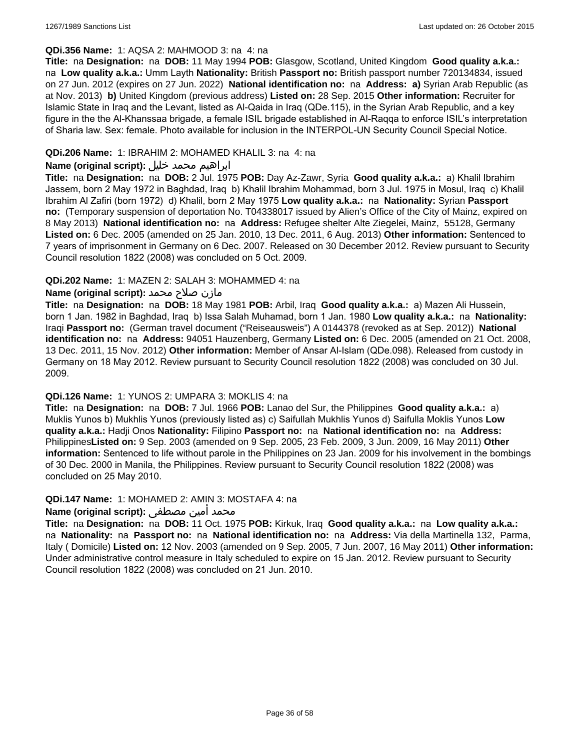#### **QDi.356 Name:** 1: AQSA 2: MAHMOOD 3: na 4: na

**Title:** na **Designation:** na **DOB:** 11 May 1994 **POB:** Glasgow, Scotland, United Kingdom **Good quality a.k.a.:**  na **Low quality a.k.a.:** Umm Layth **Nationality:** British **Passport no:** British passport number 720134834, issued on 27 Jun. 2012 (expires on 27 Jun. 2022) **National identification no:** na **Address: a)** Syrian Arab Republic (as at Nov. 2013) **b)** United Kingdom (previous address) **Listed on:** 28 Sep. 2015 **Other information:** Recruiter for Islamic State in Iraq and the Levant, listed as Al-Qaida in Iraq (QDe.115), in the Syrian Arab Republic, and a key figure in the the Al-Khanssaa brigade, a female ISIL brigade established in Al-Raqqa to enforce ISIL's interpretation of Sharia law. Sex: female. Photo available for inclusion in the INTERPOL-UN Security Council Special Notice.

### **QDi.206 Name:** 1: IBRAHIM 2: MOHAMED KHALIL 3: na 4: na

### ابراهيم محمد خليل **:(script original (Name**

**Title:** na **Designation:** na **DOB:** 2 Jul. 1975 **POB:** Day Az-Zawr, Syria **Good quality a.k.a.:** a) Khalil Ibrahim Jassem, born 2 May 1972 in Baghdad, Iraq b) Khalil Ibrahim Mohammad, born 3 Jul. 1975 in Mosul, Iraq c) Khalil Ibrahim Al Zafiri (born 1972) d) Khalil, born 2 May 1975 **Low quality a.k.a.:** na **Nationality:** Syrian **Passport no:** (Temporary suspension of deportation No. T04338017 issued by Alien's Office of the City of Mainz, expired on 8 May 2013) **National identification no:** na **Address:** Refugee shelter Alte Ziegelei, Mainz, 55128, Germany **Listed on:** 6 Dec. 2005 (amended on 25 Jan. 2010, 13 Dec. 2011, 6 Aug. 2013) **Other information:** Sentenced to 7 years of imprisonment in Germany on 6 Dec. 2007. Released on 30 December 2012. Review pursuant to Security Council resolution 1822 (2008) was concluded on 5 Oct. 2009.

### **QDi.202 Name:** 1: MAZEN 2: SALAH 3: MOHAMMED 4: na

### مازن صلاح محمد **:(script original (Name**

**Title:** na **Designation:** na **DOB:** 18 May 1981 **POB:** Arbil, Iraq **Good quality a.k.a.:** a) Mazen Ali Hussein, born 1 Jan. 1982 in Baghdad, Iraq b) Issa Salah Muhamad, born 1 Jan. 1980 **Low quality a.k.a.:** na **Nationality:** Iraqi **Passport no:** (German travel document ("Reiseausweis") A 0144378 (revoked as at Sep. 2012)) **National identification no:** na **Address:** 94051 Hauzenberg, Germany **Listed on:** 6 Dec. 2005 (amended on 21 Oct. 2008, 13 Dec. 2011, 15 Nov. 2012) **Other information:** Member of Ansar Al-Islam (QDe.098). Released from custody in Germany on 18 May 2012. Review pursuant to Security Council resolution 1822 (2008) was concluded on 30 Jul. 2009.

### **QDi.126 Name:** 1: YUNOS 2: UMPARA 3: MOKLIS 4: na

**Title:** na **Designation:** na **DOB:** 7 Jul. 1966 **POB:** Lanao del Sur, the Philippines **Good quality a.k.a.:** a) Muklis Yunos b) Mukhlis Yunos (previously listed as) c) Saifullah Mukhlis Yunos d) Saifulla Moklis Yunos **Low quality a.k.a.:** Hadji Onos **Nationality:** Filipino **Passport no:** na **National identification no:** na **Address:** Philippines**Listed on:** 9 Sep. 2003 (amended on 9 Sep. 2005, 23 Feb. 2009, 3 Jun. 2009, 16 May 2011) **Other information:** Sentenced to life without parole in the Philippines on 23 Jan. 2009 for his involvement in the bombings of 30 Dec. 2000 in Manila, the Philippines. Review pursuant to Security Council resolution 1822 (2008) was concluded on 25 May 2010.

#### **QDi.147 Name:** 1: MOHAMED 2: AMIN 3: MOSTAFA 4: na

# محمد أمين مصطفى :**(Name (original script**

**Title:** na **Designation:** na **DOB:** 11 Oct. 1975 **POB:** Kirkuk, Iraq **Good quality a.k.a.:** na **Low quality a.k.a.:**  na **Nationality:** na **Passport no:** na **National identification no:** na **Address:** Via della Martinella 132, Parma, Italy ( Domicile) **Listed on:** 12 Nov. 2003 (amended on 9 Sep. 2005, 7 Jun. 2007, 16 May 2011) **Other information:** Under administrative control measure in Italy scheduled to expire on 15 Jan. 2012. Review pursuant to Security Council resolution 1822 (2008) was concluded on 21 Jun. 2010.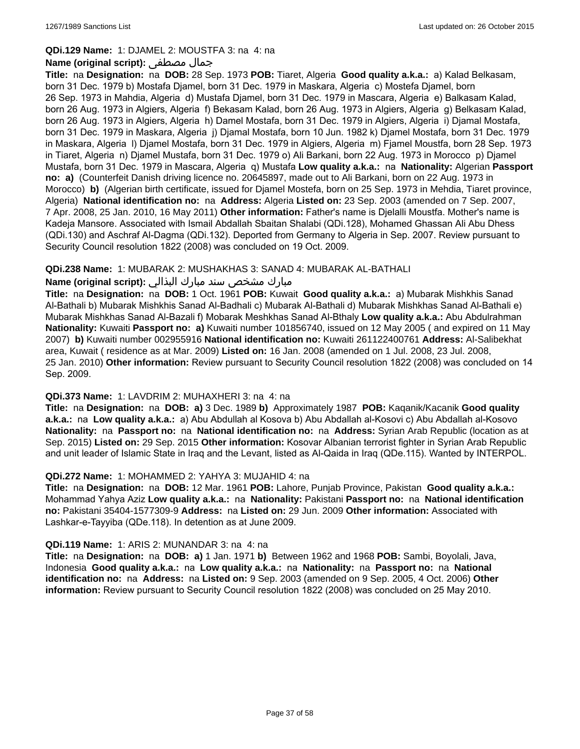### **QDi.129 Name:** 1: DJAMEL 2: MOUSTFA 3: na 4: na

### **Name (original script):** مصطفى جمال

**Title:** na **Designation:** na **DOB:** 28 Sep. 1973 **POB:** Tiaret, Algeria **Good quality a.k.a.:** a) Kalad Belkasam, born 31 Dec. 1979 b) Mostafa Djamel, born 31 Dec. 1979 in Maskara, Algeria c) Mostefa Djamel, born 26 Sep. 1973 in Mahdia, Algeria d) Mustafa Djamel, born 31 Dec. 1979 in Mascara, Algeria e) Balkasam Kalad, born 26 Aug. 1973 in Algiers, Algeria f) Bekasam Kalad, born 26 Aug. 1973 in Algiers, Algeria g) Belkasam Kalad, born 26 Aug. 1973 in Algiers, Algeria h) Damel Mostafa, born 31 Dec. 1979 in Algiers, Algeria i) Djamal Mostafa, born 31 Dec. 1979 in Maskara, Algeria j) Djamal Mostafa, born 10 Jun. 1982 k) Djamel Mostafa, born 31 Dec. 1979 in Maskara, Algeria l) Djamel Mostafa, born 31 Dec. 1979 in Algiers, Algeria m) Fjamel Moustfa, born 28 Sep. 1973 in Tiaret, Algeria n) Djamel Mustafa, born 31 Dec. 1979 o) Ali Barkani, born 22 Aug. 1973 in Morocco p) Djamel Mustafa, born 31 Dec. 1979 in Mascara, Algeria q) Mustafa **Low quality a.k.a.:** na **Nationality:** Algerian **Passport no: a)** (Counterfeit Danish driving licence no. 20645897, made out to Ali Barkani, born on 22 Aug. 1973 in Morocco) **b)** (Algerian birth certificate, issued for Djamel Mostefa, born on 25 Sep. 1973 in Mehdia, Tiaret province, Algeria) **National identification no:** na **Address:** Algeria **Listed on:** 23 Sep. 2003 (amended on 7 Sep. 2007, 7 Apr. 2008, 25 Jan. 2010, 16 May 2011) **Other information:** Father's name is Djelalli Moustfa. Mother's name is Kadeja Mansore. Associated with Ismail Abdallah Sbaitan Shalabi (QDi.128), Mohamed Ghassan Ali Abu Dhess (QDi.130) and Aschraf Al-Dagma (QDi.132). Deported from Germany to Algeria in Sep. 2007. Review pursuant to Security Council resolution 1822 (2008) was concluded on 19 Oct. 2009.

### **QDi.238 Name:** 1: MUBARAK 2: MUSHAKHAS 3: SANAD 4: MUBARAK AL-BATHALI

# مبارك مشخص سند مبارك البذالي **:Name (original script)**

**Title:** na **Designation:** na **DOB:** 1 Oct. 1961 **POB:** Kuwait **Good quality a.k.a.:** a) Mubarak Mishkhis Sanad Al-Bathali b) Mubarak Mishkhis Sanad Al-Badhali c) Mubarak Al-Bathali d) Mubarak Mishkhas Sanad Al-Bathali e) Mubarak Mishkhas Sanad Al-Bazali f) Mobarak Meshkhas Sanad Al-Bthaly **Low quality a.k.a.:** Abu Abdulrahman **Nationality:** Kuwaiti **Passport no: a)** Kuwaiti number 101856740, issued on 12 May 2005 ( and expired on 11 May 2007) **b)** Kuwaiti number 002955916 **National identification no:** Kuwaiti 261122400761 **Address:** Al-Salibekhat area, Kuwait ( residence as at Mar. 2009) **Listed on:** 16 Jan. 2008 (amended on 1 Jul. 2008, 23 Jul. 2008, 25 Jan. 2010) **Other information:** Review pursuant to Security Council resolution 1822 (2008) was concluded on 14 Sep. 2009.

#### **QDi.373 Name:** 1: LAVDRIM 2: MUHAXHERI 3: na 4: na

**Title:** na **Designation:** na **DOB: a)** 3 Dec. 1989 **b)** Approximately 1987 **POB:** Kaqanik/Kacanik **Good quality a.k.a.:** na **Low quality a.k.a.:** a) Abu Abdullah al Kosova b) Abu Abdallah al-Kosovi c) Abu Abdallah al-Kosovo **Nationality:** na **Passport no:** na **National identification no:** na **Address:** Syrian Arab Republic (location as at Sep. 2015) **Listed on:** 29 Sep. 2015 **Other information:** Kosovar Albanian terrorist fighter in Syrian Arab Republic and unit leader of Islamic State in Iraq and the Levant, listed as Al-Qaida in Iraq (QDe.115). Wanted by INTERPOL.

#### **QDi.272 Name:** 1: MOHAMMED 2: YAHYA 3: MUJAHID 4: na

**Title:** na **Designation:** na **DOB:** 12 Mar. 1961 **POB:** Lahore, Punjab Province, Pakistan **Good quality a.k.a.:** Mohammad Yahya Aziz **Low quality a.k.a.:** na **Nationality:** Pakistani **Passport no:** na **National identification no:** Pakistani 35404-1577309-9 **Address:** na **Listed on:** 29 Jun. 2009 **Other information:** Associated with Lashkar-e-Tayyiba (QDe.118). In detention as at June 2009.

#### **QDi.119 Name:** 1: ARIS 2: MUNANDAR 3: na 4: na

**Title:** na **Designation:** na **DOB: a)** 1 Jan. 1971 **b)** Between 1962 and 1968 **POB:** Sambi, Boyolali, Java, Indonesia **Good quality a.k.a.:** na **Low quality a.k.a.:** na **Nationality:** na **Passport no:** na **National identification no:** na **Address:** na **Listed on:** 9 Sep. 2003 (amended on 9 Sep. 2005, 4 Oct. 2006) **Other information:** Review pursuant to Security Council resolution 1822 (2008) was concluded on 25 May 2010.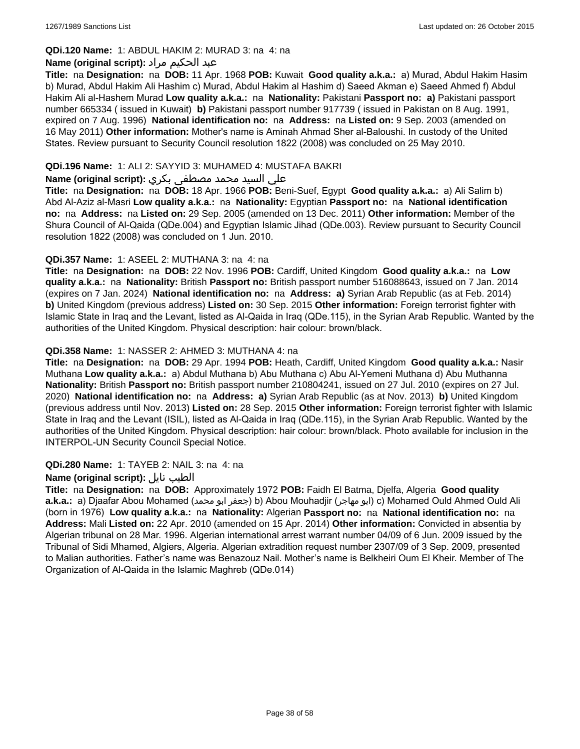# **QDi.120 Name:** 1: ABDUL HAKIM 2: MURAD 3: na 4: na

# عبد الحكيم مراد **:(script original (Name**

**Title:** na **Designation:** na **DOB:** 11 Apr. 1968 **POB:** Kuwait **Good quality a.k.a.:** a) Murad, Abdul Hakim Hasim b) Murad, Abdul Hakim Ali Hashim c) Murad, Abdul Hakim al Hashim d) Saeed Akman e) Saeed Ahmed f) Abdul Hakim Ali al-Hashem Murad **Low quality a.k.a.:** na **Nationality:** Pakistani **Passport no: a)** Pakistani passport number 665334 ( issued in Kuwait) **b)** Pakistani passport number 917739 ( issued in Pakistan on 8 Aug. 1991, expired on 7 Aug. 1996) **National identification no:** na **Address:** na **Listed on:** 9 Sep. 2003 (amended on 16 May 2011) **Other information:** Mother's name is Aminah Ahmad Sher al-Baloushi. In custody of the United States. Review pursuant to Security Council resolution 1822 (2008) was concluded on 25 May 2010.

# **QDi.196 Name:** 1: ALI 2: SAYYID 3: MUHAMED 4: MUSTAFA BAKRI

### علي السيد محمد مصطفى بكري **:(script original (Name**

**Title:** na **Designation:** na **DOB:** 18 Apr. 1966 **POB:** Beni-Suef, Egypt **Good quality a.k.a.:** a) Ali Salim b) Abd Al-Aziz al-Masri **Low quality a.k.a.:** na **Nationality:** Egyptian **Passport no:** na **National identification no:** na **Address:** na **Listed on:** 29 Sep. 2005 (amended on 13 Dec. 2011) **Other information:** Member of the Shura Council of Al-Qaida (QDe.004) and Egyptian Islamic Jihad (QDe.003). Review pursuant to Security Council resolution 1822 (2008) was concluded on 1 Jun. 2010.

### **QDi.357 Name:** 1: ASEEL 2: MUTHANA 3: na 4: na

**Title:** na **Designation:** na **DOB:** 22 Nov. 1996 **POB:** Cardiff, United Kingdom **Good quality a.k.a.:** na **Low quality a.k.a.:** na **Nationality:** British **Passport no:** British passport number 516088643, issued on 7 Jan. 2014 (expires on 7 Jan. 2024) **National identification no:** na **Address: a)** Syrian Arab Republic (as at Feb. 2014) **b)** United Kingdom (previous address) **Listed on:** 30 Sep. 2015 **Other information:** Foreign terrorist fighter with Islamic State in Iraq and the Levant, listed as Al-Qaida in Iraq (QDe.115), in the Syrian Arab Republic. Wanted by the authorities of the United Kingdom. Physical description: hair colour: brown/black.

### **QDi.358 Name:** 1: NASSER 2: AHMED 3: MUTHANA 4: na

**Title:** na **Designation:** na **DOB:** 29 Apr. 1994 **POB:** Heath, Cardiff, United Kingdom **Good quality a.k.a.:** Nasir Muthana **Low quality a.k.a.:** a) Abdul Muthana b) Abu Muthana c) Abu Al-Yemeni Muthana d) Abu Muthanna **Nationality:** British **Passport no:** British passport number 210804241, issued on 27 Jul. 2010 (expires on 27 Jul. 2020) **National identification no:** na **Address: a)** Syrian Arab Republic (as at Nov. 2013) **b)** United Kingdom (previous address until Nov. 2013) **Listed on:** 28 Sep. 2015 **Other information:** Foreign terrorist fighter with Islamic State in Iraq and the Levant (ISIL), listed as Al-Qaida in Iraq (QDe.115), in the Syrian Arab Republic. Wanted by the authorities of the United Kingdom. Physical description: hair colour: brown/black. Photo available for inclusion in the INTERPOL-UN Security Council Special Notice.

#### **QDi.280 Name:** 1: TAYEB 2: NAIL 3: na 4: na

#### **Name (original script):** نايل الطيب

**Title:** na **Designation:** na **DOB:** Approximately 1972 **POB:** Faidh El Batma, Djelfa, Algeria **Good quality a.k.a.:** a) Djaafar Abou Mohamed (محمد ابو جعفر (b) Abou Mouhadjir (مهاجر ابو (c) Mohamed Ould Ahmed Ould Ali (born in 1976) **Low quality a.k.a.:** na **Nationality:** Algerian **Passport no:** na **National identification no:** na **Address:** Mali **Listed on:** 22 Apr. 2010 (amended on 15 Apr. 2014) **Other information:** Convicted in absentia by Algerian tribunal on 28 Mar. 1996. Algerian international arrest warrant number 04/09 of 6 Jun. 2009 issued by the Tribunal of Sidi Mhamed, Algiers, Algeria. Algerian extradition request number 2307/09 of 3 Sep. 2009, presented to Malian authorities. Father's name was Benazouz Nail. Mother's name is Belkheiri Oum El Kheir. Member of The Organization of Al-Qaida in the Islamic Maghreb (QDe.014)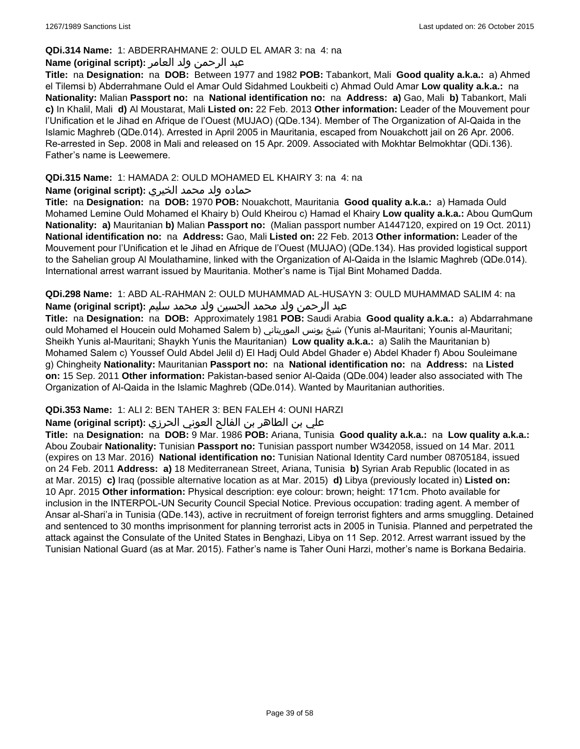### **QDi.314 Name:** 1: ABDERRAHMANE 2: OULD EL AMAR 3: na 4: na

# عبد الرحمن ولد العامر **:(script original (Name**

**Title:** na **Designation:** na **DOB:** Between 1977 and 1982 **POB:** Tabankort, Mali **Good quality a.k.a.:** a) Ahmed el Tilemsi b) Abderrahmane Ould el Amar Ould Sidahmed Loukbeiti c) Ahmad Ould Amar **Low quality a.k.a.:** na **Nationality:** Malian **Passport no:** na **National identification no:** na **Address: a)** Gao, Mali **b)** Tabankort, Mali **c)** In Khalil, Mali **d)** Al Moustarat, Mali **Listed on:** 22 Feb. 2013 **Other information:** Leader of the Mouvement pour l'Unification et le Jihad en Afrique de l'Ouest (MUJAO) (QDe.134). Member of The Organization of Al-Qaida in the Islamic Maghreb (QDe.014). Arrested in April 2005 in Mauritania, escaped from Nouakchott jail on 26 Apr. 2006. Re-arrested in Sep. 2008 in Mali and released on 15 Apr. 2009. Associated with Mokhtar Belmokhtar (QDi.136). Father's name is Leewemere.

# **QDi.315 Name:** 1: HAMADA 2: OULD MOHAMED EL KHAIRY 3: na 4: na

# حماده ولد محمد الخيري **:(script original (Name**

**Title:** na **Designation:** na **DOB:** 1970 **POB:** Nouakchott, Mauritania **Good quality a.k.a.:** a) Hamada Ould Mohamed Lemine Ould Mohamed el Khairy b) Ould Kheirou c) Hamad el Khairy **Low quality a.k.a.:** Abou QumQum **Nationality: a)** Mauritanian **b)** Malian **Passport no:** (Malian passport number A1447120, expired on 19 Oct. 2011) **National identification no:** na **Address:** Gao, Mali **Listed on:** 22 Feb. 2013 **Other information:** Leader of the Mouvement pour l'Unification et le Jihad en Afrique de l'Ouest (MUJAO) (QDe.134). Has provided logistical support to the Sahelian group Al Moulathamine, linked with the Organization of Al-Qaida in the Islamic Maghreb (QDe.014). International arrest warrant issued by Mauritania. Mother's name is Tijal Bint Mohamed Dadda.

**QDi.298 Name:** 1: ABD AL-RAHMAN 2: OULD MUHAMMAD AL-HUSAYN 3: OULD MUHAMMAD SALIM 4: na عبد الرحمن ولد محمد الحسين ولد محمد سليم **:Name (original script)** 

**Title:** na **Designation:** na **DOB:** Approximately 1981 **POB:** Saudi Arabia **Good quality a.k.a.:** a) Abdarrahmane ould Mohamed el Houcein ould Mohamed Salem b) الموريتاني يونس شيخ) Yunis al-Mauritani; Younis al-Mauritani; Sheikh Yunis al-Mauritani; Shaykh Yunis the Mauritanian) **Low quality a.k.a.:** a) Salih the Mauritanian b) Mohamed Salem c) Youssef Ould Abdel Jelil d) El Hadj Ould Abdel Ghader e) Abdel Khader f) Abou Souleimane g) Chingheity **Nationality:** Mauritanian **Passport no:** na **National identification no:** na **Address:** na **Listed on:** 15 Sep. 2011 **Other information:** Pakistan-based senior Al-Qaida (QDe.004) leader also associated with The Organization of Al-Qaida in the Islamic Maghreb (QDe.014). Wanted by Mauritanian authorities.

# **QDi.353 Name:** 1: ALI 2: BEN TAHER 3: BEN FALEH 4: OUNI HARZI

# علي بن الطاھر بن الفالح العوني الحرزي **:(script original (Name**

**Title:** na **Designation:** na **DOB:** 9 Mar. 1986 **POB:** Ariana, Tunisia **Good quality a.k.a.:** na **Low quality a.k.a.:** Abou Zoubair **Nationality:** Tunisian **Passport no:** Tunisian passport number W342058, issued on 14 Mar. 2011 (expires on 13 Mar. 2016) **National identification no:** Tunisian National Identity Card number 08705184, issued on 24 Feb. 2011 **Address: a)** 18 Mediterranean Street, Ariana, Tunisia **b)** Syrian Arab Republic (located in as at Mar. 2015) **c)** Iraq (possible alternative location as at Mar. 2015) **d)** Libya (previously located in) **Listed on:** 10 Apr. 2015 **Other information:** Physical description: eye colour: brown; height: 171cm. Photo available for inclusion in the INTERPOL-UN Security Council Special Notice. Previous occupation: trading agent. A member of Ansar al-Shari'a in Tunisia (QDe.143), active in recruitment of foreign terrorist fighters and arms smuggling. Detained and sentenced to 30 months imprisonment for planning terrorist acts in 2005 in Tunisia. Planned and perpetrated the attack against the Consulate of the United States in Benghazi, Libya on 11 Sep. 2012. Arrest warrant issued by the Tunisian National Guard (as at Mar. 2015). Father's name is Taher Ouni Harzi, mother's name is Borkana Bedairia.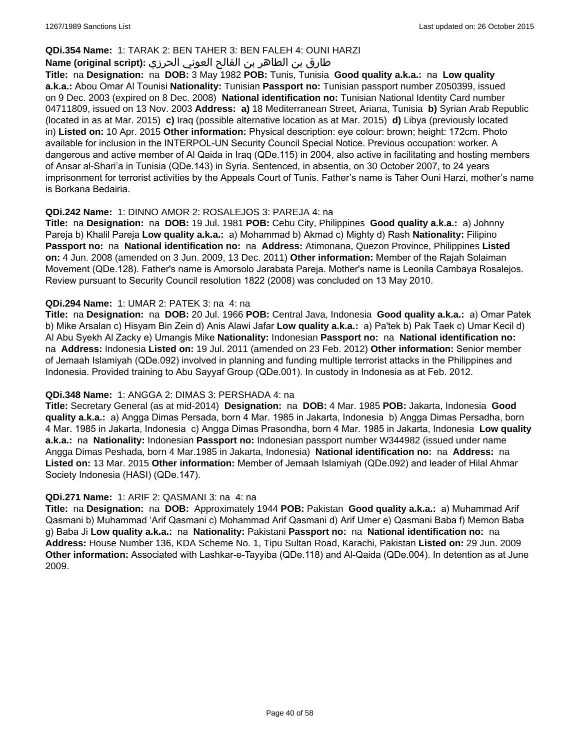### **QDi.354 Name:** 1: TARAK 2: BEN TAHER 3: BEN FALEH 4: OUNI HARZI

# طارق بن الطاھر بن الفالح العوني الحرزي **:(script original (Name**

**Title:** na **Designation:** na **DOB:** 3 May 1982 **POB:** Tunis, Tunisia **Good quality a.k.a.:** na **Low quality a.k.a.:** Abou Omar Al Tounisi **Nationality:** Tunisian **Passport no:** Tunisian passport number Z050399, issued on 9 Dec. 2003 (expired on 8 Dec. 2008) **National identification no:** Tunisian National Identity Card number 04711809, issued on 13 Nov. 2003 **Address: a)** 18 Mediterranean Street, Ariana, Tunisia **b)** Syrian Arab Republic (located in as at Mar. 2015) **c)** Iraq (possible alternative location as at Mar. 2015) **d)** Libya (previously located in) **Listed on:** 10 Apr. 2015 **Other information:** Physical description: eye colour: brown; height: 172cm. Photo available for inclusion in the INTERPOL-UN Security Council Special Notice. Previous occupation: worker. A dangerous and active member of Al Qaida in Iraq (QDe.115) in 2004, also active in facilitating and hosting members of Ansar al-Shari'a in Tunisia (QDe.143) in Syria. Sentenced, in absentia, on 30 October 2007, to 24 years imprisonment for terrorist activities by the Appeals Court of Tunis. Father's name is Taher Ouni Harzi, mother's name is Borkana Bedairia.

### **QDi.242 Name:** 1: DINNO AMOR 2: ROSALEJOS 3: PAREJA 4: na

**Title:** na **Designation:** na **DOB:** 19 Jul. 1981 **POB:** Cebu City, Philippines **Good quality a.k.a.:** a) Johnny Pareja b) Khalil Pareja **Low quality a.k.a.:** a) Mohammad b) Akmad c) Mighty d) Rash **Nationality:** Filipino **Passport no:** na **National identification no:** na **Address:** Atimonana, Quezon Province, Philippines **Listed on:** 4 Jun. 2008 (amended on 3 Jun. 2009, 13 Dec. 2011) **Other information:** Member of the Rajah Solaiman Movement (QDe.128). Father's name is Amorsolo Jarabata Pareja. Mother's name is Leonila Cambaya Rosalejos. Review pursuant to Security Council resolution 1822 (2008) was concluded on 13 May 2010.

#### **QDi.294 Name:** 1: UMAR 2: PATEK 3: na 4: na

**Title:** na **Designation:** na **DOB:** 20 Jul. 1966 **POB:** Central Java, Indonesia **Good quality a.k.a.:** a) Omar Patek b) Mike Arsalan c) Hisyam Bin Zein d) Anis Alawi Jafar **Low quality a.k.a.:** a) Pa'tek b) Pak Taek c) Umar Kecil d) Al Abu Syekh Al Zacky e) Umangis Mike **Nationality:** Indonesian **Passport no:** na **National identification no:**  na **Address:** Indonesia **Listed on:** 19 Jul. 2011 (amended on 23 Feb. 2012) **Other information:** Senior member of Jemaah Islamiyah (QDe.092) involved in planning and funding multiple terrorist attacks in the Philippines and Indonesia. Provided training to Abu Sayyaf Group (QDe.001). In custody in Indonesia as at Feb. 2012.

# **QDi.348 Name:** 1: ANGGA 2: DIMAS 3: PERSHADA 4: na

**Title:** Secretary General (as at mid-2014) **Designation:** na **DOB:** 4 Mar. 1985 **POB:** Jakarta, Indonesia **Good quality a.k.a.:** a) Angga Dimas Persada, born 4 Mar. 1985 in Jakarta, Indonesia b) Angga Dimas Persadha, born 4 Mar. 1985 in Jakarta, Indonesia c) Angga Dimas Prasondha, born 4 Mar. 1985 in Jakarta, Indonesia **Low quality a.k.a.:** na **Nationality:** Indonesian **Passport no:** Indonesian passport number W344982 (issued under name Angga Dimas Peshada, born 4 Mar.1985 in Jakarta, Indonesia) **National identification no:** na **Address:** na **Listed on:** 13 Mar. 2015 **Other information:** Member of Jemaah Islamiyah (QDe.092) and leader of Hilal Ahmar Society Indonesia (HASI) (QDe.147).

#### **QDi.271 Name:** 1: ARIF 2: QASMANI 3: na 4: na

**Title:** na **Designation:** na **DOB:** Approximately 1944 **POB:** Pakistan **Good quality a.k.a.:** a) Muhammad Arif Qasmani b) Muhammad 'Arif Qasmani c) Mohammad Arif Qasmani d) Arif Umer e) Qasmani Baba f) Memon Baba g) Baba Ji **Low quality a.k.a.:** na **Nationality:** Pakistani **Passport no:** na **National identification no:** na **Address:** House Number 136, KDA Scheme No. 1, Tipu Sultan Road, Karachi, Pakistan **Listed on:** 29 Jun. 2009 **Other information:** Associated with Lashkar-e-Tayyiba (QDe.118) and Al-Qaida (QDe.004). In detention as at June 2009.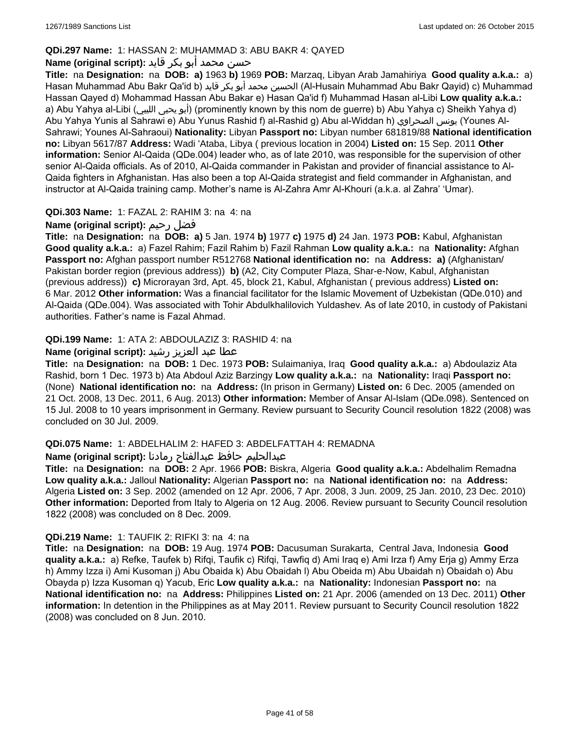# **QDi.297 Name:** 1: HASSAN 2: MUHAMMAD 3: ABU BAKR 4: QAYED

# حسن محمد أبو بكر قايد **:(script original (Name**

**Title:** na **Designation:** na **DOB: a)** 1963 **b)** 1969 **POB:** Marzaq, Libyan Arab Jamahiriya **Good quality a.k.a.:** a) Hasan Muhammad Abu Bakr Qa'id b) قايد بكر أبو محمد الحسين) Al-Husain Muhammad Abu Bakr Qayid) c) Muhammad Hassan Qayed d) Mohammad Hassan Abu Bakar e) Hasan Qa'id f) Muhammad Hasan al-Libi **Low quality a.k.a.:**  a) Abu Yahya al-Libi (الليبي يحيى أبو) (prominently known by this nom de guerre) b) Abu Yahya c) Sheikh Yahya d) Abu Yahya Yunis al Sahrawi e) Abu Yunus Rashid f) al-Rashid g) Abu al-Widdan h) الصحراوي يونس) Younes Al-Sahrawi; Younes Al-Sahraoui) **Nationality:** Libyan **Passport no:** Libyan number 681819/88 **National identification no:** Libyan 5617/87 **Address:** Wadi 'Ataba, Libya ( previous location in 2004) **Listed on:** 15 Sep. 2011 **Other information:** Senior Al-Qaida (QDe.004) leader who, as of late 2010, was responsible for the supervision of other senior Al-Qaida officials. As of 2010, Al-Qaida commander in Pakistan and provider of financial assistance to Al-Qaida fighters in Afghanistan. Has also been a top Al-Qaida strategist and field commander in Afghanistan, and instructor at Al-Qaida training camp. Mother's name is Al-Zahra Amr Al-Khouri (a.k.a. al Zahra' 'Umar).

# **QDi.303 Name:** 1: FAZAL 2: RAHIM 3: na 4: na

# **Name (original script):** رحيم فضل

**Title:** na **Designation:** na **DOB: a)** 5 Jan. 1974 **b)** 1977 **c)** 1975 **d)** 24 Jan. 1973 **POB:** Kabul, Afghanistan **Good quality a.k.a.:** a) Fazel Rahim; Fazil Rahim b) Fazil Rahman **Low quality a.k.a.:** na **Nationality:** Afghan **Passport no:** Afghan passport number R512768 **National identification no:** na **Address: a)** (Afghanistan/ Pakistan border region (previous address)) **b)** (A2, City Computer Plaza, Shar-e-Now, Kabul, Afghanistan (previous address)) **c)** Microrayan 3rd, Apt. 45, block 21, Kabul, Afghanistan ( previous address) **Listed on:** 6 Mar. 2012 **Other information:** Was a financial facilitator for the Islamic Movement of Uzbekistan (QDe.010) and Al-Qaida (QDe.004). Was associated with Tohir Abdulkhalilovich Yuldashev. As of late 2010, in custody of Pakistani authorities. Father's name is Fazal Ahmad.

# **QDi.199 Name:** 1: ATA 2: ABDOULAZIZ 3: RASHID 4: na

### عطا عبد العزيز رشيد **:(script original (Name**

**Title:** na **Designation:** na **DOB:** 1 Dec. 1973 **POB:** Sulaimaniya, Iraq **Good quality a.k.a.:** a) Abdoulaziz Ata Rashid, born 1 Dec. 1973 b) Ata Abdoul Aziz Barzingy **Low quality a.k.a.:** na **Nationality:** Iraqi **Passport no:**  (None) **National identification no:** na **Address:** (In prison in Germany) **Listed on:** 6 Dec. 2005 (amended on 21 Oct. 2008, 13 Dec. 2011, 6 Aug. 2013) **Other information:** Member of Ansar Al-Islam (QDe.098). Sentenced on 15 Jul. 2008 to 10 years imprisonment in Germany. Review pursuant to Security Council resolution 1822 (2008) was concluded on 30 Jul. 2009.

# **QDi.075 Name:** 1: ABDELHALIM 2: HAFED 3: ABDELFATTAH 4: REMADNA

عبدالحليم حافظ عبدالفتاح رمادنا **:(script original (Name**

**Title:** na **Designation:** na **DOB:** 2 Apr. 1966 **POB:** Biskra, Algeria **Good quality a.k.a.:** Abdelhalim Remadna **Low quality a.k.a.:** Jalloul **Nationality:** Algerian **Passport no:** na **National identification no:** na **Address:** Algeria **Listed on:** 3 Sep. 2002 (amended on 12 Apr. 2006, 7 Apr. 2008, 3 Jun. 2009, 25 Jan. 2010, 23 Dec. 2010) **Other information:** Deported from Italy to Algeria on 12 Aug. 2006. Review pursuant to Security Council resolution 1822 (2008) was concluded on 8 Dec. 2009.

# **QDi.219 Name:** 1: TAUFIK 2: RIFKI 3: na 4: na

**Title:** na **Designation:** na **DOB:** 19 Aug. 1974 **POB:** Dacusuman Surakarta, Central Java, Indonesia **Good quality a.k.a.:** a) Refke, Taufek b) Rifqi, Taufik c) Rifqi, Tawfiq d) Ami Iraq e) Ami Irza f) Amy Erja g) Ammy Erza h) Ammy Izza i) Ami Kusoman j) Abu Obaida k) Abu Obaidah l) Abu Obeida m) Abu Ubaidah n) Obaidah o) Abu Obayda p) Izza Kusoman q) Yacub, Eric **Low quality a.k.a.:** na **Nationality:** Indonesian **Passport no:** na **National identification no:** na **Address:** Philippines **Listed on:** 21 Apr. 2006 (amended on 13 Dec. 2011) **Other information:** In detention in the Philippines as at May 2011. Review pursuant to Security Council resolution 1822 (2008) was concluded on 8 Jun. 2010.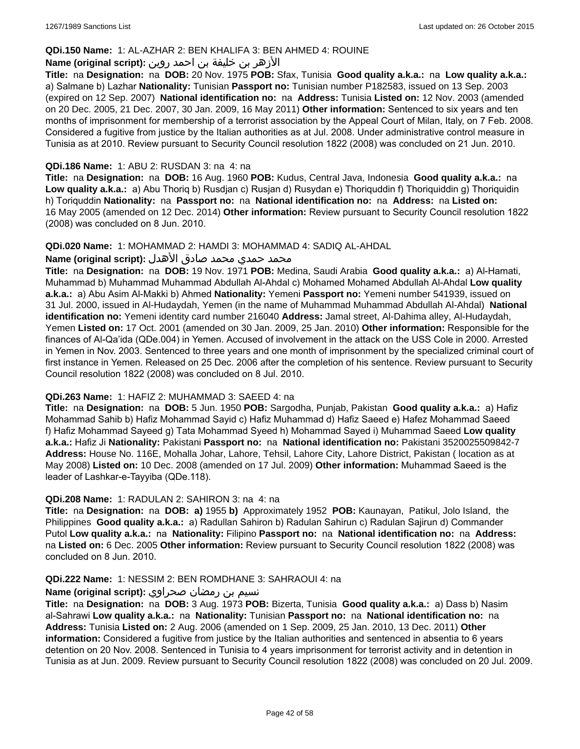### **QDi.150 Name:** 1: AL-AZHAR 2: BEN KHALIFA 3: BEN AHMED 4: ROUINE

# الأزهر بن خليفة بن احمد روين **:(script original (Name**

**Title:** na **Designation:** na **DOB:** 20 Nov. 1975 **POB:** Sfax, Tunisia **Good quality a.k.a.:** na **Low quality a.k.a.:**  a) Salmane b) Lazhar **Nationality:** Tunisian **Passport no:** Tunisian number P182583, issued on 13 Sep. 2003 (expired on 12 Sep. 2007) **National identification no:** na **Address:** Tunisia **Listed on:** 12 Nov. 2003 (amended on 20 Dec. 2005, 21 Dec. 2007, 30 Jan. 2009, 16 May 2011) **Other information:** Sentenced to six years and ten months of imprisonment for membership of a terrorist association by the Appeal Court of Milan, Italy, on 7 Feb. 2008. Considered a fugitive from justice by the Italian authorities as at Jul. 2008. Under administrative control measure in Tunisia as at 2010. Review pursuant to Security Council resolution 1822 (2008) was concluded on 21 Jun. 2010.

#### **QDi.186 Name:** 1: ABU 2: RUSDAN 3: na 4: na

**Title:** na **Designation:** na **DOB:** 16 Aug. 1960 **POB:** Kudus, Central Java, Indonesia **Good quality a.k.a.:** na **Low quality a.k.a.:** a) Abu Thoriq b) Rusdjan c) Rusjan d) Rusydan e) Thoriquddin f) Thoriquiddin g) Thoriquidin h) Toriquddin **Nationality:** na **Passport no:** na **National identification no:** na **Address:** na **Listed on:** 16 May 2005 (amended on 12 Dec. 2014) **Other information:** Review pursuant to Security Council resolution 1822 (2008) was concluded on 8 Jun. 2010.

#### **QDi.020 Name:** 1: MOHAMMAD 2: HAMDI 3: MOHAMMAD 4: SADIQ AL-AHDAL

#### محمد حمدي محمد صادق الأهدل **:Name (original script)**

**Title:** na **Designation:** na **DOB:** 19 Nov. 1971 **POB:** Medina, Saudi Arabia **Good quality a.k.a.:** a) Al-Hamati, Muhammad b) Muhammad Muhammad Abdullah Al-Ahdal c) Mohamed Mohamed Abdullah Al-Ahdal **Low quality a.k.a.:** a) Abu Asim Al-Makki b) Ahmed **Nationality:** Yemeni **Passport no:** Yemeni number 541939, issued on 31 Jul. 2000, issued in Al-Hudaydah, Yemen (in the name of Muhammad Muhammad Abdullah Al-Ahdal) **National identification no:** Yemeni identity card number 216040 **Address:** Jamal street, Al-Dahima alley, Al-Hudaydah, Yemen **Listed on:** 17 Oct. 2001 (amended on 30 Jan. 2009, 25 Jan. 2010) **Other information:** Responsible for the finances of Al-Qa'ida (QDe.004) in Yemen. Accused of involvement in the attack on the USS Cole in 2000. Arrested in Yemen in Nov. 2003. Sentenced to three years and one month of imprisonment by the specialized criminal court of first instance in Yemen. Released on 25 Dec. 2006 after the completion of his sentence. Review pursuant to Security Council resolution 1822 (2008) was concluded on 8 Jul. 2010.

#### **QDi.263 Name:** 1: HAFIZ 2: MUHAMMAD 3: SAEED 4: na

**Title:** na **Designation:** na **DOB:** 5 Jun. 1950 **POB:** Sargodha, Punjab, Pakistan **Good quality a.k.a.:** a) Hafiz Mohammad Sahib b) Hafiz Mohammad Sayid c) Hafiz Muhammad d) Hafiz Saeed e) Hafez Mohammad Saeed f) Hafiz Mohammad Sayeed g) Tata Mohammad Syeed h) Mohammad Sayed i) Muhammad Saeed **Low quality a.k.a.:** Hafiz Ji **Nationality:** Pakistani **Passport no:** na **National identification no:** Pakistani 3520025509842-7 **Address:** House No. 116E, Mohalla Johar, Lahore, Tehsil, Lahore City, Lahore District, Pakistan ( location as at May 2008) **Listed on:** 10 Dec. 2008 (amended on 17 Jul. 2009) **Other information:** Muhammad Saeed is the leader of Lashkar-e-Tayyiba (QDe.118).

#### **QDi.208 Name:** 1: RADULAN 2: SAHIRON 3: na 4: na

**Title:** na **Designation:** na **DOB: a)** 1955 **b)** Approximately 1952 **POB:** Kaunayan, Patikul, Jolo Island, the Philippines **Good quality a.k.a.:** a) Radullan Sahiron b) Radulan Sahirun c) Radulan Sajirun d) Commander Putol **Low quality a.k.a.:** na **Nationality:** Filipino **Passport no:** na **National identification no:** na **Address:**  na **Listed on:** 6 Dec. 2005 **Other information:** Review pursuant to Security Council resolution 1822 (2008) was concluded on 8 Jun. 2010.

#### **QDi.222 Name:** 1: NESSIM 2: BEN ROMDHANE 3: SAHRAOUI 4: na

### نسيم بن رمضان صحراوي **:(script original (Name**

**Title:** na **Designation:** na **DOB:** 3 Aug. 1973 **POB:** Bizerta, Tunisia **Good quality a.k.a.:** a) Dass b) Nasim al-Sahrawi **Low quality a.k.a.:** na **Nationality:** Tunisian **Passport no:** na **National identification no:** na **Address:** Tunisia **Listed on:** 2 Aug. 2006 (amended on 1 Sep. 2009, 25 Jan. 2010, 13 Dec. 2011) **Other information:** Considered a fugitive from justice by the Italian authorities and sentenced in absentia to 6 years detention on 20 Nov. 2008. Sentenced in Tunisia to 4 years imprisonment for terrorist activity and in detention in Tunisia as at Jun. 2009. Review pursuant to Security Council resolution 1822 (2008) was concluded on 20 Jul. 2009.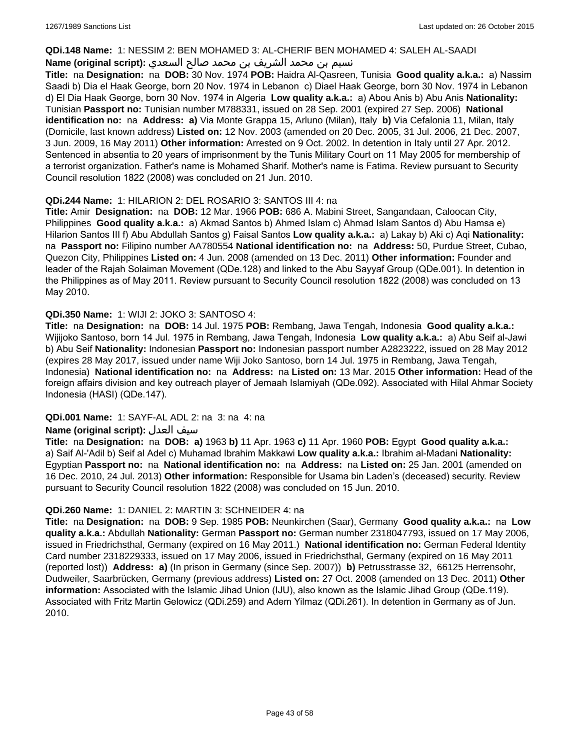#### **QDi.148 Name:** 1: NESSIM 2: BEN MOHAMED 3: AL-CHERIF BEN MOHAMED 4: SALEH AL-SAADI

# نسيم بن محمد الشريف بن محمد صالح السعدي **:(script original (Name**

**Title:** na **Designation:** na **DOB:** 30 Nov. 1974 **POB:** Haidra Al-Qasreen, Tunisia **Good quality a.k.a.:** a) Nassim Saadi b) Dia el Haak George, born 20 Nov. 1974 in Lebanon c) Diael Haak George, born 30 Nov. 1974 in Lebanon d) El Dia Haak George, born 30 Nov. 1974 in Algeria **Low quality a.k.a.:** a) Abou Anis b) Abu Anis **Nationality:** Tunisian **Passport no:** Tunisian number M788331, issued on 28 Sep. 2001 (expired 27 Sep. 2006) **National identification no:** na **Address: a)** Via Monte Grappa 15, Arluno (Milan), Italy **b)** Via Cefalonia 11, Milan, Italy (Domicile, last known address) **Listed on:** 12 Nov. 2003 (amended on 20 Dec. 2005, 31 Jul. 2006, 21 Dec. 2007, 3 Jun. 2009, 16 May 2011) **Other information:** Arrested on 9 Oct. 2002. In detention in Italy until 27 Apr. 2012. Sentenced in absentia to 20 years of imprisonment by the Tunis Military Court on 11 May 2005 for membership of a terrorist organization. Father's name is Mohamed Sharif. Mother's name is Fatima. Review pursuant to Security Council resolution 1822 (2008) was concluded on 21 Jun. 2010.

# **QDi.244 Name:** 1: HILARION 2: DEL ROSARIO 3: SANTOS III 4: na

**Title:** Amir **Designation:** na **DOB:** 12 Mar. 1966 **POB:** 686 A. Mabini Street, Sangandaan, Caloocan City, Philippines **Good quality a.k.a.:** a) Akmad Santos b) Ahmed Islam c) Ahmad Islam Santos d) Abu Hamsa e) Hilarion Santos III f) Abu Abdullah Santos g) Faisal Santos **Low quality a.k.a.:** a) Lakay b) Aki c) Aqi **Nationality:**  na **Passport no:** Filipino number AA780554 **National identification no:** na **Address:** 50, Purdue Street, Cubao, Quezon City, Philippines **Listed on:** 4 Jun. 2008 (amended on 13 Dec. 2011) **Other information:** Founder and leader of the Rajah Solaiman Movement (QDe.128) and linked to the Abu Sayyaf Group (QDe.001). In detention in the Philippines as of May 2011. Review pursuant to Security Council resolution 1822 (2008) was concluded on 13 May 2010.

# **QDi.350 Name:** 1: WIJI 2: JOKO 3: SANTOSO 4:

**Title:** na **Designation:** na **DOB:** 14 Jul. 1975 **POB:** Rembang, Jawa Tengah, Indonesia **Good quality a.k.a.:** Wijijoko Santoso, born 14 Jul. 1975 in Rembang, Jawa Tengah, Indonesia **Low quality a.k.a.:** a) Abu Seif al-Jawi b) Abu Seif **Nationality:** Indonesian **Passport no:** Indonesian passport number A2823222, issued on 28 May 2012 (expires 28 May 2017, issued under name Wiji Joko Santoso, born 14 Jul. 1975 in Rembang, Jawa Tengah, Indonesia) **National identification no:** na **Address:** na **Listed on:** 13 Mar. 2015 **Other information:** Head of the foreign affairs division and key outreach player of Jemaah Islamiyah (QDe.092). Associated with Hilal Ahmar Society Indonesia (HASI) (QDe.147).

# **QDi.001 Name:** 1: SAYF-AL ADL 2: na 3: na 4: na

# **Name (original script):** العدل سيف

**Title:** na **Designation:** na **DOB: a)** 1963 **b)** 11 Apr. 1963 **c)** 11 Apr. 1960 **POB:** Egypt **Good quality a.k.a.:**  a) Saif Al-'Adil b) Seif al Adel c) Muhamad Ibrahim Makkawi **Low quality a.k.a.:** Ibrahim al-Madani **Nationality:** Egyptian **Passport no:** na **National identification no:** na **Address:** na **Listed on:** 25 Jan. 2001 (amended on 16 Dec. 2010, 24 Jul. 2013) **Other information:** Responsible for Usama bin Laden's (deceased) security. Review pursuant to Security Council resolution 1822 (2008) was concluded on 15 Jun. 2010.

# **QDi.260 Name:** 1: DANIEL 2: MARTIN 3: SCHNEIDER 4: na

**Title:** na **Designation:** na **DOB:** 9 Sep. 1985 **POB:** Neunkirchen (Saar), Germany **Good quality a.k.a.:** na **Low quality a.k.a.:** Abdullah **Nationality:** German **Passport no:** German number 2318047793, issued on 17 May 2006, issued in Friedrichsthal, Germany (expired on 16 May 2011.) **National identification no:** German Federal Identity Card number 2318229333, issued on 17 May 2006, issued in Friedrichsthal, Germany (expired on 16 May 2011 (reported lost)) **Address: a)** (In prison in Germany (since Sep. 2007)) **b)** Petrusstrasse 32, 66125 Herrensohr, Dudweiler, Saarbrücken, Germany (previous address) **Listed on:** 27 Oct. 2008 (amended on 13 Dec. 2011) **Other information:** Associated with the Islamic Jihad Union (IJU), also known as the Islamic Jihad Group (QDe.119). Associated with Fritz Martin Gelowicz (QDi.259) and Adem Yilmaz (QDi.261). In detention in Germany as of Jun. 2010.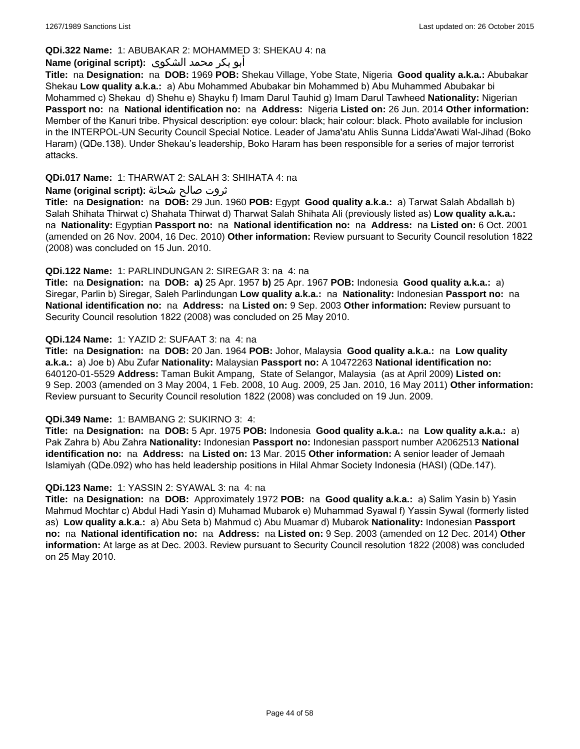# **QDi.322 Name:** 1: ABUBAKAR 2: MOHAMMED 3: SHEKAU 4: na

### أبو بكر محمد الشكوى **:(script original (Name**

**Title:** na **Designation:** na **DOB:** 1969 **POB:** Shekau Village, Yobe State, Nigeria **Good quality a.k.a.:** Abubakar Shekau **Low quality a.k.a.:** a) Abu Mohammed Abubakar bin Mohammed b) Abu Muhammed Abubakar bi Mohammed c) Shekau d) Shehu e) Shayku f) Imam Darul Tauhid g) Imam Darul Tawheed **Nationality:** Nigerian **Passport no:** na **National identification no:** na **Address:** Nigeria **Listed on:** 26 Jun. 2014 **Other information:** Member of the Kanuri tribe. Physical description: eye colour: black; hair colour: black. Photo available for inclusion in the INTERPOL-UN Security Council Special Notice. Leader of Jama'atu Ahlis Sunna Lidda'Awati Wal-Jihad (Boko Haram) (QDe.138). Under Shekau's leadership, Boko Haram has been responsible for a series of major terrorist attacks.

### **QDi.017 Name:** 1: THARWAT 2: SALAH 3: SHIHATA 4: na

### ثروت صالح شحاتة **:(script original (Name**

**Title:** na **Designation:** na **DOB:** 29 Jun. 1960 **POB:** Egypt **Good quality a.k.a.:** a) Tarwat Salah Abdallah b) Salah Shihata Thirwat c) Shahata Thirwat d) Tharwat Salah Shihata Ali (previously listed as) **Low quality a.k.a.:**  na **Nationality:** Egyptian **Passport no:** na **National identification no:** na **Address:** na **Listed on:** 6 Oct. 2001 (amended on 26 Nov. 2004, 16 Dec. 2010) **Other information:** Review pursuant to Security Council resolution 1822 (2008) was concluded on 15 Jun. 2010.

### **QDi.122 Name:** 1: PARLINDUNGAN 2: SIREGAR 3: na 4: na

**Title:** na **Designation:** na **DOB: a)** 25 Apr. 1957 **b)** 25 Apr. 1967 **POB:** Indonesia **Good quality a.k.a.:** a) Siregar, Parlin b) Siregar, Saleh Parlindungan **Low quality a.k.a.:** na **Nationality:** Indonesian **Passport no:** na **National identification no:** na **Address:** na **Listed on:** 9 Sep. 2003 **Other information:** Review pursuant to Security Council resolution 1822 (2008) was concluded on 25 May 2010.

### **QDi.124 Name:** 1: YAZID 2: SUFAAT 3: na 4: na

**Title:** na **Designation:** na **DOB:** 20 Jan. 1964 **POB:** Johor, Malaysia **Good quality a.k.a.:** na **Low quality a.k.a.:** a) Joe b) Abu Zufar **Nationality:** Malaysian **Passport no:** A 10472263 **National identification no:** 640120-01-5529 **Address:** Taman Bukit Ampang, State of Selangor, Malaysia (as at April 2009) **Listed on:** 9 Sep. 2003 (amended on 3 May 2004, 1 Feb. 2008, 10 Aug. 2009, 25 Jan. 2010, 16 May 2011) **Other information:** Review pursuant to Security Council resolution 1822 (2008) was concluded on 19 Jun. 2009.

#### **QDi.349 Name:** 1: BAMBANG 2: SUKIRNO 3: 4:

**Title:** na **Designation:** na **DOB:** 5 Apr. 1975 **POB:** Indonesia **Good quality a.k.a.:** na **Low quality a.k.a.:** a) Pak Zahra b) Abu Zahra **Nationality:** Indonesian **Passport no:** Indonesian passport number A2062513 **National identification no:** na **Address:** na **Listed on:** 13 Mar. 2015 **Other information:** A senior leader of Jemaah Islamiyah (QDe.092) who has held leadership positions in Hilal Ahmar Society Indonesia (HASI) (QDe.147).

#### **QDi.123 Name:** 1: YASSIN 2: SYAWAL 3: na 4: na

**Title:** na **Designation:** na **DOB:** Approximately 1972 **POB:** na **Good quality a.k.a.:** a) Salim Yasin b) Yasin Mahmud Mochtar c) Abdul Hadi Yasin d) Muhamad Mubarok e) Muhammad Syawal f) Yassin Sywal (formerly listed as) **Low quality a.k.a.:** a) Abu Seta b) Mahmud c) Abu Muamar d) Mubarok **Nationality:** Indonesian **Passport no:** na **National identification no:** na **Address:** na **Listed on:** 9 Sep. 2003 (amended on 12 Dec. 2014) **Other information:** At large as at Dec. 2003. Review pursuant to Security Council resolution 1822 (2008) was concluded on 25 May 2010.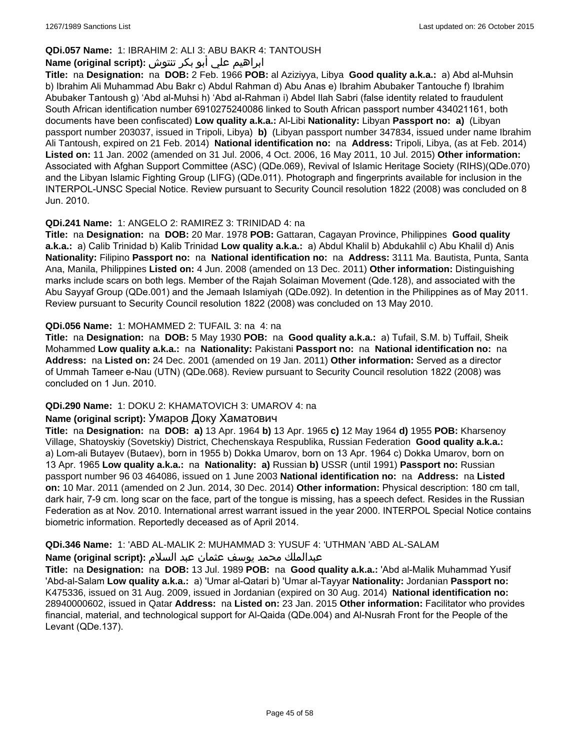# **QDi.057 Name:** 1: IBRAHIM 2: ALI 3: ABU BAKR 4: TANTOUSH

# ابراهيم علي أبو بكر تنتوش **:(script original (Name**

**Title:** na **Designation:** na **DOB:** 2 Feb. 1966 **POB:** al Aziziyya, Libya **Good quality a.k.a.:** a) Abd al-Muhsin b) Ibrahim Ali Muhammad Abu Bakr c) Abdul Rahman d) Abu Anas e) Ibrahim Abubaker Tantouche f) Ibrahim Abubaker Tantoush g) 'Abd al-Muhsi h) 'Abd al-Rahman i) Abdel Ilah Sabri (false identity related to fraudulent South African identification number 6910275240086 linked to South African passport number 434021161, both documents have been confiscated) **Low quality a.k.a.:** Al-Libi **Nationality:** Libyan **Passport no: a)** (Libyan passport number 203037, issued in Tripoli, Libya) **b)** (Libyan passport number 347834, issued under name Ibrahim Ali Tantoush, expired on 21 Feb. 2014) **National identification no:** na **Address:** Tripoli, Libya, (as at Feb. 2014) **Listed on:** 11 Jan. 2002 (amended on 31 Jul. 2006, 4 Oct. 2006, 16 May 2011, 10 Jul. 2015) **Other information:** Associated with Afghan Support Committee (ASC) (QDe.069), Revival of Islamic Heritage Society (RIHS)(QDe.070) and the Libyan Islamic Fighting Group (LIFG) (QDe.011). Photograph and fingerprints available for inclusion in the INTERPOL-UNSC Special Notice. Review pursuant to Security Council resolution 1822 (2008) was concluded on 8 Jun. 2010.

# **QDi.241 Name:** 1: ANGELO 2: RAMIREZ 3: TRINIDAD 4: na

**Title:** na **Designation:** na **DOB:** 20 Mar. 1978 **POB:** Gattaran, Cagayan Province, Philippines **Good quality a.k.a.:** a) Calib Trinidad b) Kalib Trinidad **Low quality a.k.a.:** a) Abdul Khalil b) Abdukahlil c) Abu Khalil d) Anis **Nationality:** Filipino **Passport no:** na **National identification no:** na **Address:** 3111 Ma. Bautista, Punta, Santa Ana, Manila, Philippines **Listed on:** 4 Jun. 2008 (amended on 13 Dec. 2011) **Other information:** Distinguishing marks include scars on both legs. Member of the Rajah Solaiman Movement (Qde.128), and associated with the Abu Sayyaf Group (QDe.001) and the Jemaah Islamiyah (QDe.092). In detention in the Philippines as of May 2011. Review pursuant to Security Council resolution 1822 (2008) was concluded on 13 May 2010.

# **QDi.056 Name:** 1: MOHAMMED 2: TUFAIL 3: na 4: na

**Title:** na **Designation:** na **DOB:** 5 May 1930 **POB:** na **Good quality a.k.a.:** a) Tufail, S.M. b) Tuffail, Sheik Mohammed **Low quality a.k.a.:** na **Nationality:** Pakistani **Passport no:** na **National identification no:** na **Address:** na **Listed on:** 24 Dec. 2001 (amended on 19 Jan. 2011) **Other information:** Served as a director of Ummah Tameer e-Nau (UTN) (QDe.068). Review pursuant to Security Council resolution 1822 (2008) was concluded on 1 Jun. 2010.

# **QDi.290 Name:** 1: DOKU 2: KHAMATOVICH 3: UMAROV 4: na

#### **Name (original script):** Умаров Доку Хаматович

**Title:** na **Designation:** na **DOB: a)** 13 Apr. 1964 **b)** 13 Apr. 1965 **c)** 12 May 1964 **d)** 1955 **POB:** Kharsenoy Village, Shatoyskiy (Sovetskiy) District, Chechenskaya Respublika, Russian Federation **Good quality a.k.a.:**  a) Lom-ali Butayev (Butaev), born in 1955 b) Dokka Umarov, born on 13 Apr. 1964 c) Dokka Umarov, born on 13 Apr. 1965 **Low quality a.k.a.:** na **Nationality: a)** Russian **b)** USSR (until 1991) **Passport no:** Russian passport number 96 03 464086, issued on 1 June 2003 **National identification no:** na **Address:** na **Listed on:** 10 Mar. 2011 (amended on 2 Jun. 2014, 30 Dec. 2014) **Other information:** Physical description: 180 cm tall, dark hair, 7-9 cm. long scar on the face, part of the tongue is missing, has a speech defect. Resides in the Russian Federation as at Nov. 2010. International arrest warrant issued in the year 2000. INTERPOL Special Notice contains biometric information. Reportedly deceased as of April 2014.

# **QDi.346 Name:** 1: 'ABD AL-MALIK 2: MUHAMMAD 3: YUSUF 4: 'UTHMAN 'ABD AL-SALAM

#### عبدالملك محمد يوسف عثمان عبد السلام **:(script original (Name**

**Title:** na **Designation:** na **DOB:** 13 Jul. 1989 **POB:** na **Good quality a.k.a.:** 'Abd al-Malik Muhammad Yusif 'Abd-al-Salam **Low quality a.k.a.:** a) 'Umar al-Qatari b) 'Umar al-Tayyar **Nationality:** Jordanian **Passport no:** K475336, issued on 31 Aug. 2009, issued in Jordanian (expired on 30 Aug. 2014) **National identification no:** 28940000602, issued in Qatar **Address:** na **Listed on:** 23 Jan. 2015 **Other information:** Facilitator who provides financial, material, and technological support for Al-Qaida (QDe.004) and Al-Nusrah Front for the People of the Levant (QDe.137).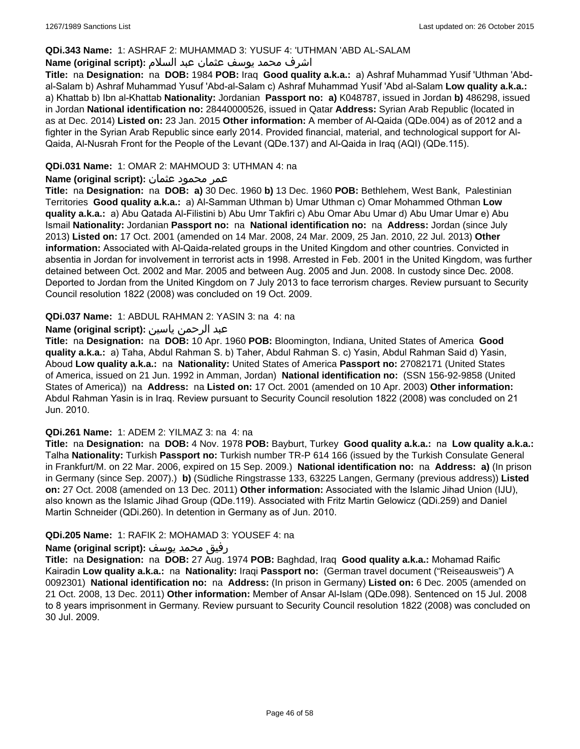#### **QDi.343 Name:** 1: ASHRAF 2: MUHAMMAD 3: YUSUF 4: 'UTHMAN 'ABD AL-SALAM

# اشرف محمد يوسف عثمان عبد السلام **:(script original (Name**

**Title:** na **Designation:** na **DOB:** 1984 **POB:** Iraq **Good quality a.k.a.:** a) Ashraf Muhammad Yusif 'Uthman 'Abdal-Salam b) Ashraf Muhammad Yusuf 'Abd-al-Salam c) Ashraf Muhammad Yusif 'Abd al-Salam **Low quality a.k.a.:**  a) Khattab b) Ibn al-Khattab **Nationality:** Jordanian **Passport no: a)** K048787, issued in Jordan **b)** 486298, issued in Jordan **National identification no:** 28440000526, issued in Qatar **Address:** Syrian Arab Republic (located in as at Dec. 2014) **Listed on:** 23 Jan. 2015 **Other information:** A member of Al-Qaida (QDe.004) as of 2012 and a fighter in the Syrian Arab Republic since early 2014. Provided financial, material, and technological support for Al-Qaida, Al-Nusrah Front for the People of the Levant (QDe.137) and Al-Qaida in Iraq (AQI) (QDe.115).

### **QDi.031 Name:** 1: OMAR 2: MAHMOUD 3: UTHMAN 4: na

### عمر محمود عثمان **:(script original (Name**

**Title:** na **Designation:** na **DOB: a)** 30 Dec. 1960 **b)** 13 Dec. 1960 **POB:** Bethlehem, West Bank, Palestinian Territories **Good quality a.k.a.:** a) Al-Samman Uthman b) Umar Uthman c) Omar Mohammed Othman **Low quality a.k.a.:** a) Abu Qatada Al-Filistini b) Abu Umr Takfiri c) Abu Omar Abu Umar d) Abu Umar Umar e) Abu Ismail **Nationality:** Jordanian **Passport no:** na **National identification no:** na **Address:** Jordan (since July 2013) **Listed on:** 17 Oct. 2001 (amended on 14 Mar. 2008, 24 Mar. 2009, 25 Jan. 2010, 22 Jul. 2013) **Other information:** Associated with Al-Qaida-related groups in the United Kingdom and other countries. Convicted in absentia in Jordan for involvement in terrorist acts in 1998. Arrested in Feb. 2001 in the United Kingdom, was further detained between Oct. 2002 and Mar. 2005 and between Aug. 2005 and Jun. 2008. In custody since Dec. 2008. Deported to Jordan from the United Kingdom on 7 July 2013 to face terrorism charges. Review pursuant to Security Council resolution 1822 (2008) was concluded on 19 Oct. 2009.

### **QDi.037 Name:** 1: ABDUL RAHMAN 2: YASIN 3: na 4: na

### عبد الرحمن ياسين **:(script original (Name**

**Title:** na **Designation:** na **DOB:** 10 Apr. 1960 **POB:** Bloomington, Indiana, United States of America **Good quality a.k.a.:** a) Taha, Abdul Rahman S. b) Taher, Abdul Rahman S. c) Yasin, Abdul Rahman Said d) Yasin, Aboud **Low quality a.k.a.:** na **Nationality:** United States of America **Passport no:** 27082171 (United States of America, issued on 21 Jun. 1992 in Amman, Jordan) **National identification no:** (SSN 156-92-9858 (United States of America)) na **Address:** na **Listed on:** 17 Oct. 2001 (amended on 10 Apr. 2003) **Other information:** Abdul Rahman Yasin is in Iraq. Review pursuant to Security Council resolution 1822 (2008) was concluded on 21 Jun. 2010.

#### **QDi.261 Name:** 1: ADEM 2: YILMAZ 3: na 4: na

**Title:** na **Designation:** na **DOB:** 4 Nov. 1978 **POB:** Bayburt, Turkey **Good quality a.k.a.:** na **Low quality a.k.a.:** Talha **Nationality:** Turkish **Passport no:** Turkish number TR-P 614 166 (issued by the Turkish Consulate General in Frankfurt/M. on 22 Mar. 2006, expired on 15 Sep. 2009.) **National identification no:** na **Address: a)** (In prison in Germany (since Sep. 2007).) **b)** (Südliche Ringstrasse 133, 63225 Langen, Germany (previous address)) **Listed on:** 27 Oct. 2008 (amended on 13 Dec. 2011) **Other information:** Associated with the Islamic Jihad Union (IJU), also known as the Islamic Jihad Group (QDe.119). Associated with Fritz Martin Gelowicz (QDi.259) and Daniel Martin Schneider (QDi.260). In detention in Germany as of Jun. 2010.

#### **QDi.205 Name:** 1: RAFIK 2: MOHAMAD 3: YOUSEF 4: na

#### رفيق محمد يوسف **:(script original (Name**

**Title:** na **Designation:** na **DOB:** 27 Aug. 1974 **POB:** Baghdad, Iraq **Good quality a.k.a.:** Mohamad Raific Kairadin **Low quality a.k.a.:** na **Nationality:** Iraqi **Passport no:** (German travel document ("Reiseausweis") A 0092301) **National identification no:** na **Address:** (In prison in Germany) **Listed on:** 6 Dec. 2005 (amended on 21 Oct. 2008, 13 Dec. 2011) **Other information:** Member of Ansar Al-Islam (QDe.098). Sentenced on 15 Jul. 2008 to 8 years imprisonment in Germany. Review pursuant to Security Council resolution 1822 (2008) was concluded on 30 Jul. 2009.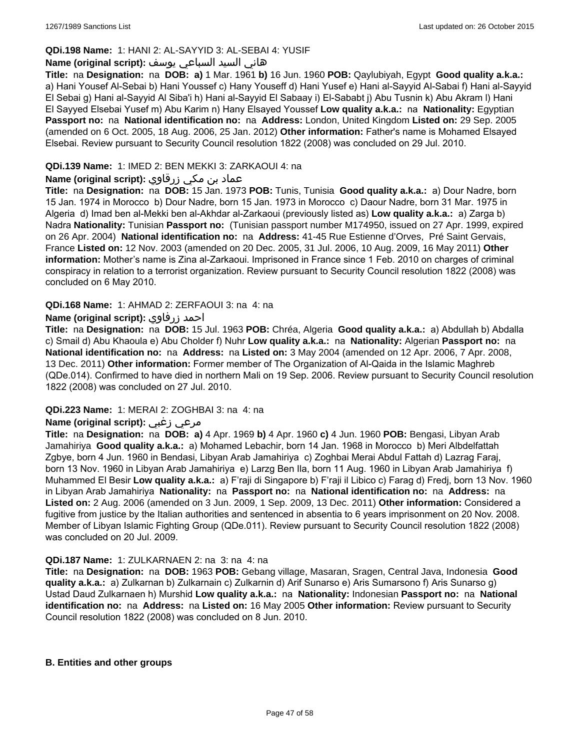### **QDi.198 Name:** 1: HANI 2: AL-SAYYID 3: AL-SEBAI 4: YUSIF

### هاني السيد السباعي يوسف **:(script original (Name**

**Title:** na **Designation:** na **DOB: a)** 1 Mar. 1961 **b)** 16 Jun. 1960 **POB:** Qaylubiyah, Egypt **Good quality a.k.a.:**  a) Hani Yousef Al-Sebai b) Hani Youssef c) Hany Youseff d) Hani Yusef e) Hani al-Sayyid Al-Sabai f) Hani al-Sayyid El Sebai g) Hani al-Sayyid Al Siba'i h) Hani al-Sayyid El Sabaay i) El-Sababt j) Abu Tusnin k) Abu Akram l) Hani El Sayyed Elsebai Yusef m) Abu Karim n) Hany Elsayed Youssef **Low quality a.k.a.:** na **Nationality:** Egyptian **Passport no:** na **National identification no:** na **Address:** London, United Kingdom **Listed on:** 29 Sep. 2005 (amended on 6 Oct. 2005, 18 Aug. 2006, 25 Jan. 2012) **Other information:** Father's name is Mohamed Elsayed Elsebai. Review pursuant to Security Council resolution 1822 (2008) was concluded on 29 Jul. 2010.

# **QDi.139 Name:** 1: IMED 2: BEN MEKKI 3: ZARKAOUI 4: na

# عماد بن مكي زرقاوي **:(script original (Name**

**Title:** na **Designation:** na **DOB:** 15 Jan. 1973 **POB:** Tunis, Tunisia **Good quality a.k.a.:** a) Dour Nadre, born 15 Jan. 1974 in Morocco b) Dour Nadre, born 15 Jan. 1973 in Morocco c) Daour Nadre, born 31 Mar. 1975 in Algeria d) Imad ben al-Mekki ben al-Akhdar al-Zarkaoui (previously listed as) **Low quality a.k.a.:** a) Zarga b) Nadra **Nationality:** Tunisian **Passport no:** (Tunisian passport number M174950, issued on 27 Apr. 1999, expired on 26 Apr. 2004) **National identification no:** na **Address:** 41-45 Rue Estienne d'Orves, Pré Saint Gervais, France **Listed on:** 12 Nov. 2003 (amended on 20 Dec. 2005, 31 Jul. 2006, 10 Aug. 2009, 16 May 2011) **Other information:** Mother's name is Zina al-Zarkaoui. Imprisoned in France since 1 Feb. 2010 on charges of criminal conspiracy in relation to a terrorist organization. Review pursuant to Security Council resolution 1822 (2008) was concluded on 6 May 2010.

### **QDi.168 Name:** 1: AHMAD 2: ZERFAOUI 3: na 4: na

### **Name (original script):** زرفاوي احمد

**Title:** na **Designation:** na **DOB:** 15 Jul. 1963 **POB:** Chréa, Algeria **Good quality a.k.a.:** a) Abdullah b) Abdalla c) Smail d) Abu Khaoula e) Abu Cholder f) Nuhr **Low quality a.k.a.:** na **Nationality:** Algerian **Passport no:** na **National identification no:** na **Address:** na **Listed on:** 3 May 2004 (amended on 12 Apr. 2006, 7 Apr. 2008, 13 Dec. 2011) **Other information:** Former member of The Organization of Al-Qaida in the Islamic Maghreb (QDe.014). Confirmed to have died in northern Mali on 19 Sep. 2006. Review pursuant to Security Council resolution 1822 (2008) was concluded on 27 Jul. 2010.

#### **QDi.223 Name:** 1: MERAI 2: ZOGHBAI 3: na 4: na

# **Name (original script):** زغبي مرعي

**Title:** na **Designation:** na **DOB: a)** 4 Apr. 1969 **b)** 4 Apr. 1960 **c)** 4 Jun. 1960 **POB:** Bengasi, Libyan Arab Jamahiriya **Good quality a.k.a.:** a) Mohamed Lebachir, born 14 Jan. 1968 in Morocco b) Meri Albdelfattah Zgbye, born 4 Jun. 1960 in Bendasi, Libyan Arab Jamahiriya c) Zoghbai Merai Abdul Fattah d) Lazrag Faraj, born 13 Nov. 1960 in Libyan Arab Jamahiriya e) Larzg Ben Ila, born 11 Aug. 1960 in Libyan Arab Jamahiriya f) Muhammed El Besir **Low quality a.k.a.:** a) F'raji di Singapore b) F'raji il Libico c) Farag d) Fredj, born 13 Nov. 1960 in Libyan Arab Jamahiriya **Nationality:** na **Passport no:** na **National identification no:** na **Address:** na **Listed on:** 2 Aug. 2006 (amended on 3 Jun. 2009, 1 Sep. 2009, 13 Dec. 2011) **Other information:** Considered a fugitive from justice by the Italian authorities and sentenced in absentia to 6 years imprisonment on 20 Nov. 2008. Member of Libyan Islamic Fighting Group (QDe.011). Review pursuant to Security Council resolution 1822 (2008) was concluded on 20 Jul. 2009.

#### **QDi.187 Name:** 1: ZULKARNAEN 2: na 3: na 4: na

**Title:** na **Designation:** na **DOB:** 1963 **POB:** Gebang village, Masaran, Sragen, Central Java, Indonesia **Good quality a.k.a.:** a) Zulkarnan b) Zulkarnain c) Zulkarnin d) Arif Sunarso e) Aris Sumarsono f) Aris Sunarso g) Ustad Daud Zulkarnaen h) Murshid **Low quality a.k.a.:** na **Nationality:** Indonesian **Passport no:** na **National identification no:** na **Address:** na **Listed on:** 16 May 2005 **Other information:** Review pursuant to Security Council resolution 1822 (2008) was concluded on 8 Jun. 2010.

#### **B. Entities and other groups**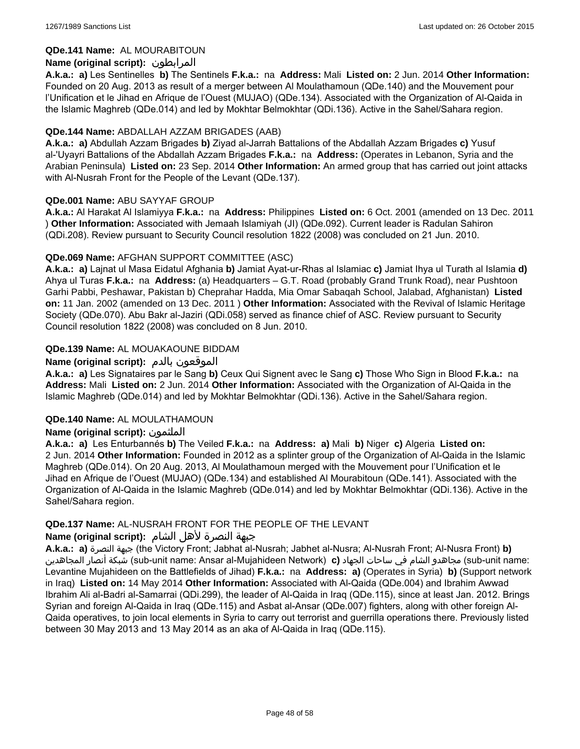### **QDe.141 Name:** AL MOURABITOUN

# **Name (original script):** المرابطون

**A.k.a.: a)** Les Sentinelles **b)** The Sentinels **F.k.a.:** na **Address:** Mali **Listed on:** 2 Jun. 2014 **Other Information:**  Founded on 20 Aug. 2013 as result of a merger between Al Moulathamoun (QDe.140) and the Mouvement pour l'Unification et le Jihad en Afrique de l'Ouest (MUJAO) (QDe.134). Associated with the Organization of Al-Qaida in the Islamic Maghreb (QDe.014) and led by Mokhtar Belmokhtar (QDi.136). Active in the Sahel/Sahara region.

### **QDe.144 Name:** ABDALLAH AZZAM BRIGADES (AAB)

**A.k.a.: a)** Abdullah Azzam Brigades **b)** Ziyad al-Jarrah Battalions of the Abdallah Azzam Brigades **c)** Yusuf al-'Uyayri Battalions of the Abdallah Azzam Brigades **F.k.a.:** na **Address:** (Operates in Lebanon, Syria and the Arabian Peninsula) **Listed on:** 23 Sep. 2014 **Other Information:** An armed group that has carried out joint attacks with Al-Nusrah Front for the People of the Levant (QDe.137).

### **QDe.001 Name:** ABU SAYYAF GROUP

**A.k.a.:** Al Harakat Al Islamiyya **F.k.a.:** na **Address:** Philippines **Listed on:** 6 Oct. 2001 (amended on 13 Dec. 2011 ) **Other Information:** Associated with Jemaah Islamiyah (JI) (QDe.092). Current leader is Radulan Sahiron (QDi.208). Review pursuant to Security Council resolution 1822 (2008) was concluded on 21 Jun. 2010.

### **QDe.069 Name:** AFGHAN SUPPORT COMMITTEE (ASC)

**A.k.a.: a)** Lajnat ul Masa Eidatul Afghania **b)** Jamiat Ayat-ur-Rhas al Islamiac **c)** Jamiat Ihya ul Turath al Islamia **d)** Ahya ul Turas **F.k.a.:** na **Address:** (a) Headquarters – G.T. Road (probably Grand Trunk Road), near Pushtoon Garhi Pabbi, Peshawar, Pakistan b) Cheprahar Hadda, Mia Omar Sabaqah School, Jalabad, Afghanistan) **Listed on:** 11 Jan. 2002 (amended on 13 Dec. 2011 ) **Other Information:** Associated with the Revival of Islamic Heritage Society (QDe.070). Abu Bakr al-Jaziri (QDi.058) served as finance chief of ASC. Review pursuant to Security Council resolution 1822 (2008) was concluded on 8 Jun. 2010.

# **QDe.139 Name:** AL MOUAKAOUNE BIDDAM

### **Name (original script):** بالدم الموقعون

**A.k.a.: a)** Les Signataires par le Sang **b)** Ceux Qui Signent avec le Sang **c)** Those Who Sign in Blood **F.k.a.:** na **Address:** Mali **Listed on:** 2 Jun. 2014 **Other Information:** Associated with the Organization of Al-Qaida in the Islamic Maghreb (QDe.014) and led by Mokhtar Belmokhtar (QDi.136). Active in the Sahel/Sahara region.

#### **QDe.140 Name:** AL MOULATHAMOUN

# **Name (original script):** الملثمون

**A.k.a.: a)** Les Enturbannés **b)** The Veiled **F.k.a.:** na **Address: a)** Mali **b)** Niger **c)** Algeria **Listed on:** 2 Jun. 2014 **Other Information:** Founded in 2012 as a splinter group of the Organization of Al-Qaida in the Islamic Maghreb (QDe.014). On 20 Aug. 2013, Al Moulathamoun merged with the Mouvement pour l'Unification et le Jihad en Afrique de l'Ouest (MUJAO) (QDe.134) and established Al Mourabitoun (QDe.141). Associated with the Organization of Al-Qaida in the Islamic Maghreb (QDe.014) and led by Mokhtar Belmokhtar (QDi.136). Active in the Sahel/Sahara region.

#### **QDe.137 Name:** AL-NUSRAH FRONT FOR THE PEOPLE OF THE LEVANT

#### جبهة النصرة لأهل الشام **:(script original (Name**

**A.k.a.: a)** النصرة جبهة) the Victory Front; Jabhat al-Nusrah; Jabhet al-Nusra; Al-Nusrah Front; Al-Nusra Front) **b)**  المجاهدين أنصار شبكة) sub-unit name: Ansar al-Mujahideen Network) **c)** الجهاد ساحات في الشام مجاهدو) sub-unit name: Levantine Mujahideen on the Battlefields of Jihad) **F.k.a.:** na **Address: a)** (Operates in Syria) **b)** (Support network in Iraq) **Listed on:** 14 May 2014 **Other Information:** Associated with Al-Qaida (QDe.004) and Ibrahim Awwad Ibrahim Ali al-Badri al-Samarrai (QDi.299), the leader of Al-Qaida in Iraq (QDe.115), since at least Jan. 2012. Brings Syrian and foreign Al-Qaida in Iraq (QDe.115) and Asbat al-Ansar (QDe.007) fighters, along with other foreign Al-Qaida operatives, to join local elements in Syria to carry out terrorist and guerrilla operations there. Previously listed between 30 May 2013 and 13 May 2014 as an aka of Al-Qaida in Iraq (QDe.115).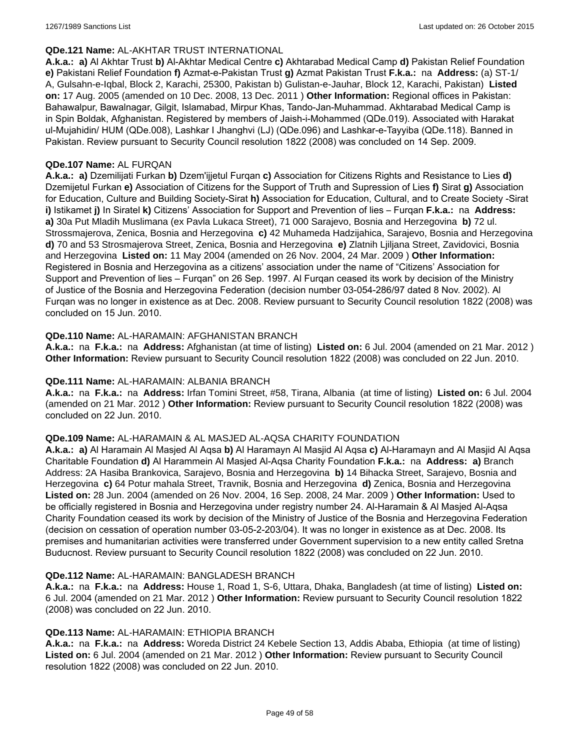### **QDe.121 Name:** AL-AKHTAR TRUST INTERNATIONAL

**A.k.a.: a)** Al Akhtar Trust **b)** Al-Akhtar Medical Centre **c)** Akhtarabad Medical Camp **d)** Pakistan Relief Foundation **e)** Pakistani Relief Foundation **f)** Azmat-e-Pakistan Trust **g)** Azmat Pakistan Trust **F.k.a.:** na **Address:** (a) ST-1/ A, Gulsahn-e-Iqbal, Block 2, Karachi, 25300, Pakistan b) Gulistan-e-Jauhar, Block 12, Karachi, Pakistan) **Listed on:** 17 Aug. 2005 (amended on 10 Dec. 2008, 13 Dec. 2011 ) **Other Information:** Regional offices in Pakistan: Bahawalpur, Bawalnagar, Gilgit, Islamabad, Mirpur Khas, Tando-Jan-Muhammad. Akhtarabad Medical Camp is in Spin Boldak, Afghanistan. Registered by members of Jaish-i-Mohammed (QDe.019). Associated with Harakat ul-Mujahidin/ HUM (QDe.008), Lashkar I Jhanghvi (LJ) (QDe.096) and Lashkar-e-Tayyiba (QDe.118). Banned in Pakistan. Review pursuant to Security Council resolution 1822 (2008) was concluded on 14 Sep. 2009.

#### **QDe.107 Name:** AL FURQAN

**A.k.a.: a)** Dzemilijati Furkan **b)** Dzem'ijjetul Furqan **c)** Association for Citizens Rights and Resistance to Lies **d)** Dzemijetul Furkan **e)** Association of Citizens for the Support of Truth and Supression of Lies **f)** Sirat **g)** Association for Education, Culture and Building Society-Sirat **h)** Association for Education, Cultural, and to Create Society -Sirat **i)** Istikamet **j)** In Siratel **k)** Citizens' Association for Support and Prevention of lies – Furqan **F.k.a.:** na **Address: a)** 30a Put Mladih Muslimana (ex Pavla Lukaca Street), 71 000 Sarajevo, Bosnia and Herzegovina **b)** 72 ul. Strossmajerova, Zenica, Bosnia and Herzegovina **c)** 42 Muhameda Hadzijahica, Sarajevo, Bosnia and Herzegovina **d)** 70 and 53 Strosmajerova Street, Zenica, Bosnia and Herzegovina **e)** Zlatnih Ljiljana Street, Zavidovici, Bosnia and Herzegovina **Listed on:** 11 May 2004 (amended on 26 Nov. 2004, 24 Mar. 2009 ) **Other Information:** Registered in Bosnia and Herzegovina as a citizens' association under the name of "Citizens' Association for Support and Prevention of lies – Furqan" on 26 Sep. 1997. Al Furqan ceased its work by decision of the Ministry of Justice of the Bosnia and Herzegovina Federation (decision number 03-054-286/97 dated 8 Nov. 2002). Al Furqan was no longer in existence as at Dec. 2008. Review pursuant to Security Council resolution 1822 (2008) was concluded on 15 Jun. 2010.

### **QDe.110 Name:** AL-HARAMAIN: AFGHANISTAN BRANCH

**A.k.a.:** na **F.k.a.:** na **Address:** Afghanistan (at time of listing) **Listed on:** 6 Jul. 2004 (amended on 21 Mar. 2012 ) **Other Information:** Review pursuant to Security Council resolution 1822 (2008) was concluded on 22 Jun. 2010.

#### **QDe.111 Name:** AL-HARAMAIN: ALBANIA BRANCH

**A.k.a.:** na **F.k.a.:** na **Address:** Irfan Tomini Street, #58, Tirana, Albania (at time of listing) **Listed on:** 6 Jul. 2004 (amended on 21 Mar. 2012 ) **Other Information:** Review pursuant to Security Council resolution 1822 (2008) was concluded on 22 Jun. 2010.

#### **QDe.109 Name:** AL-HARAMAIN & AL MASJED AL-AQSA CHARITY FOUNDATION

**A.k.a.: a)** Al Haramain Al Masjed Al Aqsa **b)** Al Haramayn Al Masjid Al Aqsa **c)** Al-Haramayn and Al Masjid Al Aqsa Charitable Foundation **d)** Al Harammein Al Masjed Al-Aqsa Charity Foundation **F.k.a.:** na **Address: a)** Branch Address: 2A Hasiba Brankovica, Sarajevo, Bosnia and Herzegovina **b)** 14 Bihacka Street, Sarajevo, Bosnia and Herzegovina **c)** 64 Potur mahala Street, Travnik, Bosnia and Herzegovina **d)** Zenica, Bosnia and Herzegovina **Listed on:** 28 Jun. 2004 (amended on 26 Nov. 2004, 16 Sep. 2008, 24 Mar. 2009 ) **Other Information:** Used to be officially registered in Bosnia and Herzegovina under registry number 24. Al-Haramain & Al Masjed Al-Aqsa Charity Foundation ceased its work by decision of the Ministry of Justice of the Bosnia and Herzegovina Federation (decision on cessation of operation number 03-05-2-203/04). It was no longer in existence as at Dec. 2008. Its premises and humanitarian activities were transferred under Government supervision to a new entity called Sretna Buducnost. Review pursuant to Security Council resolution 1822 (2008) was concluded on 22 Jun. 2010.

#### **QDe.112 Name:** AL-HARAMAIN: BANGLADESH BRANCH

**A.k.a.:** na **F.k.a.:** na **Address:** House 1, Road 1, S-6, Uttara, Dhaka, Bangladesh (at time of listing) **Listed on:** 6 Jul. 2004 (amended on 21 Mar. 2012 ) **Other Information:** Review pursuant to Security Council resolution 1822 (2008) was concluded on 22 Jun. 2010.

#### **QDe.113 Name:** AL-HARAMAIN: ETHIOPIA BRANCH

**A.k.a.:** na **F.k.a.:** na **Address:** Woreda District 24 Kebele Section 13, Addis Ababa, Ethiopia (at time of listing) **Listed on:** 6 Jul. 2004 (amended on 21 Mar. 2012 ) **Other Information:** Review pursuant to Security Council resolution 1822 (2008) was concluded on 22 Jun. 2010.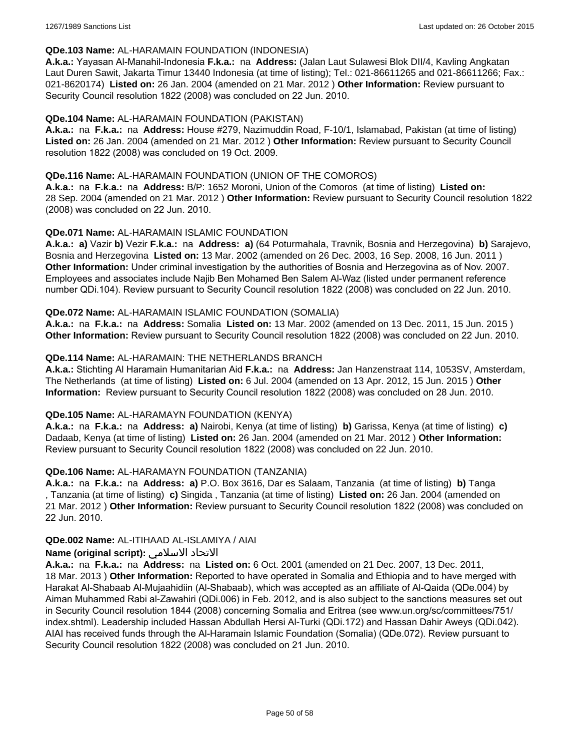### **QDe.103 Name:** AL-HARAMAIN FOUNDATION (INDONESIA)

**A.k.a.:** Yayasan Al-Manahil-Indonesia **F.k.a.:** na **Address:** (Jalan Laut Sulawesi Blok DII/4, Kavling Angkatan Laut Duren Sawit, Jakarta Timur 13440 Indonesia (at time of listing); Tel.: 021-86611265 and 021-86611266; Fax.: 021-8620174) **Listed on:** 26 Jan. 2004 (amended on 21 Mar. 2012 ) **Other Information:** Review pursuant to Security Council resolution 1822 (2008) was concluded on 22 Jun. 2010.

### **QDe.104 Name:** AL-HARAMAIN FOUNDATION (PAKISTAN)

**A.k.a.:** na **F.k.a.:** na **Address:** House #279, Nazimuddin Road, F-10/1, Islamabad, Pakistan (at time of listing) **Listed on:** 26 Jan. 2004 (amended on 21 Mar. 2012 ) **Other Information:** Review pursuant to Security Council resolution 1822 (2008) was concluded on 19 Oct. 2009.

### **QDe.116 Name:** AL-HARAMAIN FOUNDATION (UNION OF THE COMOROS)

**A.k.a.:** na **F.k.a.:** na **Address:** B/P: 1652 Moroni, Union of the Comoros (at time of listing) **Listed on:** 28 Sep. 2004 (amended on 21 Mar. 2012 ) **Other Information:** Review pursuant to Security Council resolution 1822 (2008) was concluded on 22 Jun. 2010.

### **QDe.071 Name:** AL-HARAMAIN ISLAMIC FOUNDATION

**A.k.a.: a)** Vazir **b)** Vezir **F.k.a.:** na **Address: a)** (64 Poturmahala, Travnik, Bosnia and Herzegovina) **b)** Sarajevo, Bosnia and Herzegovina **Listed on:** 13 Mar. 2002 (amended on 26 Dec. 2003, 16 Sep. 2008, 16 Jun. 2011 ) **Other Information:** Under criminal investigation by the authorities of Bosnia and Herzegovina as of Nov. 2007. Employees and associates include Najib Ben Mohamed Ben Salem Al-Waz (listed under permanent reference number QDi.104). Review pursuant to Security Council resolution 1822 (2008) was concluded on 22 Jun. 2010.

### **QDe.072 Name:** AL-HARAMAIN ISLAMIC FOUNDATION (SOMALIA)

**A.k.a.:** na **F.k.a.:** na **Address:** Somalia **Listed on:** 13 Mar. 2002 (amended on 13 Dec. 2011, 15 Jun. 2015 ) **Other Information:** Review pursuant to Security Council resolution 1822 (2008) was concluded on 22 Jun. 2010.

### **QDe.114 Name:** AL-HARAMAIN: THE NETHERLANDS BRANCH

**A.k.a.:** Stichting Al Haramain Humanitarian Aid **F.k.a.:** na **Address:** Jan Hanzenstraat 114, 1053SV, Amsterdam, The Netherlands (at time of listing) **Listed on:** 6 Jul. 2004 (amended on 13 Apr. 2012, 15 Jun. 2015 ) **Other Information:** Review pursuant to Security Council resolution 1822 (2008) was concluded on 28 Jun. 2010.

#### **QDe.105 Name:** AL-HARAMAYN FOUNDATION (KENYA)

**A.k.a.:** na **F.k.a.:** na **Address: a)** Nairobi, Kenya (at time of listing) **b)** Garissa, Kenya (at time of listing) **c)** Dadaab, Kenya (at time of listing) **Listed on:** 26 Jan. 2004 (amended on 21 Mar. 2012 ) **Other Information:** Review pursuant to Security Council resolution 1822 (2008) was concluded on 22 Jun. 2010.

#### **QDe.106 Name:** AL-HARAMAYN FOUNDATION (TANZANIA)

**A.k.a.:** na **F.k.a.:** na **Address: a)** P.O. Box 3616, Dar es Salaam, Tanzania (at time of listing) **b)** Tanga , Tanzania (at time of listing) **c)** Singida , Tanzania (at time of listing) **Listed on:** 26 Jan. 2004 (amended on 21 Mar. 2012 ) **Other Information:** Review pursuant to Security Council resolution 1822 (2008) was concluded on 22 Jun. 2010.

#### **QDe.002 Name:** AL-ITIHAAD AL-ISLAMIYA / AIAI

# **Name (original script):** الاسلامي الاتحاد

**A.k.a.:** na **F.k.a.:** na **Address:** na **Listed on:** 6 Oct. 2001 (amended on 21 Dec. 2007, 13 Dec. 2011, 18 Mar. 2013 ) **Other Information:** Reported to have operated in Somalia and Ethiopia and to have merged with Harakat Al-Shabaab Al-Mujaahidiin (Al-Shabaab), which was accepted as an affiliate of Al-Qaida (QDe.004) by Aiman Muhammed Rabi al-Zawahiri (QDi.006) in Feb. 2012, and is also subject to the sanctions measures set out in Security Council resolution 1844 (2008) concerning Somalia and Eritrea (see www.un.org/sc/committees/751/ index.shtml). Leadership included Hassan Abdullah Hersi Al-Turki (QDi.172) and Hassan Dahir Aweys (QDi.042). AIAI has received funds through the Al-Haramain Islamic Foundation (Somalia) (QDe.072). Review pursuant to Security Council resolution 1822 (2008) was concluded on 21 Jun. 2010.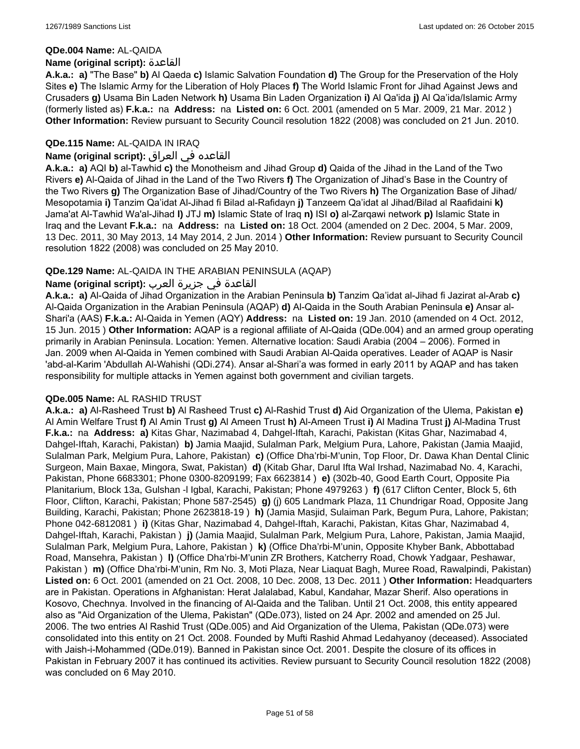#### **QDe.004 Name:** AL-QAIDA

#### **Name (original script):** القاعدة

**A.k.a.: a)** "The Base" **b)** Al Qaeda **c)** Islamic Salvation Foundation **d)** The Group for the Preservation of the Holy Sites **e)** The Islamic Army for the Liberation of Holy Places **f)** The World Islamic Front for Jihad Against Jews and Crusaders **g)** Usama Bin Laden Network **h)** Usama Bin Laden Organization **i)** Al Qa'ida **j)** Al Qa'ida/Islamic Army (formerly listed as) **F.k.a.:** na **Address:** na **Listed on:** 6 Oct. 2001 (amended on 5 Mar. 2009, 21 Mar. 2012 ) **Other Information:** Review pursuant to Security Council resolution 1822 (2008) was concluded on 21 Jun. 2010.

### **QDe.115 Name:** AL-QAIDA IN IRAQ

### القاعده في العراق **:(script original (Name**

**A.k.a.: a)** AQI **b)** al-Tawhid **c)** the Monotheism and Jihad Group **d)** Qaida of the Jihad in the Land of the Two Rivers **e)** Al-Qaida of Jihad in the Land of the Two Rivers **f)** The Organization of Jihad's Base in the Country of the Two Rivers **g)** The Organization Base of Jihad/Country of the Two Rivers **h)** The Organization Base of Jihad/ Mesopotamia **i)** Tanzim Qa'idat Al-Jihad fi Bilad al-Rafidayn **j)** Tanzeem Qa'idat al Jihad/Bilad al Raafidaini **k)** Jama'at Al-Tawhid Wa'al-Jihad **l)** JTJ **m)** Islamic State of Iraq **n)** ISI **o)** al-Zarqawi network **p)** Islamic State in Iraq and the Levant **F.k.a.:** na **Address:** na **Listed on:** 18 Oct. 2004 (amended on 2 Dec. 2004, 5 Mar. 2009, 13 Dec. 2011, 30 May 2013, 14 May 2014, 2 Jun. 2014 ) **Other Information:** Review pursuant to Security Council resolution 1822 (2008) was concluded on 25 May 2010.

### **QDe.129 Name:** AL-QAIDA IN THE ARABIAN PENINSULA (AQAP)

### القاعدة في جزيرة العرب **:(script original (Name**

**A.k.a.: a)** Al-Qaida of Jihad Organization in the Arabian Peninsula **b)** Tanzim Qa'idat al-Jihad fi Jazirat al-Arab **c)** Al-Qaida Organization in the Arabian Peninsula (AQAP) **d)** Al-Qaida in the South Arabian Peninsula **e)** Ansar al-Shari'a (AAS) **F.k.a.:** Al-Qaida in Yemen (AQY) **Address:** na **Listed on:** 19 Jan. 2010 (amended on 4 Oct. 2012, 15 Jun. 2015 ) **Other Information:** AQAP is a regional affiliate of Al-Qaida (QDe.004) and an armed group operating primarily in Arabian Peninsula. Location: Yemen. Alternative location: Saudi Arabia (2004 – 2006). Formed in Jan. 2009 when Al-Qaida in Yemen combined with Saudi Arabian Al-Qaida operatives. Leader of AQAP is Nasir 'abd-al-Karim 'Abdullah Al-Wahishi (QDi.274). Ansar al-Shari'a was formed in early 2011 by AQAP and has taken responsibility for multiple attacks in Yemen against both government and civilian targets.

#### **QDe.005 Name:** AL RASHID TRUST

**A.k.a.: a)** Al-Rasheed Trust **b)** Al Rasheed Trust **c)** Al-Rashid Trust **d)** Aid Organization of the Ulema, Pakistan **e)** Al Amin Welfare Trust **f)** Al Amin Trust **g)** Al Ameen Trust **h)** Al-Ameen Trust **i)** Al Madina Trust **j)** Al-Madina Trust **F.k.a.:** na **Address: a)** Kitas Ghar, Nazimabad 4, Dahgel-Iftah, Karachi, Pakistan (Kitas Ghar, Nazimabad 4, Dahgel-Iftah, Karachi, Pakistan) **b)** Jamia Maajid, Sulalman Park, Melgium Pura, Lahore, Pakistan (Jamia Maajid, Sulalman Park, Melgium Pura, Lahore, Pakistan) **c)** (Office Dha'rbi-M'unin, Top Floor, Dr. Dawa Khan Dental Clinic Surgeon, Main Baxae, Mingora, Swat, Pakistan) **d)** (Kitab Ghar, Darul Ifta Wal Irshad, Nazimabad No. 4, Karachi, Pakistan, Phone 6683301; Phone 0300-8209199; Fax 6623814 ) **e)** (302b-40, Good Earth Court, Opposite Pia Planitarium, Block 13a, Gulshan -l Igbal, Karachi, Pakistan; Phone 4979263 ) **f)** (617 Clifton Center, Block 5, 6th Floor, Clifton, Karachi, Pakistan; Phone 587-2545) **g)** (j) 605 Landmark Plaza, 11 Chundrigar Road, Opposite Jang Building, Karachi, Pakistan; Phone 2623818-19 ) **h)** (Jamia Masjid, Sulaiman Park, Begum Pura, Lahore, Pakistan; Phone 042-6812081 ) **i)** (Kitas Ghar, Nazimabad 4, Dahgel-Iftah, Karachi, Pakistan, Kitas Ghar, Nazimabad 4, Dahgel-Iftah, Karachi, Pakistan ) **j)** (Jamia Maajid, Sulalman Park, Melgium Pura, Lahore, Pakistan, Jamia Maajid, Sulalman Park, Melgium Pura, Lahore, Pakistan ) **k)** (Office Dha'rbi-M'unin, Opposite Khyber Bank, Abbottabad Road, Mansehra, Pakistan ) **l)** (Office Dha'rbi-M'unin ZR Brothers, Katcherry Road, Chowk Yadgaar, Peshawar, Pakistan ) **m)** (Office Dha'rbi-M'unin, Rm No. 3, Moti Plaza, Near Liaquat Bagh, Muree Road, Rawalpindi, Pakistan) **Listed on:** 6 Oct. 2001 (amended on 21 Oct. 2008, 10 Dec. 2008, 13 Dec. 2011 ) **Other Information:** Headquarters are in Pakistan. Operations in Afghanistan: Herat Jalalabad, Kabul, Kandahar, Mazar Sherif. Also operations in Kosovo, Chechnya. Involved in the financing of Al-Qaida and the Taliban. Until 21 Oct. 2008, this entity appeared also as "Aid Organization of the Ulema, Pakistan" (QDe.073), listed on 24 Apr. 2002 and amended on 25 Jul. 2006. The two entries Al Rashid Trust (QDe.005) and Aid Organization of the Ulema, Pakistan (QDe.073) were consolidated into this entity on 21 Oct. 2008. Founded by Mufti Rashid Ahmad Ledahyanoy (deceased). Associated with Jaish-i-Mohammed (QDe.019). Banned in Pakistan since Oct. 2001. Despite the closure of its offices in Pakistan in February 2007 it has continued its activities. Review pursuant to Security Council resolution 1822 (2008) was concluded on 6 May 2010.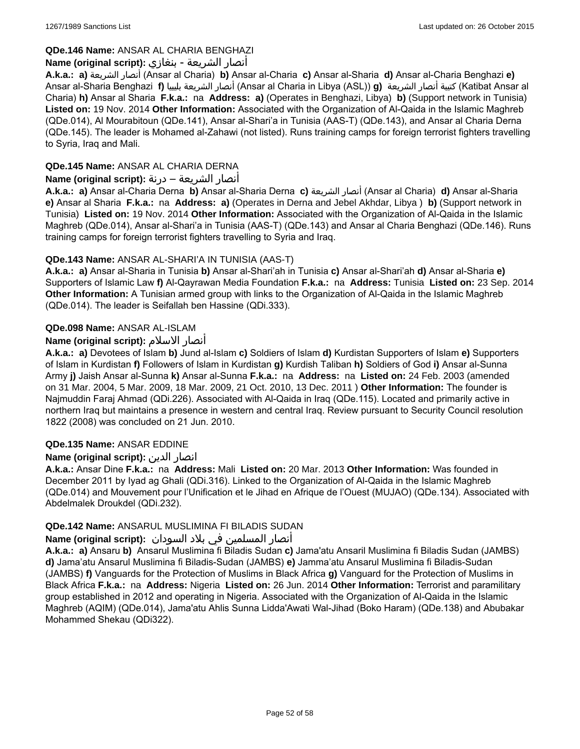# **QDe.146 Name:** ANSAR AL CHARIA BENGHAZI

# أنصار الشريعة - بنغازي **:(script original (Name**

**A.k.a.: a)** الشريعة أنصار) Ansar al Charia) **b)** Ansar al-Charia **c)** Ansar al-Sharia **d)** Ansar al-Charia Benghazi **e)** Ansar al-Sharia Benghazi **f)** بليبيا الشريعة أنصار) Ansar al Charia in Libya (ASL)) **g)** الشريعة أنصار كتيبة) Katibat Ansar al Charia) **h)** Ansar al Sharia **F.k.a.:** na **Address: a)** (Operates in Benghazi, Libya) **b)** (Support network in Tunisia) **Listed on:** 19 Nov. 2014 **Other Information:** Associated with the Organization of Al-Qaida in the Islamic Maghreb (QDe.014), Al Mourabitoun (QDe.141), Ansar al-Shari'a in Tunisia (AAS-T) (QDe.143), and Ansar al Charia Derna (QDe.145). The leader is Mohamed al-Zahawi (not listed). Runs training camps for foreign terrorist fighters travelling to Syria, Iraq and Mali.

# **QDe.145 Name:** ANSAR AL CHARIA DERNA

# أنصار الشريعة – درنة **:(script original (Name**

**A.k.a.: a)** Ansar al-Charia Derna **b)** Ansar al-Sharia Derna **c)** الشريعة أنصار) Ansar al Charia) **d)** Ansar al-Sharia **e)** Ansar al Sharia **F.k.a.:** na **Address: a)** (Operates in Derna and Jebel Akhdar, Libya ) **b)** (Support network in Tunisia) **Listed on:** 19 Nov. 2014 **Other Information:** Associated with the Organization of Al-Qaida in the Islamic Maghreb (QDe.014), Ansar al-Shari'a in Tunisia (AAS-T) (QDe.143) and Ansar al Charia Benghazi (QDe.146). Runs training camps for foreign terrorist fighters travelling to Syria and Iraq.

# **QDe.143 Name:** ANSAR AL-SHARI'A IN TUNISIA (AAS-T)

**A.k.a.: a)** Ansar al-Sharia in Tunisia **b)** Ansar al-Shari'ah in Tunisia **c)** Ansar al-Shari'ah **d)** Ansar al-Sharia **e)** Supporters of Islamic Law **f)** Al-Qayrawan Media Foundation **F.k.a.:** na **Address:** Tunisia **Listed on:** 23 Sep. 2014 **Other Information:** A Tunisian armed group with links to the Organization of Al-Qaida in the Islamic Maghreb (QDe.014). The leader is Seifallah ben Hassine (QDi.333).

# **QDe.098 Name:** ANSAR AL-ISLAM

# **Name (original script):** الاسلام أنصار

**A.k.a.: a)** Devotees of Islam **b)** Jund al-Islam **c)** Soldiers of Islam **d)** Kurdistan Supporters of Islam **e)** Supporters of Islam in Kurdistan **f)** Followers of Islam in Kurdistan **g)** Kurdish Taliban **h)** Soldiers of God **i)** Ansar al-Sunna Army **j)** Jaish Ansar al-Sunna **k)** Ansar al-Sunna **F.k.a.:** na **Address:** na **Listed on:** 24 Feb. 2003 (amended on 31 Mar. 2004, 5 Mar. 2009, 18 Mar. 2009, 21 Oct. 2010, 13 Dec. 2011 ) **Other Information:** The founder is Najmuddin Faraj Ahmad (QDi.226). Associated with Al-Qaida in Iraq (QDe.115). Located and primarily active in northern Iraq but maintains a presence in western and central Iraq. Review pursuant to Security Council resolution 1822 (2008) was concluded on 21 Jun. 2010.

# **QDe.135 Name:** ANSAR EDDINE

# **Name (original script):** الدين انصار

**A.k.a.:** Ansar Dine **F.k.a.:** na **Address:** Mali **Listed on:** 20 Mar. 2013 **Other Information:** Was founded in December 2011 by Iyad ag Ghali (QDi.316). Linked to the Organization of Al-Qaida in the Islamic Maghreb (QDe.014) and Mouvement pour l'Unification et le Jihad en Afrique de l'Ouest (MUJAO) (QDe.134). Associated with Abdelmalek Droukdel (QDi.232).

# **QDe.142 Name:** ANSARUL MUSLIMINA FI BILADIS SUDAN

# أنصار المسلمین في بلاد السودان **:(script original (Name**

**A.k.a.: a)** Ansaru **b)** Ansarul Muslimina fi Biladis Sudan **c)** Jama'atu Ansaril Muslimina fi Biladis Sudan (JAMBS) **d)** Jama'atu Ansarul Muslimina fi Biladis-Sudan (JAMBS) **e)** Jamma'atu Ansarul Muslimina fi Biladis-Sudan (JAMBS) **f)** Vanguards for the Protection of Muslims in Black Africa **g)** Vanguard for the Protection of Muslims in Black Africa **F.k.a.:** na **Address:** Nigeria **Listed on:** 26 Jun. 2014 **Other Information:** Terrorist and paramilitary group established in 2012 and operating in Nigeria. Associated with the Organization of Al-Qaida in the Islamic Maghreb (AQIM) (QDe.014), Jama'atu Ahlis Sunna Lidda'Awati Wal-Jihad (Boko Haram) (QDe.138) and Abubakar Mohammed Shekau (QDi322).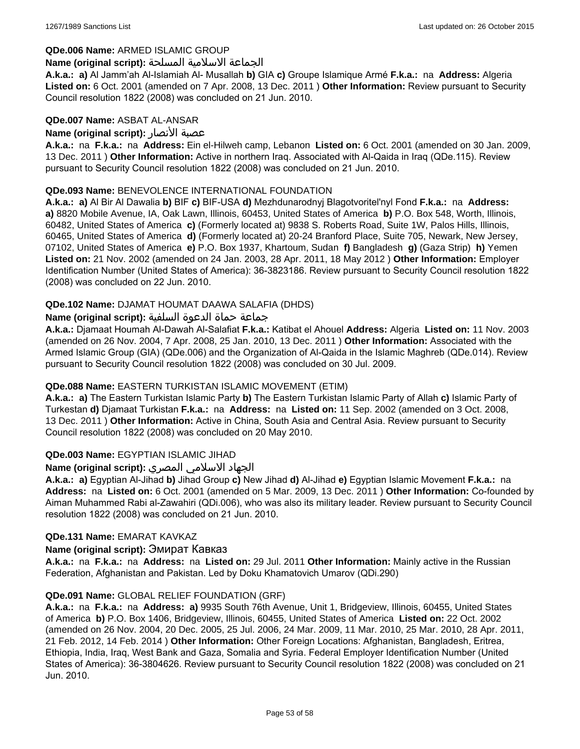### **QDe.006 Name:** ARMED ISLAMIC GROUP

#### الجماعة الاسلامية المسلحة **:(script original (Name**

**A.k.a.: a)** Al Jamm'ah Al-Islamiah Al- Musallah **b)** GIA **c)** Groupe Islamique Armé **F.k.a.:** na **Address:** Algeria **Listed on:** 6 Oct. 2001 (amended on 7 Apr. 2008, 13 Dec. 2011 ) **Other Information:** Review pursuant to Security Council resolution 1822 (2008) was concluded on 21 Jun. 2010.

#### **QDe.007 Name:** ASBAT AL-ANSAR

### **Name (original script):** الأنصار عصبة

**A.k.a.:** na **F.k.a.:** na **Address:** Ein el-Hilweh camp, Lebanon **Listed on:** 6 Oct. 2001 (amended on 30 Jan. 2009, 13 Dec. 2011 ) **Other Information:** Active in northern Iraq. Associated with Al-Qaida in Iraq (QDe.115). Review pursuant to Security Council resolution 1822 (2008) was concluded on 21 Jun. 2010.

### **QDe.093 Name:** BENEVOLENCE INTERNATIONAL FOUNDATION

**A.k.a.: a)** Al Bir Al Dawalia **b)** BIF **c)** BIF-USA **d)** Mezhdunarodnyj Blagotvoritel'nyl Fond **F.k.a.:** na **Address: a)** 8820 Mobile Avenue, IA, Oak Lawn, Illinois, 60453, United States of America **b)** P.O. Box 548, Worth, Illinois, 60482, United States of America **c)** (Formerly located at) 9838 S. Roberts Road, Suite 1W, Palos Hills, Illinois, 60465, United States of America **d)** (Formerly located at) 20-24 Branford Place, Suite 705, Newark, New Jersey, 07102, United States of America **e)** P.O. Box 1937, Khartoum, Sudan **f)** Bangladesh **g)** (Gaza Strip) **h)** Yemen **Listed on:** 21 Nov. 2002 (amended on 24 Jan. 2003, 28 Apr. 2011, 18 May 2012 ) **Other Information:** Employer Identification Number (United States of America): 36-3823186. Review pursuant to Security Council resolution 1822 (2008) was concluded on 22 Jun. 2010.

### **QDe.102 Name:** DJAMAT HOUMAT DAAWA SALAFIA (DHDS)

### جماعة حماة الدعوة السلفية **:(script original (Name**

**A.k.a.:** Djamaat Houmah Al-Dawah Al-Salafiat **F.k.a.:** Katibat el Ahouel **Address:** Algeria **Listed on:** 11 Nov. 2003 (amended on 26 Nov. 2004, 7 Apr. 2008, 25 Jan. 2010, 13 Dec. 2011 ) **Other Information:** Associated with the Armed Islamic Group (GIA) (QDe.006) and the Organization of Al-Qaida in the Islamic Maghreb (QDe.014). Review pursuant to Security Council resolution 1822 (2008) was concluded on 30 Jul. 2009.

# **QDe.088 Name:** EASTERN TURKISTAN ISLAMIC MOVEMENT (ETIM)

**A.k.a.: a)** The Eastern Turkistan Islamic Party **b)** The Eastern Turkistan Islamic Party of Allah **c)** Islamic Party of Turkestan **d)** Djamaat Turkistan **F.k.a.:** na **Address:** na **Listed on:** 11 Sep. 2002 (amended on 3 Oct. 2008, 13 Dec. 2011 ) **Other Information:** Active in China, South Asia and Central Asia. Review pursuant to Security Council resolution 1822 (2008) was concluded on 20 May 2010.

# **QDe.003 Name:** EGYPTIAN ISLAMIC JIHAD

# الجهاد الاسلامي المصري **:(script original (Name**

**A.k.a.: a)** Egyptian Al-Jihad **b)** Jihad Group **c)** New Jihad **d)** Al-Jihad **e)** Egyptian Islamic Movement **F.k.a.:** na **Address:** na **Listed on:** 6 Oct. 2001 (amended on 5 Mar. 2009, 13 Dec. 2011 ) **Other Information:** Co-founded by Aiman Muhammed Rabi al-Zawahiri (QDi.006), who was also its military leader. Review pursuant to Security Council resolution 1822 (2008) was concluded on 21 Jun. 2010.

#### **QDe.131 Name:** EMARAT KAVKAZ

#### **Name (original script):** Эмират Кавказ

**A.k.a.:** na **F.k.a.:** na **Address:** na **Listed on:** 29 Jul. 2011 **Other Information:** Mainly active in the Russian Federation, Afghanistan and Pakistan. Led by Doku Khamatovich Umarov (QDi.290)

#### **QDe.091 Name:** GLOBAL RELIEF FOUNDATION (GRF)

**A.k.a.:** na **F.k.a.:** na **Address: a)** 9935 South 76th Avenue, Unit 1, Bridgeview, Illinois, 60455, United States of America **b)** P.O. Box 1406, Bridgeview, Illinois, 60455, United States of America **Listed on:** 22 Oct. 2002 (amended on 26 Nov. 2004, 20 Dec. 2005, 25 Jul. 2006, 24 Mar. 2009, 11 Mar. 2010, 25 Mar. 2010, 28 Apr. 2011, 21 Feb. 2012, 14 Feb. 2014 ) **Other Information:** Other Foreign Locations: Afghanistan, Bangladesh, Eritrea, Ethiopia, India, Iraq, West Bank and Gaza, Somalia and Syria. Federal Employer Identification Number (United States of America): 36-3804626. Review pursuant to Security Council resolution 1822 (2008) was concluded on 21 Jun. 2010.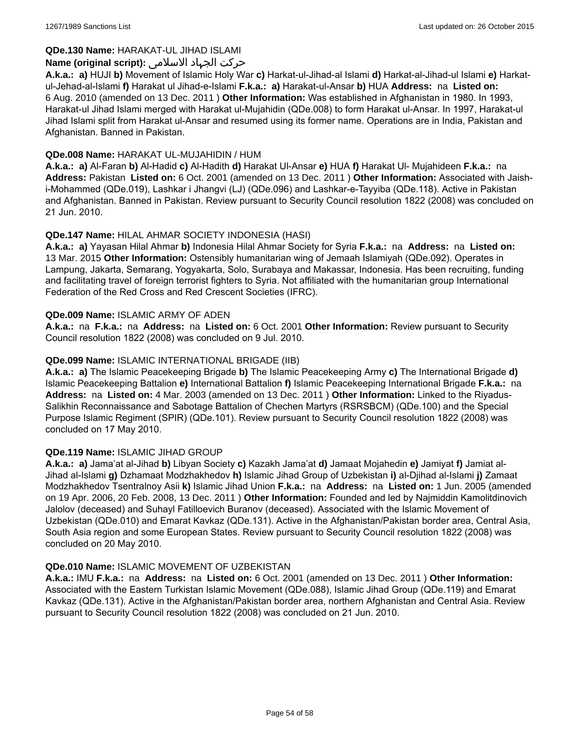# **QDe.130 Name:** HARAKAT-UL JIHAD ISLAMI

### حرکت الجہاد الاسلامی **:(script original (Name**

**A.k.a.: a)** HUJI **b)** Movement of Islamic Holy War **c)** Harkat-ul-Jihad-al Islami **d)** Harkat-al-Jihad-ul Islami **e)** Harkatul-Jehad-al-Islami **f)** Harakat ul Jihad-e-Islami **F.k.a.: a)** Harakat-ul-Ansar **b)** HUA **Address:** na **Listed on:** 6 Aug. 2010 (amended on 13 Dec. 2011 ) **Other Information:** Was established in Afghanistan in 1980. In 1993, Harakat-ul Jihad Islami merged with Harakat ul-Mujahidin (QDe.008) to form Harakat ul-Ansar. In 1997, Harakat-ul Jihad Islami split from Harakat ul-Ansar and resumed using its former name. Operations are in India, Pakistan and Afghanistan. Banned in Pakistan.

### **QDe.008 Name:** HARAKAT UL-MUJAHIDIN / HUM

**A.k.a.: a)** Al-Faran **b)** Al-Hadid **c)** Al-Hadith **d)** Harakat Ul-Ansar **e)** HUA **f)** Harakat Ul- Mujahideen **F.k.a.:** na **Address:** Pakistan **Listed on:** 6 Oct. 2001 (amended on 13 Dec. 2011 ) **Other Information:** Associated with Jaishi-Mohammed (QDe.019), Lashkar i Jhangvi (LJ) (QDe.096) and Lashkar-e-Tayyiba (QDe.118). Active in Pakistan and Afghanistan. Banned in Pakistan. Review pursuant to Security Council resolution 1822 (2008) was concluded on 21 Jun. 2010.

# **QDe.147 Name:** HILAL AHMAR SOCIETY INDONESIA (HASI)

**A.k.a.: a)** Yayasan Hilal Ahmar **b)** Indonesia Hilal Ahmar Society for Syria **F.k.a.:** na **Address:** na **Listed on:** 13 Mar. 2015 **Other Information:** Ostensibly humanitarian wing of Jemaah Islamiyah (QDe.092). Operates in Lampung, Jakarta, Semarang, Yogyakarta, Solo, Surabaya and Makassar, Indonesia. Has been recruiting, funding and facilitating travel of foreign terrorist fighters to Syria. Not affiliated with the humanitarian group International Federation of the Red Cross and Red Crescent Societies (IFRC).

#### **QDe.009 Name:** ISLAMIC ARMY OF ADEN

**A.k.a.:** na **F.k.a.:** na **Address:** na **Listed on:** 6 Oct. 2001 **Other Information:** Review pursuant to Security Council resolution 1822 (2008) was concluded on 9 Jul. 2010.

### **QDe.099 Name:** ISLAMIC INTERNATIONAL BRIGADE (IIB)

**A.k.a.: a)** The Islamic Peacekeeping Brigade **b)** The Islamic Peacekeeping Army **c)** The International Brigade **d)** Islamic Peacekeeping Battalion **e)** International Battalion **f)** Islamic Peacekeeping International Brigade **F.k.a.:** na **Address:** na **Listed on:** 4 Mar. 2003 (amended on 13 Dec. 2011 ) **Other Information:** Linked to the Riyadus-Salikhin Reconnaissance and Sabotage Battalion of Chechen Martyrs (RSRSBCM) (QDe.100) and the Special Purpose Islamic Regiment (SPIR) (QDe.101). Review pursuant to Security Council resolution 1822 (2008) was concluded on 17 May 2010.

#### **QDe.119 Name:** ISLAMIC JIHAD GROUP

**A.k.a.: a)** Jama'at al-Jihad **b)** Libyan Society **c)** Kazakh Jama'at **d)** Jamaat Mojahedin **e)** Jamiyat **f)** Jamiat al-Jihad al-Islami **g)** Dzhamaat Modzhakhedov **h)** Islamic Jihad Group of Uzbekistan **i)** al-Djihad al-Islami **j)** Zamaat Modzhakhedov Tsentralnoy Asii **k)** Islamic Jihad Union **F.k.a.:** na **Address:** na **Listed on:** 1 Jun. 2005 (amended on 19 Apr. 2006, 20 Feb. 2008, 13 Dec. 2011 ) **Other Information:** Founded and led by Najmiddin Kamolitdinovich Jalolov (deceased) and Suhayl Fatilloevich Buranov (deceased). Associated with the Islamic Movement of Uzbekistan (QDe.010) and Emarat Kavkaz (QDe.131). Active in the Afghanistan/Pakistan border area, Central Asia, South Asia region and some European States. Review pursuant to Security Council resolution 1822 (2008) was concluded on 20 May 2010.

#### **QDe.010 Name:** ISLAMIC MOVEMENT OF UZBEKISTAN

**A.k.a.:** IMU **F.k.a.:** na **Address:** na **Listed on:** 6 Oct. 2001 (amended on 13 Dec. 2011 ) **Other Information:** Associated with the Eastern Turkistan Islamic Movement (QDe.088), Islamic Jihad Group (QDe.119) and Emarat Kavkaz (QDe.131). Active in the Afghanistan/Pakistan border area, northern Afghanistan and Central Asia. Review pursuant to Security Council resolution 1822 (2008) was concluded on 21 Jun. 2010.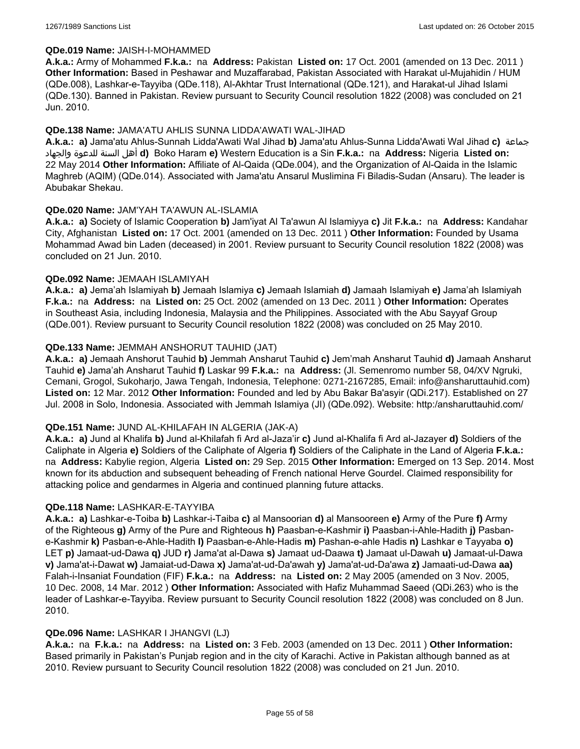### **QDe.019 Name:** JAISH-I-MOHAMMED

**A.k.a.:** Army of Mohammed **F.k.a.:** na **Address:** Pakistan **Listed on:** 17 Oct. 2001 (amended on 13 Dec. 2011 ) **Other Information:** Based in Peshawar and Muzaffarabad, Pakistan Associated with Harakat ul-Mujahidin / HUM (QDe.008), Lashkar-e-Tayyiba (QDe.118), Al-Akhtar Trust International (QDe.121), and Harakat-ul Jihad Islami (QDe.130). Banned in Pakistan. Review pursuant to Security Council resolution 1822 (2008) was concluded on 21 Jun. 2010.

### **QDe.138 Name:** JAMA'ATU AHLIS SUNNA LIDDA'AWATI WAL-JIHAD

**A.k.a.: a)** Jama'atu Ahlus-Sunnah Lidda'Awati Wal Jihad **b)** Jama'atu Ahlus-Sunna Lidda'Awati Wal Jihad **c)** جماعة والجهاد للدعوة السنة أهل **d)** Boko Haram **e)** Western Education is a Sin **F.k.a.:** na **Address:** Nigeria **Listed on:** 22 May 2014 **Other Information:** Affiliate of Al-Qaida (QDe.004), and the Organization of Al-Qaida in the Islamic Maghreb (AQIM) (QDe.014). Associated with Jama'atu Ansarul Muslimina Fi Biladis-Sudan (Ansaru). The leader is Abubakar Shekau.

#### **QDe.020 Name:** JAM'YAH TA'AWUN AL-ISLAMIA

**A.k.a.: a)** Society of Islamic Cooperation **b)** Jam'iyat Al Ta'awun Al Islamiyya **c)** Jit **F.k.a.:** na **Address:** Kandahar City, Afghanistan **Listed on:** 17 Oct. 2001 (amended on 13 Dec. 2011 ) **Other Information:** Founded by Usama Mohammad Awad bin Laden (deceased) in 2001. Review pursuant to Security Council resolution 1822 (2008) was concluded on 21 Jun. 2010.

### **QDe.092 Name:** JEMAAH ISLAMIYAH

**A.k.a.: a)** Jema'ah Islamiyah **b)** Jemaah Islamiya **c)** Jemaah Islamiah **d)** Jamaah Islamiyah **e)** Jama'ah Islamiyah **F.k.a.:** na **Address:** na **Listed on:** 25 Oct. 2002 (amended on 13 Dec. 2011 ) **Other Information:** Operates in Southeast Asia, including Indonesia, Malaysia and the Philippines. Associated with the Abu Sayyaf Group (QDe.001). Review pursuant to Security Council resolution 1822 (2008) was concluded on 25 May 2010.

### **QDe.133 Name:** JEMMAH ANSHORUT TAUHID (JAT)

**A.k.a.: a)** Jemaah Anshorut Tauhid **b)** Jemmah Ansharut Tauhid **c)** Jem'mah Ansharut Tauhid **d)** Jamaah Ansharut Tauhid **e)** Jama'ah Ansharut Tauhid **f)** Laskar 99 **F.k.a.:** na **Address:** (Jl. Semenromo number 58, 04/XV Ngruki, Cemani, Grogol, Sukoharjo, Jawa Tengah, Indonesia, Telephone: 0271-2167285, Email: info@ansharuttauhid.com) **Listed on:** 12 Mar. 2012 **Other Information:** Founded and led by Abu Bakar Ba'asyir (QDi.217). Established on 27 Jul. 2008 in Solo, Indonesia. Associated with Jemmah Islamiya (JI) (QDe.092). Website: http:/ansharuttauhid.com/

#### **QDe.151 Name:** JUND AL-KHILAFAH IN ALGERIA (JAK-A)

**A.k.a.: a)** Jund al Khalifa **b)** Jund al-Khilafah fi Ard al-Jaza'ir **c)** Jund al-Khalifa fi Ard al-Jazayer **d)** Soldiers of the Caliphate in Algeria **e)** Soldiers of the Caliphate of Algeria **f)** Soldiers of the Caliphate in the Land of Algeria **F.k.a.:**  na **Address:** Kabylie region, Algeria **Listed on:** 29 Sep. 2015 **Other Information:** Emerged on 13 Sep. 2014. Most known for its abduction and subsequent beheading of French national Herve Gourdel. Claimed responsibility for attacking police and gendarmes in Algeria and continued planning future attacks.

#### **QDe.118 Name:** LASHKAR-E-TAYYIBA

**A.k.a.: a)** Lashkar-e-Toiba **b)** Lashkar-i-Taiba **c)** al Mansoorian **d)** al Mansooreen **e)** Army of the Pure **f)** Army of the Righteous **g)** Army of the Pure and Righteous **h)** Paasban-e-Kashmir **i)** Paasban-i-Ahle-Hadith **j)** Pasbane-Kashmir **k)** Pasban-e-Ahle-Hadith **l)** Paasban-e-Ahle-Hadis **m)** Pashan-e-ahle Hadis **n)** Lashkar e Tayyaba **o)** LET **p)** Jamaat-ud-Dawa **q)** JUD **r)** Jama'at al-Dawa **s)** Jamaat ud-Daawa **t)** Jamaat ul-Dawah **u)** Jamaat-ul-Dawa **v)** Jama'at-i-Dawat **w)** Jamaiat-ud-Dawa **x)** Jama'at-ud-Da'awah **y)** Jama'at-ud-Da'awa **z)** Jamaati-ud-Dawa **aa)** Falah-i-Insaniat Foundation (FIF) **F.k.a.:** na **Address:** na **Listed on:** 2 May 2005 (amended on 3 Nov. 2005, 10 Dec. 2008, 14 Mar. 2012 ) **Other Information:** Associated with Hafiz Muhammad Saeed (QDi.263) who is the leader of Lashkar-e-Tayyiba. Review pursuant to Security Council resolution 1822 (2008) was concluded on 8 Jun. 2010.

#### **QDe.096 Name:** LASHKAR I JHANGVI (LJ)

**A.k.a.:** na **F.k.a.:** na **Address:** na **Listed on:** 3 Feb. 2003 (amended on 13 Dec. 2011 ) **Other Information:** Based primarily in Pakistan's Punjab region and in the city of Karachi. Active in Pakistan although banned as at 2010. Review pursuant to Security Council resolution 1822 (2008) was concluded on 21 Jun. 2010.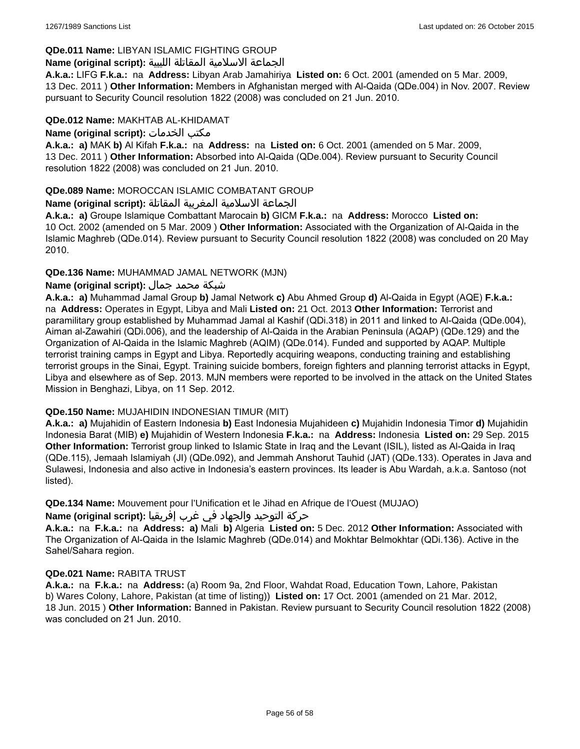# **QDe.011 Name:** LIBYAN ISLAMIC FIGHTING GROUP

# الجماعة الاسلامية المقاتلة الليبية **:(script original (Name**

**A.k.a.:** LIFG **F.k.a.:** na **Address:** Libyan Arab Jamahiriya **Listed on:** 6 Oct. 2001 (amended on 5 Mar. 2009, 13 Dec. 2011 ) **Other Information:** Members in Afghanistan merged with Al-Qaida (QDe.004) in Nov. 2007. Review pursuant to Security Council resolution 1822 (2008) was concluded on 21 Jun. 2010.

### **QDe.012 Name:** MAKHTAB AL-KHIDAMAT

**Name (original script):** الخدمات مكتب

**A.k.a.: a)** MAK **b)** Al Kifah **F.k.a.:** na **Address:** na **Listed on:** 6 Oct. 2001 (amended on 5 Mar. 2009, 13 Dec. 2011 ) **Other Information:** Absorbed into Al-Qaida (QDe.004). Review pursuant to Security Council resolution 1822 (2008) was concluded on 21 Jun. 2010.

# **QDe.089 Name:** MOROCCAN ISLAMIC COMBATANT GROUP

# الجماعة الاسلامية المغربية المقاتلة **:(script original (Name**

**A.k.a.: a)** Groupe Islamique Combattant Marocain **b)** GICM **F.k.a.:** na **Address:** Morocco **Listed on:** 10 Oct. 2002 (amended on 5 Mar. 2009 ) **Other Information:** Associated with the Organization of Al-Qaida in the Islamic Maghreb (QDe.014). Review pursuant to Security Council resolution 1822 (2008) was concluded on 20 May 2010.

# **QDe.136 Name:** MUHAMMAD JAMAL NETWORK (MJN)

# شبكة محمد جمال **:(script original (Name**

**A.k.a.: a)** Muhammad Jamal Group **b)** Jamal Network **c)** Abu Ahmed Group **d)** Al-Qaida in Egypt (AQE) **F.k.a.:**  na **Address:** Operates in Egypt, Libya and Mali **Listed on:** 21 Oct. 2013 **Other Information:** Terrorist and paramilitary group established by Muhammad Jamal al Kashif (QDi.318) in 2011 and linked to Al-Qaida (QDe.004), Aiman al-Zawahiri (QDi.006), and the leadership of Al-Qaida in the Arabian Peninsula (AQAP) (QDe.129) and the Organization of Al-Qaida in the Islamic Maghreb (AQIM) (QDe.014). Funded and supported by AQAP. Multiple terrorist training camps in Egypt and Libya. Reportedly acquiring weapons, conducting training and establishing terrorist groups in the Sinai, Egypt. Training suicide bombers, foreign fighters and planning terrorist attacks in Egypt, Libya and elsewhere as of Sep. 2013. MJN members were reported to be involved in the attack on the United States Mission in Benghazi, Libya, on 11 Sep. 2012.

# **QDe.150 Name:** MUJAHIDIN INDONESIAN TIMUR (MIT)

**A.k.a.: a)** Mujahidin of Eastern Indonesia **b)** East Indonesia Mujahideen **c)** Mujahidin Indonesia Timor **d)** Mujahidin Indonesia Barat (MIB) **e)** Mujahidin of Western Indonesia **F.k.a.:** na **Address:** Indonesia **Listed on:** 29 Sep. 2015 **Other Information:** Terrorist group linked to Islamic State in Iraq and the Levant (ISIL), listed as Al-Qaida in Iraq (QDe.115), Jemaah Islamiyah (JI) (QDe.092), and Jemmah Anshorut Tauhid (JAT) (QDe.133). Operates in Java and Sulawesi, Indonesia and also active in Indonesia's eastern provinces. Its leader is Abu Wardah, a.k.a. Santoso (not listed).

**QDe.134 Name:** Mouvement pour l'Unification et le Jihad en Afrique de l'Ouest (MUJAO)

# حركة التوحيد والجهاد في غرب إفريقيا **:Name (original script)**

**A.k.a.:** na **F.k.a.:** na **Address: a)** Mali **b)** Algeria **Listed on:** 5 Dec. 2012 **Other Information:** Associated with The Organization of Al-Qaida in the Islamic Maghreb (QDe.014) and Mokhtar Belmokhtar (QDi.136). Active in the Sahel/Sahara region.

#### **QDe.021 Name:** RABITA TRUST

**A.k.a.:** na **F.k.a.:** na **Address:** (a) Room 9a, 2nd Floor, Wahdat Road, Education Town, Lahore, Pakistan b) Wares Colony, Lahore, Pakistan (at time of listing)) **Listed on:** 17 Oct. 2001 (amended on 21 Mar. 2012, 18 Jun. 2015 ) **Other Information:** Banned in Pakistan. Review pursuant to Security Council resolution 1822 (2008) was concluded on 21 Jun. 2010.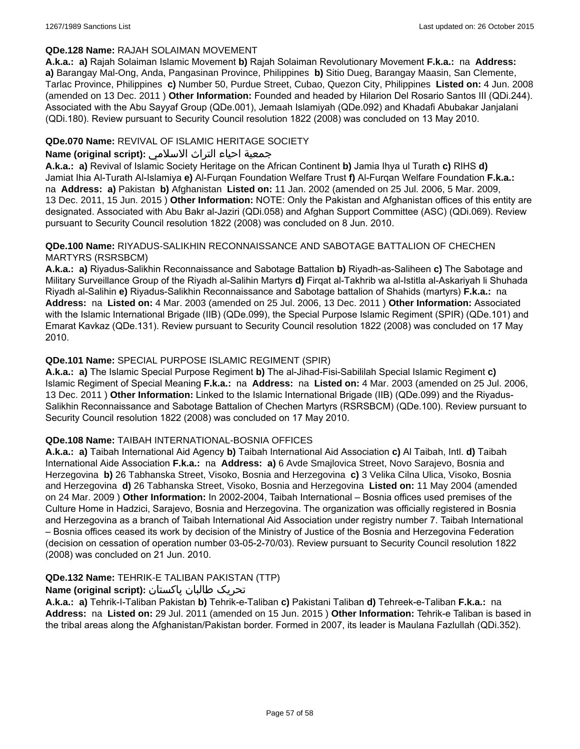# **QDe.128 Name:** RAJAH SOLAIMAN MOVEMENT

**A.k.a.: a)** Rajah Solaiman Islamic Movement **b)** Rajah Solaiman Revolutionary Movement **F.k.a.:** na **Address: a)** Barangay Mal-Ong, Anda, Pangasinan Province, Philippines **b)** Sitio Dueg, Barangay Maasin, San Clemente, Tarlac Province, Philippines **c)** Number 50, Purdue Street, Cubao, Quezon City, Philippines **Listed on:** 4 Jun. 2008 (amended on 13 Dec. 2011 ) **Other Information:** Founded and headed by Hilarion Del Rosario Santos III (QDi.244). Associated with the Abu Sayyaf Group (QDe.001), Jemaah Islamiyah (QDe.092) and Khadafi Abubakar Janjalani (QDi.180). Review pursuant to Security Council resolution 1822 (2008) was concluded on 13 May 2010.

# **QDe.070 Name:** REVIVAL OF ISLAMIC HERITAGE SOCIETY

# جمعية احياء التراث الاسلامي **:(script original (Name**

**A.k.a.: a)** Revival of Islamic Society Heritage on the African Continent **b)** Jamia Ihya ul Turath **c)** RIHS **d)** Jamiat Ihia Al-Turath Al-Islamiya **e)** Al-Furqan Foundation Welfare Trust **f)** Al-Furqan Welfare Foundation **F.k.a.:**  na **Address: a)** Pakistan **b)** Afghanistan **Listed on:** 11 Jan. 2002 (amended on 25 Jul. 2006, 5 Mar. 2009, 13 Dec. 2011, 15 Jun. 2015 ) **Other Information:** NOTE: Only the Pakistan and Afghanistan offices of this entity are designated. Associated with Abu Bakr al-Jaziri (QDi.058) and Afghan Support Committee (ASC) (QDi.069). Review pursuant to Security Council resolution 1822 (2008) was concluded on 8 Jun. 2010.

### **QDe.100 Name:** RIYADUS-SALIKHIN RECONNAISSANCE AND SABOTAGE BATTALION OF CHECHEN MARTYRS (RSRSBCM)

**A.k.a.: a)** Riyadus-Salikhin Reconnaissance and Sabotage Battalion **b)** Riyadh-as-Saliheen **c)** The Sabotage and Military Surveillance Group of the Riyadh al-Salihin Martyrs **d)** Firqat al-Takhrib wa al-Istitla al-Askariyah li Shuhada Riyadh al-Salihin **e)** Riyadus-Salikhin Reconnaissance and Sabotage battalion of Shahids (martyrs) **F.k.a.:** na **Address:** na **Listed on:** 4 Mar. 2003 (amended on 25 Jul. 2006, 13 Dec. 2011 ) **Other Information:** Associated with the Islamic International Brigade (IIB) (QDe.099), the Special Purpose Islamic Regiment (SPIR) (QDe.101) and Emarat Kavkaz (QDe.131). Review pursuant to Security Council resolution 1822 (2008) was concluded on 17 May 2010.

# **QDe.101 Name:** SPECIAL PURPOSE ISLAMIC REGIMENT (SPIR)

**A.k.a.: a)** The Islamic Special Purpose Regiment **b)** The al-Jihad-Fisi-Sabililah Special Islamic Regiment **c)** Islamic Regiment of Special Meaning **F.k.a.:** na **Address:** na **Listed on:** 4 Mar. 2003 (amended on 25 Jul. 2006, 13 Dec. 2011 ) **Other Information:** Linked to the Islamic International Brigade (IIB) (QDe.099) and the Riyadus-Salikhin Reconnaissance and Sabotage Battalion of Chechen Martyrs (RSRSBCM) (QDe.100). Review pursuant to Security Council resolution 1822 (2008) was concluded on 17 May 2010.

# **QDe.108 Name:** TAIBAH INTERNATIONAL-BOSNIA OFFICES

**A.k.a.: a)** Taibah International Aid Agency **b)** Taibah International Aid Association **c)** Al Taibah, Intl. **d)** Taibah International Aide Association **F.k.a.:** na **Address: a)** 6 Avde Smajlovica Street, Novo Sarajevo, Bosnia and Herzegovina **b)** 26 Tabhanska Street, Visoko, Bosnia and Herzegovina **c)** 3 Velika Cilna Ulica, Visoko, Bosnia and Herzegovina **d)** 26 Tabhanska Street, Visoko, Bosnia and Herzegovina **Listed on:** 11 May 2004 (amended on 24 Mar. 2009 ) **Other Information:** In 2002-2004, Taibah International – Bosnia offices used premises of the Culture Home in Hadzici, Sarajevo, Bosnia and Herzegovina. The organization was officially registered in Bosnia and Herzegovina as a branch of Taibah International Aid Association under registry number 7. Taibah International – Bosnia offices ceased its work by decision of the Ministry of Justice of the Bosnia and Herzegovina Federation (decision on cessation of operation number 03-05-2-70/03). Review pursuant to Security Council resolution 1822 (2008) was concluded on 21 Jun. 2010.

# **QDe.132 Name:** TEHRIK-E TALIBAN PAKISTAN (TTP)

# تحریک طالبان پاکستان **:(script original (Name**

**A.k.a.: a)** Tehrik-I-Taliban Pakistan **b)** Tehrik-e-Taliban **c)** Pakistani Taliban **d)** Tehreek-e-Taliban **F.k.a.:** na **Address:** na **Listed on:** 29 Jul. 2011 (amended on 15 Jun. 2015 ) **Other Information:** Tehrik-e Taliban is based in the tribal areas along the Afghanistan/Pakistan border. Formed in 2007, its leader is Maulana Fazlullah (QDi.352).